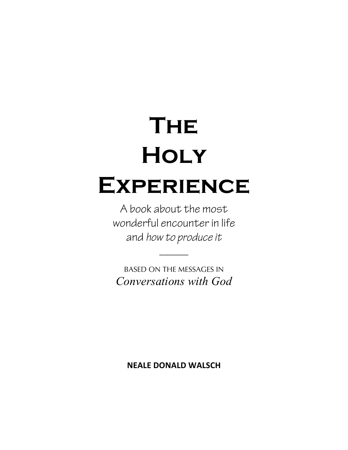# **The Holy Experience**

A book about the most wonderful encounter in life and *how to produce it*

BASED ON THE MESSAGES IN *Conversations with God* 

 $\overline{\phantom{a}}$ 

**NEALE DONALD WALSCH**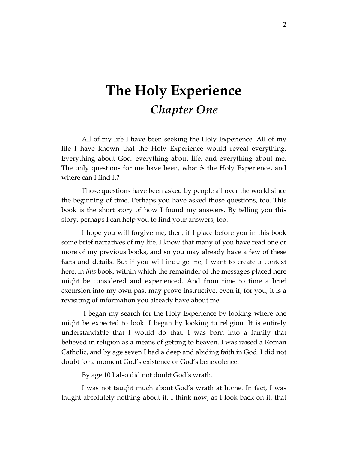### **The Holy Experience** *Chapter One*

All of my life I have been seeking the Holy Experience. All of my life I have known that the Holy Experience would reveal everything. Everything about God, everything about life, and everything about me. The only questions for me have been, what *is* the Holy Experience, and where can I find it?

Those questions have been asked by people all over the world since the beginning of time. Perhaps you have asked those questions, too. This book is the short story of how I found my answers. By telling you this story, perhaps I can help you to find your answers, too.

I hope you will forgive me, then, if I place before you in this book some brief narratives of my life. I know that many of you have read one or more of my previous books, and so you may already have a few of these facts and details. But if you will indulge me, I want to create a context here, in *this* book, within which the remainder of the messages placed here might be considered and experienced. And from time to time a brief excursion into my own past may prove instructive, even if, for you, it is a revisiting of information you already have about me.

 I began my search for the Holy Experience by looking where one might be expected to look. I began by looking to religion. It is entirely understandable that I would do that. I was born into a family that believed in religion as a means of getting to heaven. I was raised a Roman Catholic, and by age seven I had a deep and abiding faith in God. I did not doubt for a moment God's existence or God's benevolence.

By age 10 I also did not doubt God's wrath.

I was not taught much about God's wrath at home. In fact, I was taught absolutely nothing about it. I think now, as I look back on it, that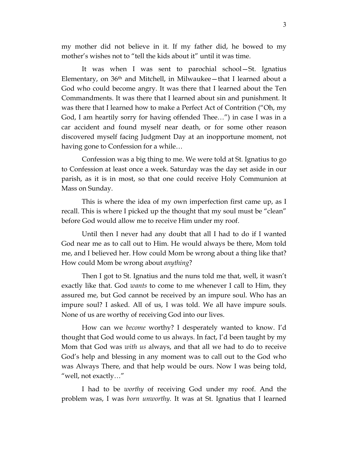my mother did not believe in it. If my father did, he bowed to my mother's wishes not to "tell the kids about it" until it was time.

It was when I was sent to parochial school—St. Ignatius Elementary, on 36th and Mitchell, in Milwaukee—that I learned about a God who could become angry. It was there that I learned about the Ten Commandments. It was there that I learned about sin and punishment. It was there that I learned how to make a Perfect Act of Contrition ("Oh, my God, I am heartily sorry for having offended Thee…") in case I was in a car accident and found myself near death, or for some other reason discovered myself facing Judgment Day at an inopportune moment, not having gone to Confession for a while…

Confession was a big thing to me. We were told at St. Ignatius to go to Confession at least once a week. Saturday was the day set aside in our parish, as it is in most, so that one could receive Holy Communion at Mass on Sunday.

This is where the idea of my own imperfection first came up, as I recall. This is where I picked up the thought that my soul must be "clean" before God would allow me to receive Him under my roof.

Until then I never had any doubt that all I had to do if I wanted God near me as to call out to Him. He would always be there, Mom told me, and I believed her. How could Mom be wrong about a thing like that? How could Mom be wrong about *anything*?

Then I got to St. Ignatius and the nuns told me that, well, it wasn't exactly like that. God *wants* to come to me whenever I call to Him, they assured me, but God cannot be received by an impure soul. Who has an impure soul? I asked. All of us, I was told. We all have impure souls. None of us are worthy of receiving God into our lives.

How can we *become* worthy? I desperately wanted to know. I'd thought that God would come to us always. In fact, I'd been taught by my Mom that God was *with us* always, and that all we had to do to receive God's help and blessing in any moment was to call out to the God who was Always There, and that help would be ours. Now I was being told, "well, not exactly…"

I had to be *worthy* of receiving God under my roof. And the problem was, I was *born unworthy.* It was at St. Ignatius that I learned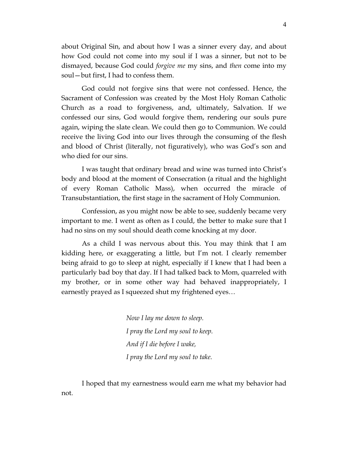about Original Sin, and about how I was a sinner every day, and about how God could not come into my soul if I was a sinner, but not to be dismayed, because God could *forgive me* my sins, and *then* come into my soul—but first, I had to confess them.

God could not forgive sins that were not confessed. Hence, the Sacrament of Confession was created by the Most Holy Roman Catholic Church as a road to forgiveness, and, ultimately, Salvation. If we confessed our sins, God would forgive them, rendering our souls pure again, wiping the slate clean. We could then go to Communion. We could receive the living God into our lives through the consuming of the flesh and blood of Christ (literally, not figuratively), who was God's son and who died for our sins.

I was taught that ordinary bread and wine was turned into Christ's body and blood at the moment of Consecration (a ritual and the highlight of every Roman Catholic Mass), when occurred the miracle of Transubstantiation, the first stage in the sacrament of Holy Communion.

Confession, as you might now be able to see, suddenly became very important to me. I went as often as I could, the better to make sure that I had no sins on my soul should death come knocking at my door.

As a child I was nervous about this. You may think that I am kidding here, or exaggerating a little, but I'm not. I clearly remember being afraid to go to sleep at night, especially if I knew that I had been a particularly bad boy that day. If I had talked back to Mom, quarreled with my brother, or in some other way had behaved inappropriately, I earnestly prayed as I squeezed shut my frightened eyes…

> *Now I lay me down to sleep. I pray the Lord my soul to keep. And if I die before I wake, I pray the Lord my soul to take.*

I hoped that my earnestness would earn me what my behavior had not.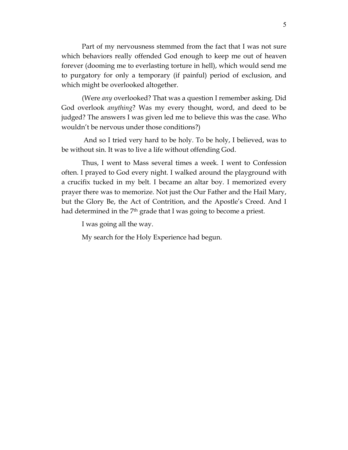Part of my nervousness stemmed from the fact that I was not sure which behaviors really offended God enough to keep me out of heaven forever (dooming me to everlasting torture in hell), which would send me to purgatory for only a temporary (if painful) period of exclusion, and which might be overlooked altogether.

(Were *any* overlooked? That was a question I remember asking. Did God overlook *anything*? Was my every thought, word, and deed to be judged? The answers I was given led me to believe this was the case. Who wouldn't be nervous under those conditions?)

 And so I tried very hard to be holy. To be holy, I believed, was to be without sin. It was to live a life without offending God.

Thus, I went to Mass several times a week. I went to Confession often. I prayed to God every night. I walked around the playground with a crucifix tucked in my belt. I became an altar boy. I memorized every prayer there was to memorize. Not just the Our Father and the Hail Mary, but the Glory Be, the Act of Contrition, and the Apostle's Creed. And I had determined in the 7<sup>th</sup> grade that I was going to become a priest.

I was going all the way.

My search for the Holy Experience had begun.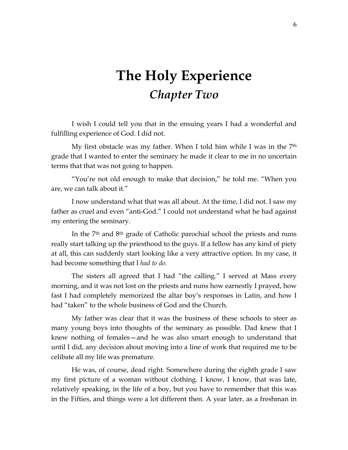### **The Holy Experience** *Chapter Two*

I wish I could tell you that in the ensuing years I had a wonderful and fulfilling experience of God. I did not.

My first obstacle was my father. When I told him while I was in the  $7<sup>th</sup>$ grade that I wanted to enter the seminary he made it clear to me in no uncertain terms that that was not going to happen.

"You're not old enough to make that decision," he told me. "When you are, we can talk about it."

I now understand what that was all about. At the time, I did not. I saw my father as cruel and even "anti-God." I could not understand what he had against my entering the seminary.

In the 7th and 8th grade of Catholic parochial school the priests and nuns really start talking up the priesthood to the guys. If a fellow has any kind of piety at all, this can suddenly start looking like a very attractive option. In my case, it had become something that I *had to do.*

The sisters all agreed that I had "the calling." I served at Mass every morning, and it was not lost on the priests and nuns how earnestly I prayed, how fast I had completely memorized the altar boy's responses in Latin, and how I had "taken" to the whole business of God and the Church.

My father was clear that it was the business of these schools to steer as many young boys into thoughts of the seminary as possible. Dad knew that I knew nothing of females—and he was also smart enough to understand that until I did, any decision about moving into a line of work that required me to be celibate all my life was premature.

He was, of course, dead right. Somewhere during the eighth grade I saw my first picture of a woman without clothing. I know, I know, that was late, relatively speaking, in the life of a boy, but you have to remember that this was in the Fifties, and things were a lot different then. A year later, as a freshman in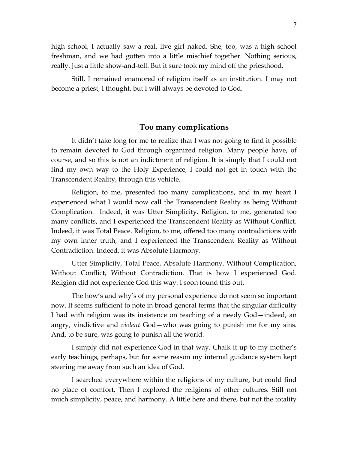high school, I actually saw a real, live girl naked. She, too, was a high school freshman, and we had gotten into a little mischief together. Nothing serious, really. Just a little show-and-tell. But it sure took my mind off the priesthood.

Still, I remained enamored of religion itself as an institution. I may not become a priest, I thought, but I will always be devoted to God.

### **Too many complications**

It didn't take long for me to realize that I was not going to find it possible to remain devoted to God through organized religion. Many people have, of course, and so this is not an indictment of religion. It is simply that I could not find my own way to the Holy Experience, I could not get in touch with the Transcendent Reality, through this vehicle.

Religion, to me, presented too many complications, and in my heart I experienced what I would now call the Transcendent Reality as being Without Complication. Indeed, it was Utter Simplicity. Religion, to me, generated too many conflicts, and I experienced the Transcendent Reality as Without Conflict. Indeed, it was Total Peace. Religion, to me, offered too many contradictions with my own inner truth, and I experienced the Transcendent Reality as Without Contradiction. Indeed, it was Absolute Harmony.

Utter Simplicity, Total Peace, Absolute Harmony. Without Complication, Without Conflict, Without Contradiction. That is how I experienced God. Religion did not experience God this way. I soon found this out.

The how's and why's of my personal experience do not seem so important now. It seems sufficient to note in broad general terms that the singular difficulty I had with religion was its insistence on teaching of a needy God—indeed, an angry, vindictive and *violent* God—who was going to punish me for my sins. And, to be sure, was going to punish all the world.

I simply did not experience God in that way. Chalk it up to my mother's early teachings, perhaps, but for some reason my internal guidance system kept steering me away from such an idea of God.

I searched everywhere within the religions of my culture, but could find no place of comfort. Then I explored the religions of other cultures. Still not much simplicity, peace, and harmony. A little here and there, but not the totality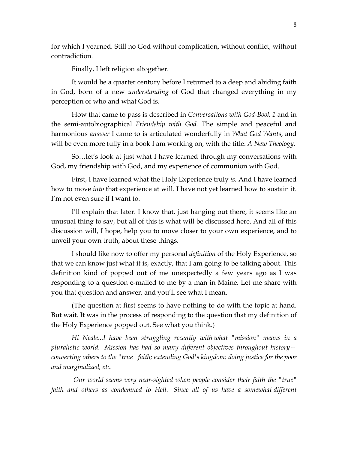for which I yearned. Still no God without complication, without conflict, without contradiction.

Finally, I left religion altogether.

It would be a quarter century before I returned to a deep and abiding faith in God, born of a new *understanding* of God that changed everything in my perception of who and what God is.

How that came to pass is described in *Conversations with God-Book 1* and in the semi-autobiographical *Friendship with God.* The simple and peaceful and harmonious *answer* I came to is articulated wonderfully in *What God Wants*, and will be even more fully in a book I am working on, with the title: *A New Theology.*

So…let's look at just what I have learned through my conversations with God, my friendship with God, and my experience of communion with God.

First, I have learned what the Holy Experience truly *is.* And I have learned how to move *into* that experience at will. I have not yet learned how to sustain it. I'm not even sure if I want to.

I'll explain that later. I know that, just hanging out there, it seems like an unusual thing to say, but all of this is what will be discussed here. And all of this discussion will, I hope, help you to move closer to your own experience, and to unveil your own truth, about these things.

I should like now to offer my personal *definition* of the Holy Experience, so that we can know just what it is, exactly, that I am going to be talking about. This definition kind of popped out of me unexpectedly a few years ago as I was responding to a question e-mailed to me by a man in Maine. Let me share with you that question and answer, and you'll see what I mean.

(The question at first seems to have nothing to do with the topic at hand. But wait. It was in the process of responding to the question that my definition of the Holy Experience popped out. See what you think.)

*Hi Neale...I have been struggling recently with what "mission" means in a pluralistic world. Mission has had so many different objectives throughout history converting others to the "true" faith; extending God's kingdom; doing justice for the poor and marginalized, etc.*

*Our world seems very near-sighted when people consider their faith the "true" faith and others as condemned to Hell. Since all of us have a somewhat different*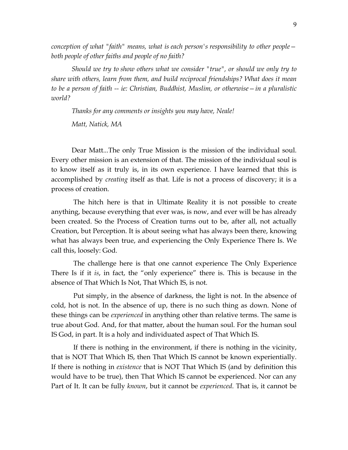*conception of what "faith" means, what is each person's responsibility to other people both people of other faiths and people of no faith?*

*Should we try to show others what we consider "true", or should we only try to share with others, learn from them, and build reciprocal friendships? What does it mean to be a person of faith -- ie: Christian, Buddhist, Muslim, or otherwise—in a pluralistic world?*

*Thanks for any comments or insights you may have, Neale! Matt, Natick, MA*

Dear Matt...The only True Mission is the mission of the individual soul. Every other mission is an extension of that. The mission of the individual soul is to know itself as it truly is, in its own experience. I have learned that this is accomplished by *creating* itself as that. Life is not a process of discovery; it is a process of creation.

The hitch here is that in Ultimate Reality it is not possible to create anything, because everything that ever was, is now, and ever will be has already been created. So the Process of Creation turns out to be, after all, not actually Creation, but Perception. It is about seeing what has always been there, knowing what has always been true, and experiencing the Only Experience There Is. We call this, loosely: God.

The challenge here is that one cannot experience The Only Experience There Is if it *is*, in fact, the "only experience" there is. This is because in the absence of That Which Is Not, That Which IS, is not.

Put simply, in the absence of darkness, the light is not. In the absence of cold, hot is not. In the absence of up, there is no such thing as down. None of these things can be *experienced* in anything other than relative terms. The same is true about God. And, for that matter, about the human soul. For the human soul IS God, in part. It is a holy and individuated aspect of That Which IS.

If there is nothing in the environment, if there is nothing in the vicinity, that is NOT That Which IS, then That Which IS cannot be known experientially. If there is nothing in *existence* that is NOT That Which IS (and by definition this would have to be true), then That Which IS cannot be experienced. Nor can any Part of It. It can be fully *known*, but it cannot be *experienced*. That is, it cannot be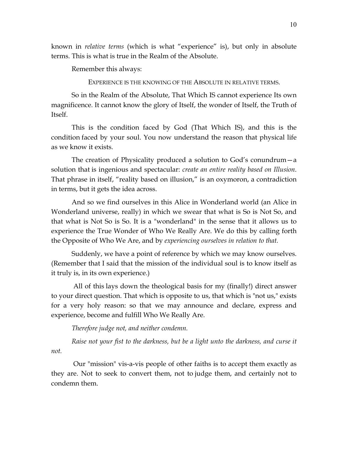known in *relative terms* (which is what "experience" is), but only in absolute terms. This is what is true in the Realm of the Absolute.

Remember this always:

EXPERIENCE IS THE KNOWING OF THE ABSOLUTE IN RELATIVE TERMS.

So in the Realm of the Absolute, That Which IS cannot experience Its own magnificence. It cannot know the glory of Itself, the wonder of Itself, the Truth of Itself.

This is the condition faced by God (That Which IS), and this is the condition faced by your soul. You now understand the reason that physical life as we know it exists.

The creation of Physicality produced a solution to God's conundrum—a solution that is ingenious and spectacular: *create an entire reality based on Illusion*. That phrase in itself, "reality based on illusion," is an oxymoron, a contradiction in terms, but it gets the idea across.

And so we find ourselves in this Alice in Wonderland world (an Alice in Wonderland universe, really) in which we swear that what is So is Not So, and that what is Not So is So. It is a "wonderland" in the sense that it allows us to experience the True Wonder of Who We Really Are. We do this by calling forth the Opposite of Who We Are, and by *experiencing ourselves in relation to that.* 

Suddenly, we have a point of reference by which we may know ourselves. (Remember that I said that the mission of the individual soul is to know itself as it truly is, in its own experience.)

All of this lays down the theological basis for my (finally!) direct answer to your direct question. That which is opposite to us, that which is "not us," exists for a very holy reason: so that we may announce and declare, express and experience, become and fulfill Who We Really Are.

*Therefore judge not, and neither condemn.* 

*Raise not your fist to the darkness, but be a light unto the darkness, and curse it not.* 

Our "mission" vis-a-vis people of other faiths is to accept them exactly as they are. Not to seek to convert them, not to judge them, and certainly not to condemn them.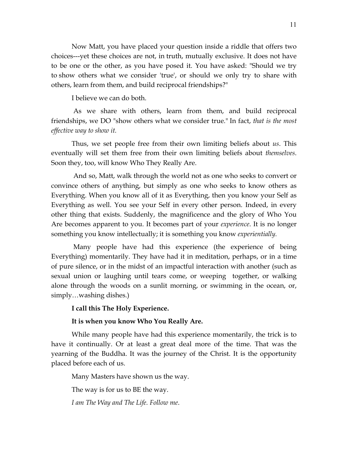Now Matt, you have placed your question inside a riddle that offers two choices---yet these choices are not, in truth, mutually exclusive. It does not have to be one or the other, as you have posed it. You have asked: "Should we try to show others what we consider 'true', or should we only try to share with others, learn from them, and build reciprocal friendships?"

I believe we can do both.

As we share with others, learn from them, and build reciprocal friendships, we DO "show others what we consider true." In fact, *that is the most effective way to show it.*

Thus, we set people free from their own limiting beliefs about *us*. This eventually will set them free from their own limiting beliefs about *themselves*. Soon they, too, will know Who They Really Are.

And so, Matt, walk through the world not as one who seeks to convert or convince others of anything, but simply as one who seeks to know others as Everything. When you know all of it as Everything, then you know your Self as Everything as well. You see your Self in every other person. Indeed, in every other thing that exists. Suddenly, the magnificence and the glory of Who You Are becomes apparent to you. It becomes part of your *experience*. It is no longer something you know intellectually; it is something you know *experientially.*

Many people have had this experience (the experience of being Everything) momentarily. They have had it in meditation, perhaps, or in a time of pure silence, or in the midst of an impactful interaction with another (such as sexual union or laughing until tears come, or weeping together, or walking alone through the woods on a sunlit morning, or swimming in the ocean, or, simply…washing dishes.)

#### **I call this The Holy Experience.**

#### **It is when you know Who You Really Are.**

While many people have had this experience momentarily, the trick is to have it continually. Or at least a great deal more of the time. That was the yearning of the Buddha. It was the journey of the Christ. It is the opportunity placed before each of us.

Many Masters have shown us the way.

The way is for us to BE the way.

*I am The Way and The Life. Follow me*.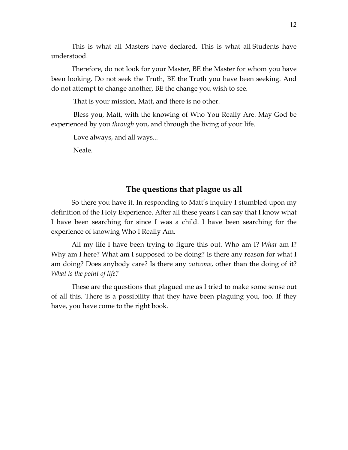This is what all Masters have declared. This is what all Students have understood.

Therefore, do not look for your Master, BE the Master for whom you have been looking. Do not seek the Truth, BE the Truth you have been seeking. And do not attempt to change another, BE the change you wish to see.

That is your mission, Matt, and there is no other.

Bless you, Matt, with the knowing of Who You Really Are. May God be experienced by you *through* you, and through the living of your life.

Love always, and all ways...

Neale.

#### **The questions that plague us all**

So there you have it. In responding to Matt's inquiry I stumbled upon my definition of the Holy Experience. After all these years I can say that I know what I have been searching for since I was a child. I have been searching for the experience of knowing Who I Really Am.

All my life I have been trying to figure this out. Who am I? *What* am I? Why am I here? What am I supposed to be doing? Is there any reason for what I am doing? Does anybody care? Is there any *outcome*, other than the doing of it? *What is the point of life?*

These are the questions that plagued me as I tried to make some sense out of all this. There is a possibility that they have been plaguing you, too. If they have, you have come to the right book.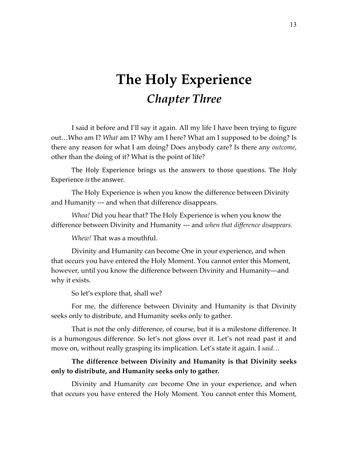### **The Holy Experience** *Chapter Three*

I said it before and I'll say it again. All my life I have been trying to figure out…Who am I? *What* am I? Why am I here? What am I supposed to be doing? Is there any reason for what I am doing? Does anybody care? Is there any *outcome*, other than the doing of it? What is the point of life?

The Holy Experience brings us the answers to those questions. The Holy Experience *is* the answer.

The Holy Experience is when you know the difference between Divinity and Humanity --- and when that difference disappears.

*Whoa!* Did you hear that? The Holy Experience is when you know the difference between Divinity and Humanity --- and *when that difference disappears.*

*Whew!* That was a mouthful.

Divinity and Humanity can become One in your experience, and when that occurs you have entered the Holy Moment. You cannot enter this Moment, however, until you know the difference between Divinity and Humanity—and why it exists.

So let's explore that, shall we?

For me, the difference between Divinity and Humanity is that Divinity seeks only to distribute, and Humanity seeks only to gather.

That is not the only difference, of course, but it is a milestone difference. It is a humongous difference. So let's not gloss over it. Let's not read past it and move on, without really grasping its implication. Let's state it again. I *said…*

#### **The difference between Divinity and Humanity is that Divinity seeks only to distribute, and Humanity seeks only to gather.**

Divinity and Humanity *can* become One in your experience, and when that occurs you have entered the Holy Moment. You cannot enter this Moment,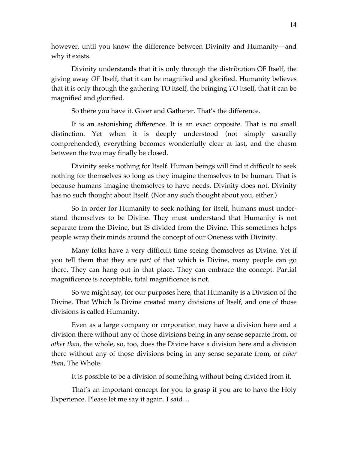however, until you know the difference between Divinity and Humanity—and why it exists.

Divinity understands that it is only through the distribution OF Itself, the giving away *OF* Itself, that it can be magnified and glorified. Humanity believes that it is only through the gathering TO itself, the bringing *TO* itself, that it can be magnified and glorified.

So there you have it. Giver and Gatherer. That's the difference.

It is an astonishing difference. It is an exact opposite. That is no small distinction. Yet when it is deeply understood (not simply casually comprehended), everything becomes wonderfully clear at last, and the chasm between the two may finally be closed.

Divinity seeks nothing for Itself. Human beings will find it difficult to seek nothing for themselves so long as they imagine themselves to be human. That is because humans imagine themselves to have needs. Divinity does not. Divinity has no such thought about Itself. (Nor any such thought about you, either.)

So in order for Humanity to seek nothing for itself, humans must understand themselves to be Divine. They must understand that Humanity is not separate from the Divine, but IS divided from the Divine. This sometimes helps people wrap their minds around the concept of our Oneness with Divinity.

Many folks have a very difficult time seeing themselves as Divine. Yet if you tell them that they are *part* of that which is Divine, many people can go there. They can hang out in that place. They can embrace the concept. Partial magnificence is acceptable, total magnificence is not.

So we might say, for our purposes here, that Humanity is a Division of the Divine. That Which Is Divine created many divisions of Itself, and one of those divisions is called Humanity.

Even as a large company or corporation may have a division here and a division there without any of those divisions being in any sense separate from, or *other than*, the whole, so, too, does the Divine have a division here and a division there without any of those divisions being in any sense separate from, or *other than*, The Whole.

It is possible to be a division of something without being divided from it.

That's an important concept for you to grasp if you are to have the Holy Experience. Please let me say it again. I said…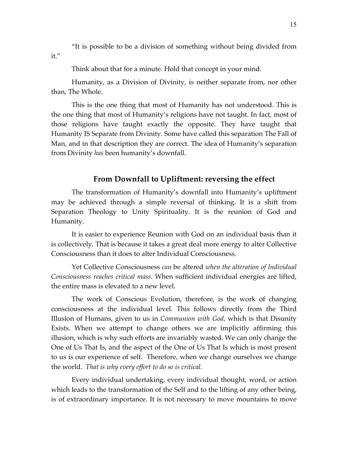"It is possible to be a division of something without being divided from it."

Think about that for a minute. Hold that concept in your mind.

Humanity, as a Division of Divinity, is neither separate from, nor other than, The Whole.

This is the one thing that most of Humanity has not understood. This is the one thing that most of Humanity's religions have not taught. In fact, most of those religions have taught exactly the opposite. They have taught that Humanity IS Separate from Divinity. Some have called this separation The Fall of Man, and in that description they are correct. The idea of Humanity's separation from Divinity *has* been humanity's downfall.

#### **From Downfall to Upliftment: reversing the effect**

The transformation of Humanity's downfall into Humanity's upliftment may be achieved through a simple reversal of thinking. It is a shift from Separation Theology to Unity Spirituality. It is the reunion of God and Humanity.

It is easier to experience Reunion with God on an individual basis than it is collectively. That is because it takes a great deal more energy to alter Collective Consciousness than it does to alter Individual Consciousness.

Yet Collective Consciousness *can* be altered *when the alteration of Individual Consciousness reaches critical mass*. When sufficient individual energies are lifted, the entire mass is elevated to a new level.

The work of Conscious Evolution, therefore, is the work of changing consciousness at the individual level. This follows directly from the Third Illusion of Humans, given to us in *Communion with God,* which is that Disunity Exists. When we attempt to change others we are implicitly affirming this illusion, which is why such efforts are invariably wasted. We can only change the One of Us That Is, and the aspect of the One of Us That Is which is most present to us is our experience of self. Therefore, when we change ourselves we change the world. *That is why every effort to do so is critical.* 

Every individual undertaking, every individual thought, word, or action which leads to the transformation of the Self and to the lifting of any other being, is of extraordinary importance. It is not necessary to move mountains to move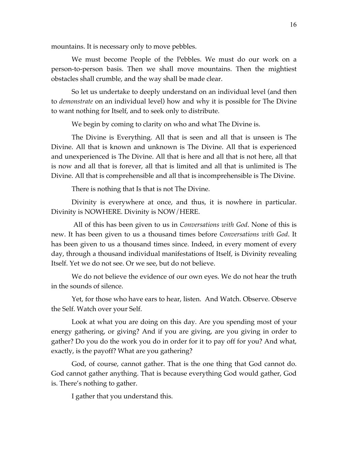mountains. It is necessary only to move pebbles.

We must become People of the Pebbles. We must do our work on a person-to-person basis. Then we shall move mountains. Then the mightiest obstacles shall crumble, and the way shall be made clear.

So let us undertake to deeply understand on an individual level (and then to *demonstrate* on an individual level) how and why it is possible for The Divine to want nothing for Itself, and to seek only to distribute.

We begin by coming to clarity on who and what The Divine is.

The Divine is Everything. All that is seen and all that is unseen is The Divine. All that is known and unknown is The Divine. All that is experienced and unexperienced is The Divine. All that is here and all that is not here, all that is now and all that is forever, all that is limited and all that is unlimited is The Divine. All that is comprehensible and all that is incomprehensible is The Divine.

There is nothing that Is that is not The Divine.

Divinity is everywhere at once, and thus, it is nowhere in particular. Divinity is NOWHERE. Divinity is NOW/HERE.

 All of this has been given to us in *Conversations with God*. None of this is new. It has been given to us a thousand times before *Conversations with God*. It has been given to us a thousand times since. Indeed, in every moment of every day, through a thousand individual manifestations of Itself, is Divinity revealing Itself. Yet we do not see. Or we see, but do not believe.

We do not believe the evidence of our own eyes. We do not hear the truth in the sounds of silence.

Yet, for those who have ears to hear, listen. And Watch. Observe. Observe the Self. Watch over your Self.

Look at what you are doing on this day. Are you spending most of your energy gathering, or giving? And if you are giving, are you giving in order to gather? Do you do the work you do in order for it to pay off for you? And what, exactly, is the payoff? What are you gathering?

God, of course, cannot gather. That is the one thing that God cannot do. God cannot gather anything. That is because everything God would gather, God is. There's nothing to gather.

I gather that you understand this.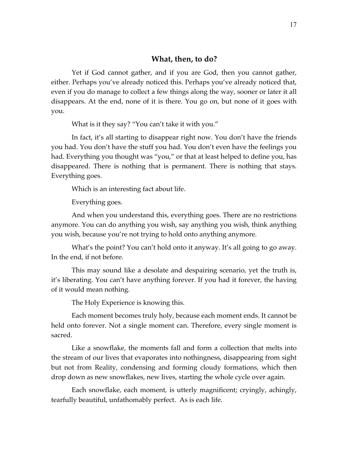#### **What, then, to do?**

Yet if God cannot gather, and if you are God, then you cannot gather, either. Perhaps you've already noticed this. Perhaps you've already noticed that, even if you do manage to collect a few things along the way, sooner or later it all disappears. At the end, none of it is there. You go on, but none of it goes with you.

What is it they say? "You can't take it with you."

In fact, it's all starting to disappear right now. You don't have the friends you had. You don't have the stuff you had. You don't even have the feelings you had. Everything you thought was "you," or that at least helped to define you, has disappeared. There is nothing that is permanent. There is nothing that stays. Everything goes.

Which is an interesting fact about life.

Everything goes.

And when you understand this, everything goes. There are no restrictions anymore. You can do anything you wish, say anything you wish, think anything you wish, because you're not trying to hold onto anything anymore.

What's the point? You can't hold onto it anyway. It's all going to go away. In the end, if not before.

This may sound like a desolate and despairing scenario, yet the truth is, it's liberating. You can't have anything forever. If you had it forever, the having of it would mean nothing.

The Holy Experience is knowing this.

Each moment becomes truly holy, because each moment ends. It cannot be held onto forever. Not a single moment can. Therefore, every single moment is sacred.

Like a snowflake, the moments fall and form a collection that melts into the stream of our lives that evaporates into nothingness, disappearing from sight but not from Reality, condensing and forming cloudy formations, which then drop down as new snowflakes, new lives, starting the whole cycle over again.

Each snowflake, each moment, is utterly magnificent; cryingly, achingly, tearfully beautiful, unfathomably perfect. As is each life.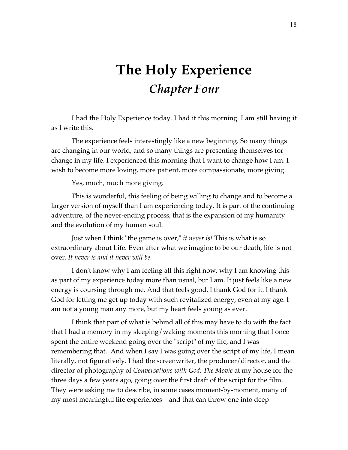### **The Holy Experience** *Chapter Four*

I had the Holy Experience today. I had it this morning. I am still having it as I write this.

The experience feels interestingly like a new beginning. So many things are changing in our world, and so many things are presenting themselves for change in my life. I experienced this morning that I want to change how I am. I wish to become more loving, more patient, more compassionate, more giving.

Yes, much, much more giving.

This is wonderful, this feeling of being willing to change and to become a larger version of myself than I am experiencing today. It is part of the continuing adventure, of the never-ending process, that is the expansion of my humanity and the evolution of my human soul.

Just when I think "the game is over," *it never is!* This is what is so extraordinary about Life. Even after what we imagine to be our death, life is not over. *It never is and it never will be.*

I don't know why I am feeling all this right now, why I am knowing this as part of my experience today more than usual, but I am. It just feels like a new energy is coursing through me. And that feels good. I thank God for it. I thank God for letting me get up today with such revitalized energy, even at my age. I am not a young man any more, but my heart feels young as ever.

I think that part of what is behind all of this may have to do with the fact that I had a memory in my sleeping/waking moments this morning that I once spent the entire weekend going over the "script" of my life, and I was remembering that. And when I say I was going over the script of my life, I mean literally, not figuratively. I had the screenwriter, the producer/director, and the director of photography of *Conversations with God: The Movie* at my house for the three days a few years ago, going over the first draft of the script for the film. They were asking me to describe, in some cases moment-by-moment, many of my most meaningful life experiences—and that can throw one into deep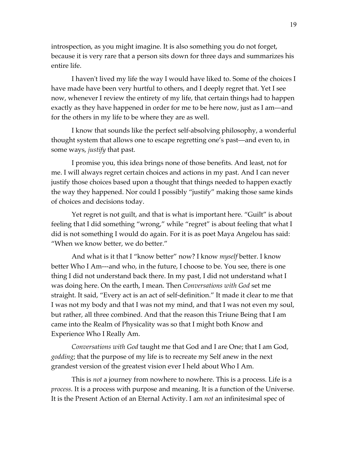introspection, as you might imagine. It is also something you do not forget, because it is very rare that a person sits down for three days and summarizes his entire life.

I haven't lived my life the way I would have liked to. Some of the choices I have made have been very hurtful to others, and I deeply regret that. Yet I see now, whenever I review the entirety of my life, that certain things had to happen exactly as they have happened in order for me to be here now, just as I am—and for the others in my life to be where they are as well.

I know that sounds like the perfect self-absolving philosophy, a wonderful thought system that allows one to escape regretting one's past—and even to, in some ways, *justify* that past.

I promise you, this idea brings none of those benefits. And least, not for me. I will always regret certain choices and actions in my past. And I can never justify those choices based upon a thought that things needed to happen exactly the way they happened. Nor could I possibly "justify" making those same kinds of choices and decisions today.

Yet regret is not guilt, and that is what is important here. "Guilt" is about feeling that I did something "wrong," while "regret" is about feeling that what I did is not something I would do again. For it is as poet Maya Angelou has said: "When we know better, we do better."

And what is it that I "know better" now? I know *myself* better. I know better Who I Am---and who, in the future, I choose to be. You see, there is one thing I did not understand back there. In my past, I did not understand what I was doing here. On the earth, I mean. Then *Conversations with God* set me straight. It said, "Every act is an act of self-definition." It made it clear to me that I was not my body and that I was not my mind, and that I was not even my soul, but rather, all three combined. And that the reason this Triune Being that I am came into the Realm of Physicality was so that I might both Know and Experience Who I Really Am.

*Conversations with God* taught me that God and I are One; that I am God, *godding*; that the purpose of my life is to recreate my Self anew in the next grandest version of the greatest vision ever I held about Who I Am.

This is *not* a journey from nowhere to nowhere. This is a process. Life is a *process.* It is a process with purpose and meaning. It is a function of the Universe. It is the Present Action of an Eternal Activity. I am *not* an infinitesimal spec of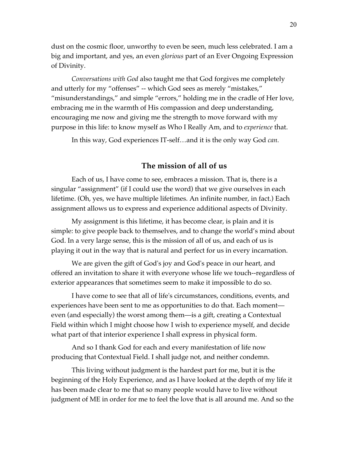dust on the cosmic floor, unworthy to even be seen, much less celebrated. I am a big and important, and yes, an even *glorious* part of an Ever Ongoing Expression of Divinity.

*Conversations with God* also taught me that God forgives me completely and utterly for my "offenses" -- which God sees as merely "mistakes," "misunderstandings," and simple "errors," holding me in the cradle of Her love, embracing me in the warmth of His compassion and deep understanding, encouraging me now and giving me the strength to move forward with my purpose in this life: to know myself as Who I Really Am, and to *experience* that.

In this way, God experiences IT-self…and it is the only way God *can.*

#### **The mission of all of us**

Each of us, I have come to see, embraces a mission. That is, there is a singular "assignment" (if I could use the word) that we give ourselves in each lifetime. (Oh, yes, we have multiple lifetimes. An infinite number, in fact.) Each assignment allows us to express and experience additional aspects of Divinity.

My assignment is this lifetime, it has become clear, is plain and it is simple: to give people back to themselves, and to change the world's mind about God. In a very large sense, this is the mission of all of us, and each of us is playing it out in the way that is natural and perfect for us in every incarnation.

We are given the gift of God's joy and God's peace in our heart, and offered an invitation to share it with everyone whose life we touch--regardless of exterior appearances that sometimes seem to make it impossible to do so.

I have come to see that all of life's circumstances, conditions, events, and experiences have been sent to me as opportunities to do that. Each moment even (and especially) the worst among them—is a gift, creating a Contextual Field within which I might choose how I wish to experience myself, and decide what part of that interior experience I shall express in physical form.

And so I thank God for each and every manifestation of life now producing that Contextual Field. I shall judge not, and neither condemn.

This living without judgment is the hardest part for me, but it is the beginning of the Holy Experience, and as I have looked at the depth of my life it has been made clear to me that so many people would have to live without judgment of ME in order for me to feel the love that is all around me. And so the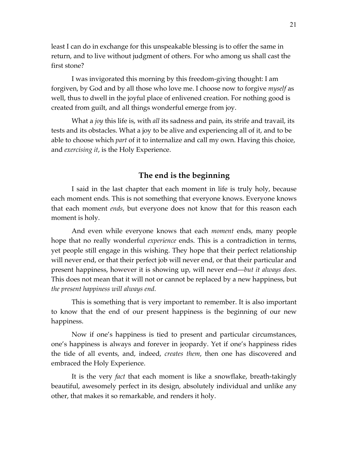least I can do in exchange for this unspeakable blessing is to offer the same in return, and to live without judgment of others. For who among us shall cast the first stone?

I was invigorated this morning by this freedom-giving thought: I am forgiven, by God and by all those who love me. I choose now to forgive *myself* as well, thus to dwell in the joyful place of enlivened creation. For nothing good is created from guilt, and all things wonderful emerge from joy.

What a *joy* this life is, with *all* its sadness and pain, its strife and travail, its tests and its obstacles. What a joy to be alive and experiencing all of it, and to be able to choose which *part* of it to internalize and call my own. Having this choice, and *exercising it*, is the Holy Experience.

### **The end is the beginning**

I said in the last chapter that each moment in life is truly holy, because each moment ends. This is not something that everyone knows. Everyone knows that each moment *ends*, but everyone does not know that for this reason each moment is holy.

And even while everyone knows that each *moment* ends, many people hope that no really wonderful *experience* ends. This is a contradiction in terms, yet people still engage in this wishing. They hope that their perfect relationship will never end, or that their perfect job will never end, or that their particular and present happiness, however it is showing up, will never end—*but it always does*. This does not mean that it will not or cannot be replaced by a new happiness, but *the present happiness will always end.*

This is something that is very important to remember. It is also important to know that the end of our present happiness is the beginning of our new happiness.

Now if one's happiness is tied to present and particular circumstances, one's happiness is always and forever in jeopardy. Yet if one's happiness rides the tide of all events, and, indeed, *creates them*, then one has discovered and embraced the Holy Experience.

It is the very *fact* that each moment is like a snowflake, breath-takingly beautiful, awesomely perfect in its design, absolutely individual and unlike any other, that makes it so remarkable, and renders it holy.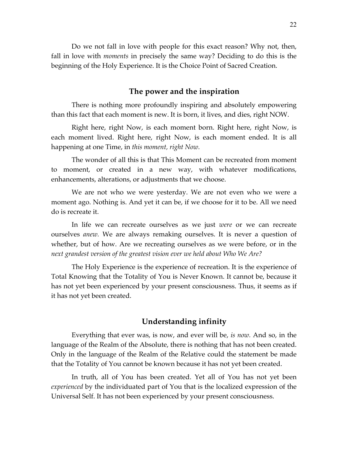Do we not fall in love with people for this exact reason? Why not, then, fall in love with *moments* in precisely the same way? Deciding to do this is the beginning of the Holy Experience. It is the Choice Point of Sacred Creation.

#### **The power and the inspiration**

There is nothing more profoundly inspiring and absolutely empowering than this fact that each moment is new. It is born, it lives, and dies, right NOW.

Right here, right Now, is each moment born. Right here, right Now, is each moment lived. Right here, right Now, is each moment ended. It is all happening at one Time, in *this moment, right Now.* 

The wonder of all this is that This Moment can be recreated from moment to moment, or created in a new way, with whatever modifications, enhancements, alterations, or adjustments that we choose.

We are not who we were yesterday. We are not even who we were a moment ago. Nothing is. And yet it can be, if we choose for it to be. All we need do is recreate it.

In life we can recreate ourselves as we just *were* or we can recreate ourselves *anew.* We are always remaking ourselves. It is never a question of whether, but of how. Are we recreating ourselves as we were before, or in the *next grandest version of the greatest vision ever we held about Who We Are?* 

The Holy Experience is the experience of recreation. It is the experience of Total Knowing that the Totality of You is Never Known. It cannot be, because it has not yet been experienced by your present consciousness. Thus, it seems as if it has not yet been created.

#### **Understanding infinity**

Everything that ever was, is now, and ever will be, *is now.* And so, in the language of the Realm of the Absolute, there is nothing that has not been created. Only in the language of the Realm of the Relative could the statement be made that the Totality of You cannot be known because it has not yet been created.

In truth, all of You has been created. Yet all of You has not yet been *experienced* by the individuated part of You that is the localized expression of the Universal Self. It has not been experienced by your present consciousness.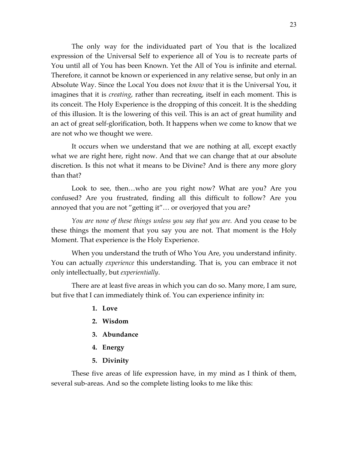The only way for the individuated part of You that is the localized expression of the Universal Self to experience all of You is to recreate parts of You until all of You has been Known. Yet the All of You is infinite and eternal. Therefore, it cannot be known or experienced in any relative sense, but only in an Absolute Way. Since the Local You does not *know* that it is the Universal You, it imagines that it is *creating*, rather than recreating, itself in each moment. This is its conceit. The Holy Experience is the dropping of this conceit. It is the shedding of this illusion. It is the lowering of this veil. This is an act of great humility and an act of great self-glorification, both. It happens when we come to know that we are not who we thought we were.

It occurs when we understand that we are nothing at all, except exactly what we are right here, right now. And that we can change that at our absolute discretion. Is this not what it means to be Divine? And is there any more glory than that?

Look to see, then…who are you right now? What are you? Are you confused? Are you frustrated, finding all this difficult to follow? Are you annoyed that you are not "getting it"… or overjoyed that you are?

*You are none of these things unless you say that you are.* And you cease to be these things the moment that you say you are not. That moment is the Holy Moment. That experience is the Holy Experience.

When you understand the truth of Who You Are, you understand infinity. You can actually *experience* this understanding. That is, you can embrace it not only intellectually, but *experientially*.

There are at least five areas in which you can do so. Many more, I am sure, but five that I can immediately think of. You can experience infinity in:

- **1. Love**
- **2. Wisdom**
- **3. Abundance**
- **4. Energy**
- **5. Divinity**

These five areas of life expression have, in my mind as I think of them, several sub-areas. And so the complete listing looks to me like this: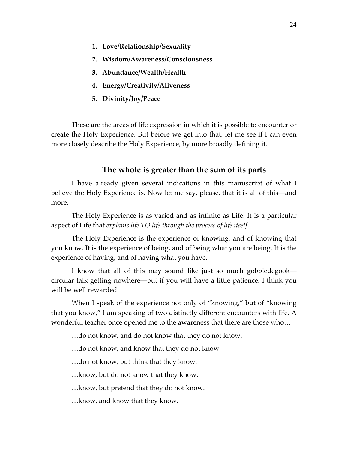- **1. Love/Relationship/Sexuality**
- **2. Wisdom/Awareness/Consciousness**
- **3. Abundance/Wealth/Health**
- **4. Energy/Creativity/Aliveness**
- **5. Divinity/Joy/Peace**

These are the areas of life expression in which it is possible to encounter or create the Holy Experience. But before we get into that, let me see if I can even more closely describe the Holy Experience, by more broadly defining it.

#### **The whole is greater than the sum of its parts**

I have already given several indications in this manuscript of what I believe the Holy Experience is. Now let me say, please, that it is all of this—and more.

The Holy Experience is as varied and as infinite as Life. It is a particular aspect of Life that *explains life TO life through the process of life itself*.

The Holy Experience is the experience of knowing, and of knowing that you know. It is the experience of being, and of being what you are being. It is the experience of having, and of having what you have.

I know that all of this may sound like just so much gobbledegook circular talk getting nowhere—but if you will have a little patience, I think you will be well rewarded.

When I speak of the experience not only of "knowing," but of "knowing that you know," I am speaking of two distinctly different encounters with life. A wonderful teacher once opened me to the awareness that there are those who…

…do not know, and do not know that they do not know.

…do not know, and know that they do not know.

…do not know, but think that they know.

…know, but do not know that they know.

- …know, but pretend that they do not know.
- …know, and know that they know.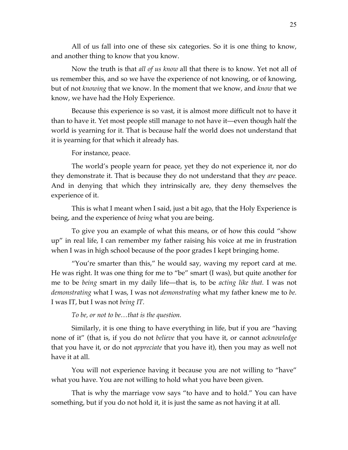All of us fall into one of these six categories. So it is one thing to know, and another thing to know that you know.

Now the truth is that *all of us know* all that there is to know. Yet not all of us remember this, and so we have the experience of not knowing, or of knowing, but of not *knowing* that we know. In the moment that we know, and *know* that we know, we have had the Holy Experience.

Because this experience is so vast, it is almost more difficult not to have it than to have it. Yet most people still manage to not have it—even though half the world is yearning for it. That is because half the world does not understand that it is yearning for that which it already has.

For instance, peace.

The world's people yearn for peace, yet they do not experience it, nor do they demonstrate it. That is because they do not understand that they *are* peace. And in denying that which they intrinsically are, they deny themselves the experience of it.

This is what I meant when I said, just a bit ago, that the Holy Experience is being, and the experience of *being* what you are being.

To give you an example of what this means, or of how this could "show up" in real life, I can remember my father raising his voice at me in frustration when I was in high school because of the poor grades I kept bringing home.

"You're smarter than this," he would say, waving my report card at me. He was right. It was one thing for me to "be" smart (I was), but quite another for me to be *being* smart in my daily life—that is, to be *acting like that.* I was not *demonstrating* what I was, I was not *demonstrating* what my father knew me to *be.*  I was IT, but I was not *being IT.*

*To be, or not to be…that is the question.*

Similarly, it is one thing to have everything in life, but if you are "having none of it" (that is, if you do not *believe* that you have it, or cannot *acknowledge*  that you have it, or do not *appreciate* that you have it), then you may as well not have it at all.

You will not experience having it because you are not willing to "have" what you have. You are not willing to hold what you have been given.

That is why the marriage vow says "to have and to hold." You can have something, but if you do not hold it, it is just the same as not having it at all.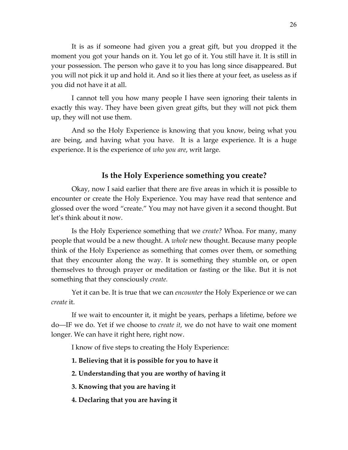It is as if someone had given you a great gift, but you dropped it the moment you got your hands on it. You let go of it. You still have it. It is still in your possession. The person who gave it to you has long since disappeared. But you will not pick it up and hold it. And so it lies there at your feet, as useless as if you did not have it at all.

I cannot tell you how many people I have seen ignoring their talents in exactly this way. They have been given great gifts, but they will not pick them up, they will not use them.

And so the Holy Experience is knowing that you know, being what you are being, and having what you have. It is a large experience. It is a huge experience. It is the experience of *who you are*, writ large.

#### **Is the Holy Experience something you create?**

Okay, now I said earlier that there are five areas in which it is possible to encounter or create the Holy Experience. You may have read that sentence and glossed over the word "create." You may not have given it a second thought. But let's think about it now.

Is the Holy Experience something that we *create?* Whoa. For many, many people that would be a new thought. A *whole* new thought. Because many people think of the Holy Experience as something that comes over them, or something that they encounter along the way. It is something they stumble on, or open themselves to through prayer or meditation or fasting or the like. But it is not something that they consciously *create.*

Yet it can be. It is true that we can *encounter* the Holy Experience or we can *create* it.

If we wait to encounter it, it might be years, perhaps a lifetime, before we do—IF we do. Yet if we choose to *create it*, we do not have to wait one moment longer. We can have it right here, right now.

I know of five steps to creating the Holy Experience:

- **1. Believing that it is possible for you to have it**
- **2. Understanding that you are worthy of having it**
- **3. Knowing that you are having it**
- **4. Declaring that you are having it**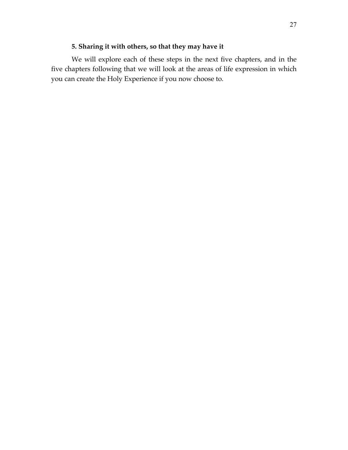#### **5. Sharing it with others, so that they may have it**

We will explore each of these steps in the next five chapters, and in the five chapters following that we will look at the areas of life expression in which you can create the Holy Experience if you now choose to.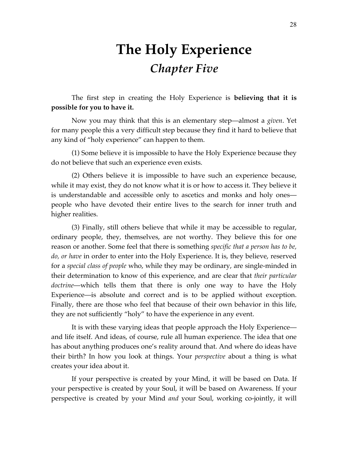## **The Holy Experience** *Chapter Five*

The first step in creating the Holy Experience is **believing that it is possible for you to have it.** 

Now you may think that this is an elementary step—almost a *given*. Yet for many people this a very difficult step because they find it hard to believe that any kind of "holy experience" can happen to them.

(1) Some believe it is impossible to have the Holy Experience because they do not believe that such an experience even exists.

(2) Others believe it is impossible to have such an experience because, while it may exist, they do not know what it is or how to access it. They believe it is understandable and accessible only to ascetics and monks and holy ones people who have devoted their entire lives to the search for inner truth and higher realities.

(3) Finally, still others believe that while it may be accessible to regular, ordinary people, they, themselves, are not worthy. They believe this for one reason or another. Some feel that there is something *specific that a person has to be, do, or have* in order to enter into the Holy Experience. It is, they believe, reserved for a *special class of people* who, while they may be ordinary, are single-minded in their determination to know of this experience, and are clear that *their particular doctrine*—which tells them that there is only one way to have the Holy Experience—is absolute and correct and is to be applied without exception. Finally, there are those who feel that because of their own behavior in this life, they are not sufficiently "holy" to have the experience in any event.

It is with these varying ideas that people approach the Holy Experience and life itself. And ideas, of course, rule all human experience. The idea that one has about anything produces one's reality around that. And where do ideas have their birth? In how you look at things. Your *perspective* about a thing is what creates your idea about it.

If your perspective is created by your Mind, it will be based on Data. If your perspective is created by your Soul, it will be based on Awareness. If your perspective is created by your Mind *and* your Soul, working co-jointly, it will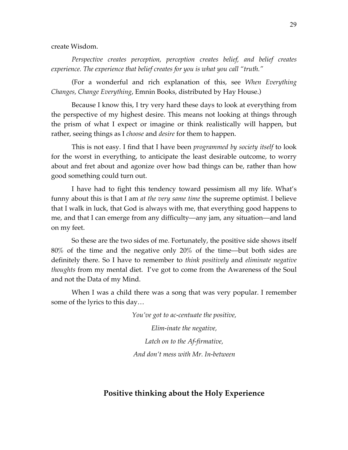create Wisdom.

*Perspective creates perception, perception creates belief, and belief creates experience. The experience that belief creates for you is what you call "truth."* 

(For a wonderful and rich explanation of this, see *When Everything Changes, Change Everything*, Emnin Books, distributed by Hay House.)

Because I know this, I try very hard these days to look at everything from the perspective of my highest desire. This means not looking at things through the prism of what I expect or imagine or think realistically will happen, but rather, seeing things as I *choose* and *desire* for them to happen.

This is not easy. I find that I have been *programmed by society itself* to look for the worst in everything, to anticipate the least desirable outcome, to worry about and fret about and agonize over how bad things can be, rather than how good something could turn out.

I have had to fight this tendency toward pessimism all my life. What's funny about this is that I am *at the very same time* the supreme optimist. I believe that I walk in luck, that God is always with me, that everything good happens to me, and that I can emerge from any difficulty—any jam, any situation—and land on my feet.

So these are the two sides of me. Fortunately, the positive side shows itself 80% of the time and the negative only 20% of the time—but both sides are definitely there. So I have to remember to *think positively* and *eliminate negative thoughts* from my mental diet. I've got to come from the Awareness of the Soul and not the Data of my Mind.

When I was a child there was a song that was very popular. I remember some of the lyrics to this day…

*You've got to ac-centuate the positive,*

*Elim-inate the negative, Latch on to the Af-firmative, And don't mess with Mr. In-between*

#### **Positive thinking about the Holy Experience**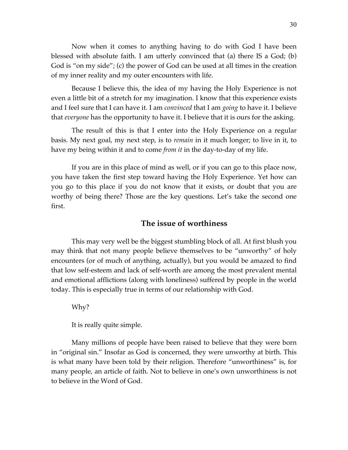Now when it comes to anything having to do with God I have been blessed with absolute faith. I am utterly convinced that (a) there IS a God; (b) God is "on my side"; (c) the power of God can be used at all times in the creation of my inner reality and my outer encounters with life.

Because I believe this, the idea of my having the Holy Experience is not even a little bit of a stretch for my imagination. I know that this experience exists and I feel sure that I can have it. I am *convinced* that I am *going* to have it. I believe that *everyone* has the opportunity to have it. I believe that it is ours for the asking.

The result of this is that I enter into the Holy Experience on a regular basis. My next goal, my next step, is to *remain* in it much longer; to live in it, to have my being within it and to come *from it* in the day-to-day of my life.

If you are in this place of mind as well, or if you can go to this place now, you have taken the first step toward having the Holy Experience. Yet how can you go to this place if you do not know that it exists, or doubt that you are worthy of being there? Those are the key questions. Let's take the second one first.

#### **The issue of worthiness**

This may very well be the biggest stumbling block of all. At first blush you may think that not many people believe themselves to be "unworthy" of holy encounters (or of much of anything, actually), but you would be amazed to find that low self-esteem and lack of self-worth are among the most prevalent mental and emotional afflictions (along with loneliness) suffered by people in the world today. This is especially true in terms of our relationship with God.

Why?

It is really quite simple.

Many millions of people have been raised to believe that they were born in "original sin." Insofar as God is concerned, they were unworthy at birth. This is what many have been told by their religion. Therefore "unworthiness" is, for many people, an article of faith. Not to believe in one's own unworthiness is not to believe in the Word of God.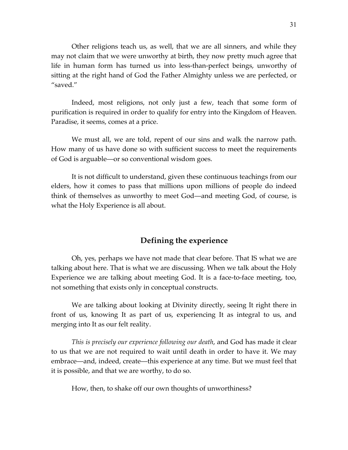Other religions teach us, as well, that we are all sinners, and while they may not claim that we were unworthy at birth, they now pretty much agree that life in human form has turned us into less-than-perfect beings, unworthy of sitting at the right hand of God the Father Almighty unless we are perfected, or "saved."

Indeed, most religions, not only just a few, teach that some form of purification is required in order to qualify for entry into the Kingdom of Heaven. Paradise, it seems, comes at a price.

We must all, we are told, repent of our sins and walk the narrow path. How many of us have done so with sufficient success to meet the requirements of God is arguable—or so conventional wisdom goes.

It is not difficult to understand, given these continuous teachings from our elders, how it comes to pass that millions upon millions of people do indeed think of themselves as unworthy to meet God—and meeting God, of course, is what the Holy Experience is all about.

#### **Defining the experience**

Oh, yes, perhaps we have not made that clear before. That IS what we are talking about here. That is what we are discussing. When we talk about the Holy Experience we are talking about meeting God. It is a face-to-face meeting, too, not something that exists only in conceptual constructs.

We are talking about looking at Divinity directly, seeing It right there in front of us, knowing It as part of us, experiencing It as integral to us, and merging into It as our felt reality.

*This is precisely our experience following our death*, and God has made it clear to us that we are not required to wait until death in order to have it. We may embrace—and, indeed, create—this experience at any time. But we must feel that it is possible, and that we are worthy, to do so.

How, then, to shake off our own thoughts of unworthiness?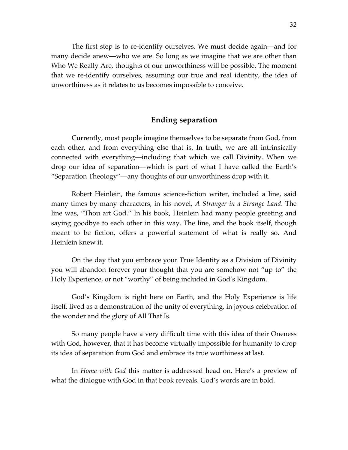The first step is to re-identify ourselves. We must decide again—and for many decide anew—who we are. So long as we imagine that we are other than Who We Really Are, thoughts of our unworthiness will be possible. The moment that we re-identify ourselves, assuming our true and real identity, the idea of unworthiness as it relates to us becomes impossible to conceive.

#### **Ending separation**

Currently, most people imagine themselves to be separate from God, from each other, and from everything else that is. In truth, we are all intrinsically connected with everything—including that which we call Divinity. When we drop our idea of separation—which is part of what I have called the Earth's "Separation Theology"—any thoughts of our unworthiness drop with it.

Robert Heinlein, the famous science-fiction writer, included a line, said many times by many characters, in his novel, *A Stranger in a Strange Land*. The line was, "Thou art God." In his book, Heinlein had many people greeting and saying goodbye to each other in this way. The line, and the book itself, though meant to be fiction, offers a powerful statement of what is really so. And Heinlein knew it.

On the day that you embrace your True Identity as a Division of Divinity you will abandon forever your thought that you are somehow not "up to" the Holy Experience, or not "worthy" of being included in God's Kingdom.

God's Kingdom is right here on Earth, and the Holy Experience is life itself, lived as a demonstration of the unity of everything, in joyous celebration of the wonder and the glory of All That Is.

So many people have a very difficult time with this idea of their Oneness with God, however, that it has become virtually impossible for humanity to drop its idea of separation from God and embrace its true worthiness at last.

In *Home with God* this matter is addressed head on. Here's a preview of what the dialogue with God in that book reveals. God's words are in bold.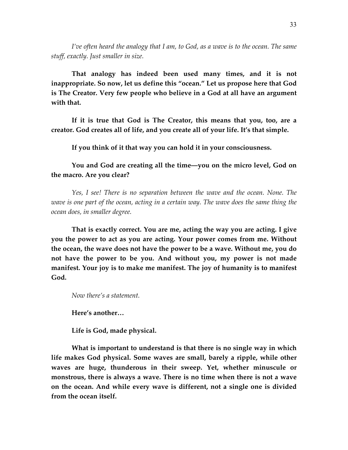*I've often heard the analogy that I am, to God, as a wave is to the ocean. The same stuff, exactly. Just smaller in size.*

**That analogy has indeed been used many times, and it is not inappropriate. So now, let us define this "ocean." Let us propose here that God is The Creator. Very few people who believe in a God at all have an argument with that.** 

**If it is true that God is The Creator, this means that you, too, are a creator. God creates all of life, and you create all of your life. It's that simple.** 

**If you think of it that way you can hold it in your consciousness.**

### **You and God are creating all the time—you on the micro level, God on the macro. Are you clear?**

*Yes, I see! There is no separation between the wave and the ocean. None. The wave is one part of the ocean, acting in a certain way. The wave does the same thing the ocean does, in smaller degree.* 

**That is exactly correct. You are me, acting the way you are acting. I give you the power to act as you are acting. Your power comes from me. Without the ocean, the wave does not have the power to be a wave. Without me, you do not have the power to be you. And without you, my power is not made manifest. Your joy is to make me manifest. The joy of humanity is to manifest God.**

*Now there's a statement.*

**Here's another…**

**Life is God, made physical.**

**What is important to understand is that there is no single way in which life makes God physical. Some waves are small, barely a ripple, while other waves are huge, thunderous in their sweep. Yet, whether minuscule or monstrous, there is always a wave. There is no time when there is not a wave on the ocean. And while every wave is different, not a single one is divided from the ocean itself.**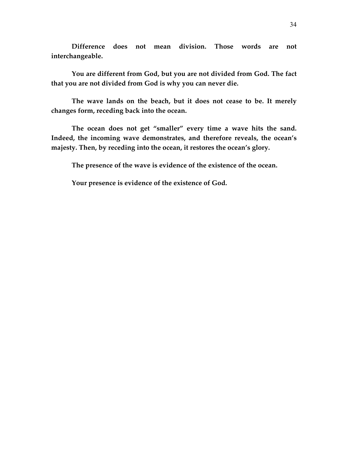**Difference does not mean division. Those words are not interchangeable.**

**You are different from God, but you are not divided from God. The fact that you are not divided from God is why you can never die.** 

**The wave lands on the beach, but it does not cease to be. It merely changes form, receding back into the ocean.** 

**The ocean does not get "smaller" every time a wave hits the sand. Indeed, the incoming wave demonstrates, and therefore reveals, the ocean's majesty. Then, by receding into the ocean, it restores the ocean's glory.** 

**The presence of the wave is evidence of the existence of the ocean.**

**Your presence is evidence of the existence of God.**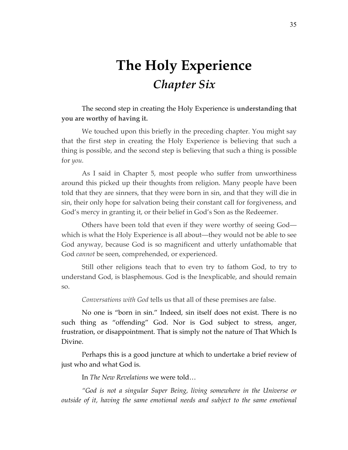# **The Holy Experience** *Chapter Six*

The second step in creating the Holy Experience is **understanding that you are worthy of having it.** 

We touched upon this briefly in the preceding chapter. You might say that the first step in creating the Holy Experience is believing that such a thing is possible, and the second step is believing that such a thing is possible for *you.*

As I said in Chapter 5, most people who suffer from unworthiness around this picked up their thoughts from religion. Many people have been told that they are sinners, that they were born in sin, and that they will die in sin, their only hope for salvation being their constant call for forgiveness, and God's mercy in granting it, or their belief in God's Son as the Redeemer.

Others have been told that even if they were worthy of seeing God which is what the Holy Experience is all about—they would not be able to see God anyway, because God is so magnificent and utterly unfathomable that God *cannot* be seen, comprehended, or experienced.

Still other religions teach that to even try to fathom God, to try to understand God, is blasphemous. God is the Inexplicable, and should remain so.

*Conversations with God* tells us that all of these premises are false.

No one is "born in sin." Indeed, sin itself does not exist. There is no such thing as "offending" God. Nor is God subject to stress, anger, frustration, or disappointment. That is simply not the nature of That Which Is Divine.

Perhaps this is a good juncture at which to undertake a brief review of just who and what God is.

In *The New Revelations* we were told…

*"God is not a singular Super Being, living somewhere in the Universe or outside of it, having the same emotional needs and subject to the same emotional*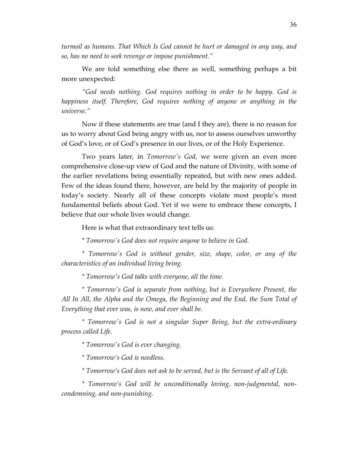*turmoil as humans. That Which Is God cannot be hurt or damaged in any way, and so, has no need to seek revenge or impose punishment."* 

We are told something else there as well, something perhaps a bit more unexpected:

*"God needs nothing. God requires nothing in order to be happy. God is happiness itself. Therefore, God requires nothing of anyone or anything in the universe."*

Now if these statements are true (and I they are), there is no reason for us to worry about God being angry with us, nor to assess ourselves unworthy of God's love, or of God's presence in our lives, or of the Holy Experience.

Two years later, in *Tomorrow's God*, we were given an even more comprehensive close-up view of God and the nature of Divinity, with some of the earlier revelations being essentially repeated, but with new ones added. Few of the ideas found there, however, are held by the majority of people in today's society. Nearly all of these concepts violate most people's most fundamental beliefs about God. Yet if we were to embrace these concepts, I believe that our whole lives would change.

Here is what that extraordinary text tells us:

*\* Tomorrow's God does not require anyone to believe in God.* 

*\* Tomorrow's God is without gender, size, shape, color, or any of the characteristics of an individual living being.*

*\* Tomorrow's God talks with everyone, all the time.* 

*\* Tomorrow's God is separate from nothing, but is Everywhere Present, the All In All, the Alpha and the Omega, the Beginning and the End, the Sum Total of Everything that ever was, is now, and ever shall be.* 

*\* Tomorrow's God is not a singular Super Being, but the extra-ordinary process called Life.*

*\* Tomorrow's God is ever changing.* 

*\* Tomorrow's God is needless.*

*\* Tomorrow's God does not ask to be served, but is the Servant of all of Life.*

*\* Tomorrow's God will be unconditionally loving, non-judgmental, noncondemning, and non-punishing.*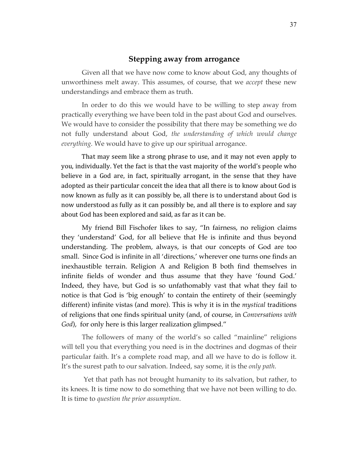## **Stepping away from arrogance**

Given all that we have now come to know about God, any thoughts of unworthiness melt away. This assumes, of course, that we *accept* these new understandings and embrace them as truth.

In order to do this we would have to be willing to step away from practically everything we have been told in the past about God and ourselves. We would have to consider the possibility that there may be something we do not fully understand about God, *the understanding of which would change everything.* We would have to give up our spiritual arrogance.

That may seem like a strong phrase to use, and it may not even apply to you, individually. Yet the fact is that the vast majority of the world's people who believe in a God are, in fact, spiritually arrogant, in the sense that they have adopted as their particular conceit the idea that all there is to know about God is now known as fully as it can possibly be, all there is to understand about God is now understood as fully as it can possibly be, and all there is to explore and say about God has been explored and said, as far as it can be.

My friend Bill Fischofer likes to say, "In fairness, no religion claims they 'understand' God, for all believe that He is infinite and thus beyond understanding. The problem, always, is that our concepts of God are too small. Since God is infinite in all 'directions,' wherever one turns one finds an inexhaustible terrain. Religion A and Religion B both find themselves in infinite fields of wonder and thus assume that they have 'found God.' Indeed, they have, but God is so unfathomably vast that what they fail to notice is that God is 'big enough' to contain the entirety of their (seemingly different) infinite vistas (and more). This is why it is in the *mystical* traditions of religions that one finds spiritual unity (and, of course, in *Conversations with God*), for only here is this larger realization glimpsed."

The followers of many of the world's so called "mainline" religions will tell you that everything you need is in the doctrines and dogmas of their particular faith. It's a complete road map, and all we have to do is follow it. It's the surest path to our salvation. Indeed, say some, it is the *only path.* 

 Yet that path has not brought humanity to its salvation, but rather, to its knees. It is time now to do something that we have not been willing to do. It is time to *question the prior assumption*.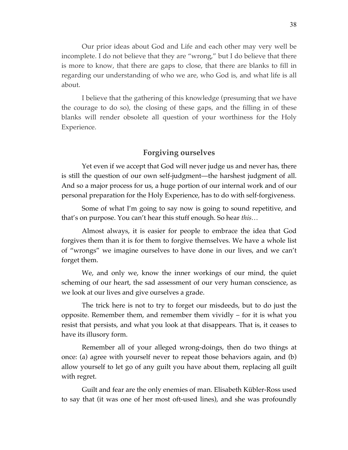Our prior ideas about God and Life and each other may very well be incomplete. I do not believe that they are "wrong," but I do believe that there is more to know, that there are gaps to close, that there are blanks to fill in regarding our understanding of who we are, who God is, and what life is all about.

I believe that the gathering of this knowledge (presuming that we have the courage to do so), the closing of these gaps, and the filling in of these blanks will render obsolete all question of your worthiness for the Holy Experience.

## **Forgiving ourselves**

Yet even if we accept that God will never judge us and never has, there is still the question of our own self-judgment—the harshest judgment of all. And so a major process for us, a huge portion of our internal work and of our personal preparation for the Holy Experience, has to do with self-forgiveness.

Some of what I'm going to say now is going to sound repetitive, and that's on purpose. You can't hear this stuff enough. So hear *this…*

Almost always, it is easier for people to embrace the idea that God forgives them than it is for them to forgive themselves. We have a whole list of "wrongs" we imagine ourselves to have done in our lives, and we can't forget them.

We, and only we, know the inner workings of our mind, the quiet scheming of our heart, the sad assessment of our very human conscience, as we look at our lives and give ourselves a grade.

The trick here is not to try to forget our misdeeds, but to do just the opposite. Remember them, and remember them vividly – for it is what you resist that persists, and what you look at that disappears. That is, it ceases to have its illusory form.

Remember all of your alleged wrong-doings, then do two things at once: (a) agree with yourself never to repeat those behaviors again, and (b) allow yourself to let go of any guilt you have about them, replacing all guilt with regret.

Guilt and fear are the only enemies of man. Elisabeth Kübler-Ross used to say that (it was one of her most oft-used lines), and she was profoundly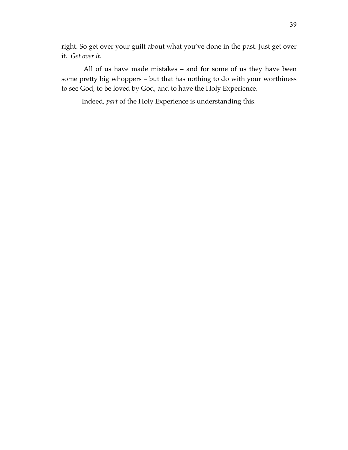right. So get over your guilt about what you've done in the past. Just get over it. *Get over it.*

 All of us have made mistakes – and for some of us they have been some pretty big whoppers – but that has nothing to do with your worthiness to see God, to be loved by God, and to have the Holy Experience.

Indeed, *part* of the Holy Experience is understanding this.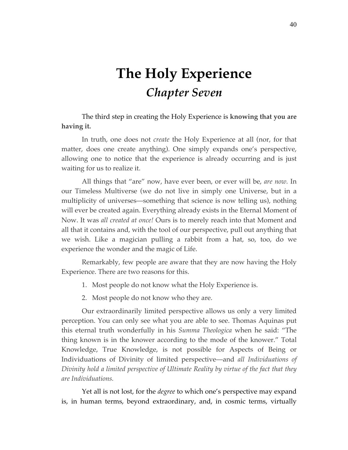# **The Holy Experience** *Chapter Seven*

The third step in creating the Holy Experience is **knowing that you are having it.**

In truth, one does not *create* the Holy Experience at all (nor, for that matter, does one create anything). One simply expands one's perspective, allowing one to notice that the experience is already occurring and is just waiting for us to realize it.

All things that "are" now, have ever been, or ever will be, *are now.* In our Timeless Multiverse (we do not live in simply one Universe, but in a multiplicity of universes—something that science is now telling us), nothing will ever be created again. Everything already exists in the Eternal Moment of Now. It was *all created at once!* Ours is to merely reach into that Moment and all that it contains and, with the tool of our perspective, pull out anything that we wish. Like a magician pulling a rabbit from a hat, so, too, do we experience the wonder and the magic of Life.

Remarkably, few people are aware that they are now having the Holy Experience. There are two reasons for this.

- 1. Most people do not know what the Holy Experience is.
- 2. Most people do not know who they are.

Our extraordinarily limited perspective allows us only a very limited perception. You can only see what you are able to see. Thomas Aquinas put this eternal truth wonderfully in his *Summa Theologica* when he said: "The thing known is in the knower according to the mode of the knower." Total Knowledge, True Knowledge, is not possible for Aspects of Being or Individuations of Divinity of limited perspective—and *all Individuations of Divinity hold a limited perspective of Ultimate Reality by virtue of the fact that they are Individuations.*

Yet all is not lost, for the *degree* to which one's perspective may expand is, in human terms, beyond extraordinary, and, in cosmic terms, virtually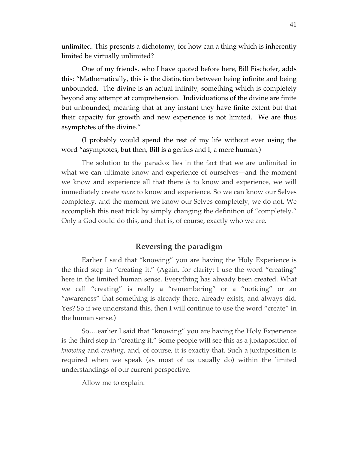unlimited. This presents a dichotomy, for how can a thing which is inherently limited be virtually unlimited?

One of my friends, who I have quoted before here, Bill Fischofer, adds this: "Mathematically, this is the distinction between being infinite and being unbounded. The divine is an actual infinity, something which is completely beyond any attempt at comprehension. Individuations of the divine are finite but unbounded, meaning that at any instant they have finite extent but that their capacity for growth and new experience is not limited. We are thus asymptotes of the divine."

(I probably would spend the rest of my life without ever using the word "asymptotes, but then, Bill is a genius and I, a mere human.)

The solution to the paradox lies in the fact that we are unlimited in what we can ultimate know and experience of ourselves—and the moment we know and experience all that there *is* to know and experience, we will immediately create *more* to know and experience. So we can know our Selves completely, and the moment we know our Selves completely, we do not. We accomplish this neat trick by simply changing the definition of "completely." Only a God could do this, and that is, of course, exactly who we are.

# **Reversing the paradigm**

Earlier I said that "knowing" you are having the Holy Experience is the third step in "creating it." (Again, for clarity: I use the word "creating" here in the limited human sense. Everything has already been created. What we call "creating" is really a "remembering" or a "noticing" or an "awareness" that something is already there, already exists, and always did. Yes? So if we understand this, then I will continue to use the word "create" in the human sense.)

So….earlier I said that "knowing" you are having the Holy Experience is the third step in "creating it." Some people will see this as a juxtaposition of *knowing* and *creating*, and, of course, it is exactly that. Such a juxtaposition is required when we speak (as most of us usually do) within the limited understandings of our current perspective.

Allow me to explain.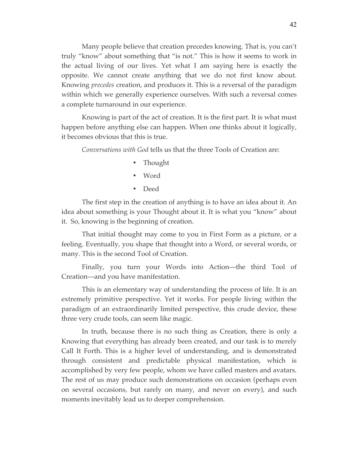Many people believe that creation precedes knowing. That is, you can't truly "know" about something that "is not." This is how it seems to work in the actual living of our lives. Yet what I am saying here is exactly the opposite. We cannot create anything that we do not first know about. Knowing *precedes* creation, and produces it. This is a reversal of the paradigm within which we generally experience ourselves. With such a reversal comes a complete turnaround in our experience.

Knowing is part of the act of creation. It is the first part. It is what must happen before anything else can happen. When one thinks about it logically, it becomes obvious that this is true.

*Conversations with God* tells us that the three Tools of Creation are:

- Thought
- Word
- Deed

The first step in the creation of anything is to have an idea about it. An idea about something is your Thought about it. It is what you "know" about it. So, knowing is the beginning of creation.

That initial thought may come to you in First Form as a picture, or a feeling. Eventually, you shape that thought into a Word, or several words, or many. This is the second Tool of Creation.

Finally, you turn your Words into Action—the third Tool of Creation—and you have manifestation.

This is an elementary way of understanding the process of life. It is an extremely primitive perspective. Yet it works. For people living within the paradigm of an extraordinarily limited perspective, this crude device, these three very crude tools, can seem like magic.

In truth, because there is no such thing as Creation, there is only a Knowing that everything has already been created, and our task is to merely Call It Forth. This is a higher level of understanding, and is demonstrated through consistent and predictable physical manifestation, which is accomplished by very few people, whom we have called masters and avatars. The rest of us may produce such demonstrations on occasion (perhaps even on several occasions, but rarely on many, and never on every), and such moments inevitably lead us to deeper comprehension.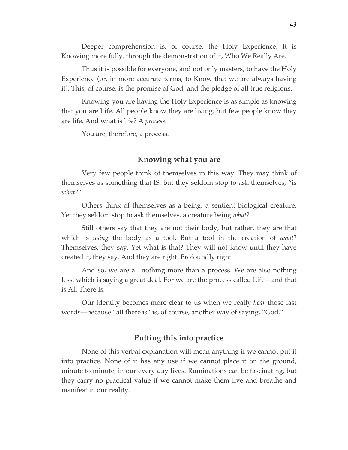Deeper comprehension is, of course, the Holy Experience. It is Knowing more fully, through the demonstration of it, Who We Really Are.

Thus it is possible for everyone, and not only masters, to have the Holy Experience (or, in more accurate terms, to Know that we are always having it). This, of course, is the promise of God, and the pledge of all true religions.

Knowing you are having the Holy Experience is as simple as knowing that you are Life. All people know they are living, but few people know they are life. And what is life? A *process.*

You are, therefore, a process.

## **Knowing what you are**

Very few people think of themselves in this way. They may think of themselves as something that IS, but they seldom stop to ask themselves, "is *what?*"

Others think of themselves as a being, a sentient biological creature. Yet they seldom stop to ask themselves, a creature being *what*?

Still others say that they are not their body, but rather, they are that which is *using* the body as a tool. But a tool in the creation of *what*? Themselves, they say. Yet what is that? They will not know until they have created it, they say. And they are right. Profoundly right.

And so, we are all nothing more than a process. We are also nothing less, which is saying a great deal. For we are the process called Life—and that is All There Is.

Our identity becomes more clear to us when we really *hear* those last words—because "all there is" is, of course, another way of saying, "God."

#### **Putting this into practice**

None of this verbal explanation will mean anything if we cannot put it into practice. None of it has any use if we cannot place it on the ground, minute to minute, in our every day lives. Ruminations can be fascinating, but they carry no practical value if we cannot make them live and breathe and manifest in our reality.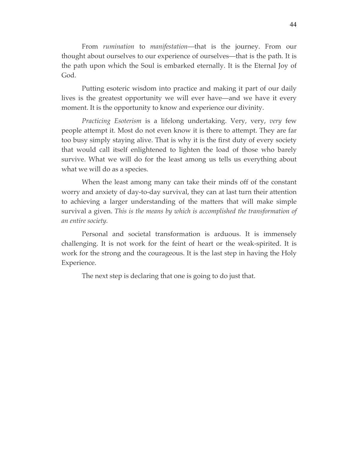From *rumination* to *manifestation*—that is the journey. From our thought about ourselves to our experience of ourselves—that is the path. It is the path upon which the Soul is embarked eternally. It is the Eternal Joy of God.

Putting esoteric wisdom into practice and making it part of our daily lives is the greatest opportunity we will ever have—and we have it every moment. It is the opportunity to know and experience our divinity.

*Practicing Esoterism* is a lifelong undertaking. Very, very, *very* few people attempt it. Most do not even know it is there to attempt. They are far too busy simply staying alive. That is why it is the first duty of every society that would call itself enlightened to lighten the load of those who barely survive. What we will do for the least among us tells us everything about what we will do as a species.

When the least among many can take their minds off of the constant worry and anxiety of day-to-day survival, they can at last turn their attention to achieving a larger understanding of the matters that will make simple survival a given. *This is the means by which is accomplished the transformation of an entire society.* 

Personal and societal transformation is arduous. It is immensely challenging. It is not work for the feint of heart or the weak-spirited. It is work for the strong and the courageous. It is the last step in having the Holy Experience.

The next step is declaring that one is going to do just that.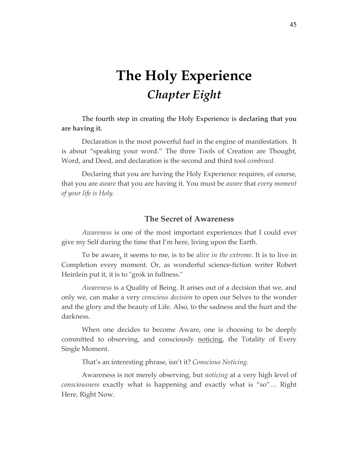# **The Holy Experience** *Chapter Eight*

The fourth step in creating the Holy Experience is **declaring that you are having it.**

Declaration is the most powerful fuel in the engine of manifestation. It is about "speaking your word." The three Tools of Creation are Thought, Word, and Deed, and declaration is the second and third tool *combined.*

Declaring that you are having the Holy Experience requires, of course, that you are *aware* that you are having it. You must be *aware* that *every moment of your life is Holy.*

## **The Secret of Awareness**

*Awareness* is one of the most important experiences that I could ever give my Self during the time that I'm here, living upon the Earth.

To be aware, it seems to me, is to be *alive in the extreme*. It is to live in Completion every moment. Or, as wonderful science-fiction writer Robert Heinlein put it, it is to "grok in fullness."

*Awareness* is a Quality of Being. It arises out of a decision that we, and only we, can make a very *conscious decision* to open our Selves to the wonder and the glory and the beauty of Life. Also, to the sadness and the hurt and the darkness.

When one decides to become Aware, one is choosing to be deeply committed to observing, and consciously noticing, the Totality of Every Single Moment.

That's an interesting phrase, isn't it? *Conscious Noticing.*

Awareness is not merely observing, but *noticing* at a very high level of *consciousness* exactly what is happening and exactly what is "so"… Right Here, Right Now.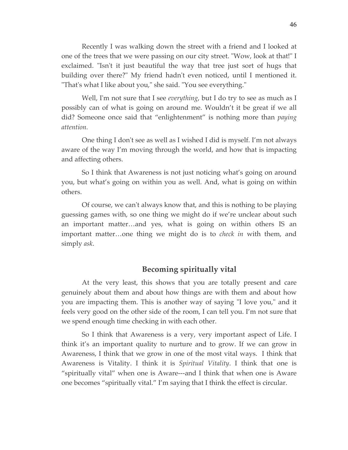Recently I was walking down the street with a friend and I looked at one of the trees that we were passing on our city street. "Wow, look at that!" I exclaimed. "Isn't it just beautiful the way that tree just sort of hugs that building over there?" My friend hadn't even noticed, until I mentioned it. "That's what I like about you," she said. "You see everything."

Well, I'm not sure that I see *everything*, but I do try to see as much as I possibly can of what is going on around me. Wouldn't it be great if we all did? Someone once said that "enlightenment" is nothing more than *paying attention.*

One thing I don't see as well as I wished I did is myself. I'm not always aware of the way I'm moving through the world, and how that is impacting and affecting others.

So I think that Awareness is not just noticing what's going on around you, but what's going on within you as well. And, what is going on within others.

Of course, we can't always know that, and this is nothing to be playing guessing games with, so one thing we might do if we're unclear about such an important matter…and yes, what is going on within others IS an important matter…one thing we might do is to *check in* with them, and simply *ask*.

# **Becoming spiritually vital**

At the very least, this shows that you are totally present and care genuinely about them and about how things are with them and about how you are impacting them. This is another way of saying "I love you," and it feels very good on the other side of the room, I can tell you. I'm not sure that we spend enough time checking in with each other.

So I think that Awareness is a very, very important aspect of Life. I think it's an important quality to nurture and to grow. If we can grow in Awareness, I think that we grow in one of the most vital ways. I think that Awareness is Vitality. I think it is *Spiritual Vitality*. I think that one is "spiritually vital" when one is Aware---and I think that when one is Aware one becomes "spiritually vital." I'm saying that I think the effect is circular.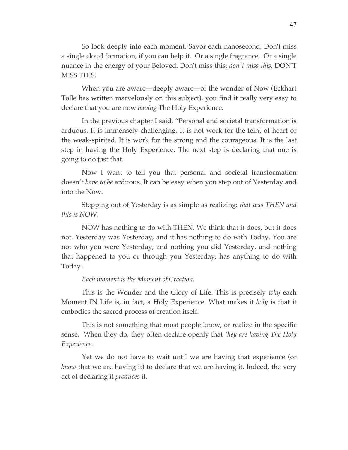So look deeply into each moment. Savor each nanosecond. Don't miss a single cloud formation, if you can help it. Or a single fragrance. Or a single nuance in the energy of your Beloved. Don't miss this; *don't miss this*, DON'T MISS THIS.

When you are aware—deeply aware—of the wonder of Now (Eckhart Tolle has written marvelously on this subject), you find it really very easy to declare that you are now *having* The Holy Experience.

In the previous chapter I said, "Personal and societal transformation is arduous. It is immensely challenging. It is not work for the feint of heart or the weak-spirited. It is work for the strong and the courageous. It is the last step in having the Holy Experience. The next step is declaring that one is going to do just that.

Now I want to tell you that personal and societal transformation doesn't *have to be* arduous. It can be easy when you step out of Yesterday and into the Now.

Stepping out of Yesterday is as simple as realizing: *that was THEN and this is NOW.* 

NOW has nothing to do with THEN. We think that it does, but it does not. Yesterday was Yesterday, and it has nothing to do with Today. You are not who you were Yesterday, and nothing you did Yesterday, and nothing that happened to you or through you Yesterday, has anything to do with Today.

#### *Each moment is the Moment of Creation.*

This is the Wonder and the Glory of Life. This is precisely *why* each Moment IN Life is, in fact, a Holy Experience. What makes it *holy* is that it embodies the sacred process of creation itself.

This is not something that most people know, or realize in the specific sense. When they do, they often declare openly that *they are having The Holy Experience.*

Yet we do not have to wait until we are having that experience (or *know* that we are having it) to declare that we are having it. Indeed, the very act of declaring it *produces* it.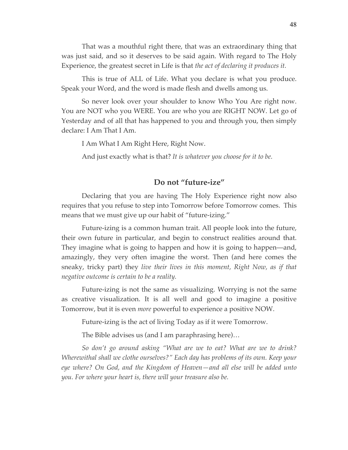That was a mouthful right there, that was an extraordinary thing that was just said, and so it deserves to be said again. With regard to The Holy Experience, the greatest secret in Life is that *the act of declaring it produces it.*

This is true of ALL of Life. What you declare is what you produce. Speak your Word, and the word is made flesh and dwells among us.

So never look over your shoulder to know Who You Are right now. You are NOT who you WERE. You are who you are RIGHT NOW. Let go of Yesterday and of all that has happened to you and through you, then simply declare: I Am That I Am.

I Am What I Am Right Here, Right Now.

And just exactly what is that? *It is whatever you choose for it to be.*

### **Do not "future-ize"**

Declaring that you are having The Holy Experience right now also requires that you refuse to step into Tomorrow before Tomorrow comes. This means that we must give up our habit of "future-izing."

Future-izing is a common human trait. All people look into the future, their own future in particular, and begin to construct realities around that. They imagine what is going to happen and how it is going to happen—and, amazingly, they very often imagine the worst. Then (and here comes the sneaky, tricky part) they *live their lives in this moment, Right Now, as if that negative outcome is certain to be a reality.*

Future-izing is not the same as visualizing. Worrying is not the same as creative visualization. It is all well and good to imagine a positive Tomorrow, but it is even *more* powerful to experience a positive NOW.

Future-izing is the act of living Today as if it were Tomorrow.

The Bible advises us (and I am paraphrasing here)…

*So don't go around asking "What are we to eat? What are we to drink? Wherewithal shall we clothe ourselves?" Each day has problems of its own. Keep your eye where? On God, and the Kingdom of Heaven—and all else will be added unto you. For where your heart is, there will your treasure also be.*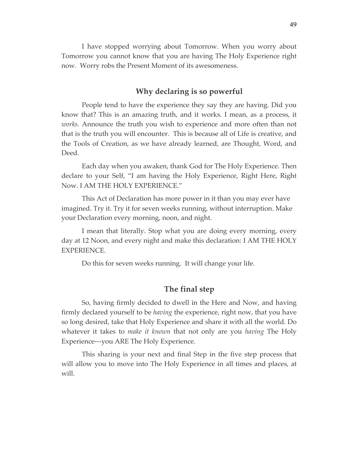I have stopped worrying about Tomorrow. When you worry about Tomorrow you cannot know that you are having The Holy Experience right now. Worry robs the Present Moment of its awesomeness.

# **Why declaring is so powerful**

People tend to have the experience they say they are having. Did you know that? This is an amazing truth, and it works. I mean, as a process, it *works.* Announce the truth you wish to experience and more often than not that is the truth you will encounter. This is because all of Life is creative, and the Tools of Creation, as we have already learned, are Thought, Word, and Deed.

Each day when you awaken, thank God for The Holy Experience. Then declare to your Self, "I am having the Holy Experience, Right Here, Right Now. I AM THE HOLY EXPERIENCE."

This Act of Declaration has more power in it than you may ever have imagined. Try it. Try it for seven weeks running, without interruption. Make your Declaration every morning, noon, and night.

I mean that literally. Stop what you are doing every morning, every day at 12 Noon, and every night and make this declaration: I AM THE HOLY EXPERIENCE.

Do this for seven weeks running. It will change your life.

### **The final step**

So, having firmly decided to dwell in the Here and Now, and having firmly declared yourself to be *having* the experience, right now, that you have so long desired, take that Holy Experience and share it with all the world. Do whatever it takes to *make it known* that not only are you *having* The Holy Experience---you ARE The Holy Experience.

This sharing is your next and final Step in the five step process that will allow you to move into The Holy Experience in all times and places, at will.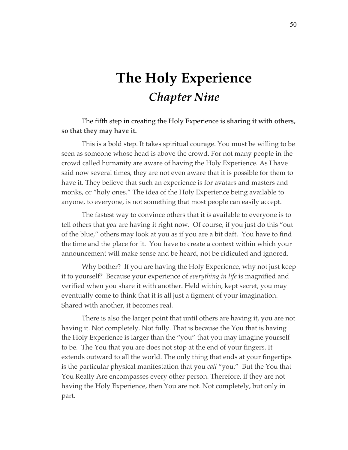# **The Holy Experience** *Chapter Nine*

## The fifth step in creating the Holy Experience is **sharing it with others, so that they may have it.**

This is a bold step. It takes spiritual courage. You must be willing to be seen as someone whose head is above the crowd. For not many people in the crowd called humanity are aware of having the Holy Experience. As I have said now several times, they are not even aware that it is possible for them to have it. They believe that such an experience is for avatars and masters and monks, or "holy ones." The idea of the Holy Experience being available to anyone, to everyone, is not something that most people can easily accept.

The fastest way to convince others that it *is* available to everyone is to tell others that *you* are having it right now. Of course, if you just do this "out of the blue," others may look at you as if you are a bit daft. You have to find the time and the place for it. You have to create a context within which your announcement will make sense and be heard, not be ridiculed and ignored.

Why bother? If you are having the Holy Experience, why not just keep it to yourself? Because your experience of *everything in life* is magnified and verified when you share it with another. Held within, kept secret, you may eventually come to think that it is all just a figment of your imagination. Shared with another, it becomes real.

There is also the larger point that until others are having it, you are not having it. Not completely. Not fully. That is because the You that is having the Holy Experience is larger than the "you" that you may imagine yourself to be. The You that you are does not stop at the end of your fingers. It extends outward to all the world. The only thing that ends at your fingertips is the particular physical manifestation that you *call* "you." But the You that You Really Are encompasses every other person. Therefore, if they are not having the Holy Experience, then You are not. Not completely, but only in part.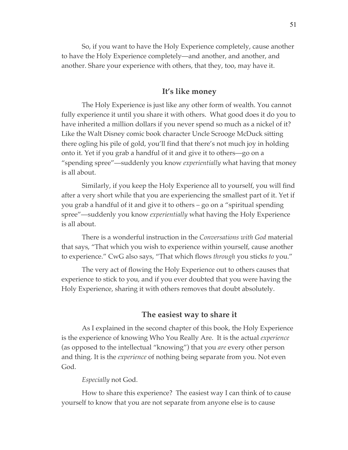So, if you want to have the Holy Experience completely, cause another to have the Holy Experience completely—and another, and another, and another. Share your experience with others, that they, too, may have it.

### **It's like money**

The Holy Experience is just like any other form of wealth. You cannot fully experience it until you share it with others. What good does it do you to have inherited a million dollars if you never spend so much as a nickel of it? Like the Walt Disney comic book character Uncle Scrooge McDuck sitting there ogling his pile of gold, you'll find that there's not much joy in holding onto it. Yet if you grab a handful of it and give it to others—go on a "spending spree"—suddenly you know *experientially* what having that money is all about.

Similarly, if you keep the Holy Experience all to yourself, you will find after a very short while that you are experiencing the smallest part of it. Yet if you grab a handful of it and give it to others – go on a "spiritual spending spree"—suddenly you know *experientially* what having the Holy Experience is all about.

There is a wonderful instruction in the *Conversations with God* material that says, "That which you wish to experience within yourself, cause another to experience." CwG also says, "That which flows *through* you sticks *to* you."

The very act of flowing the Holy Experience out to others causes that experience to stick to you, and if you ever doubted that you were having the Holy Experience, sharing it with others removes that doubt absolutely.

## **The easiest way to share it**

As I explained in the second chapter of this book, the Holy Experience is the experience of knowing Who You Really Are. It is the actual *experience*  (as opposed to the intellectual "knowing") that you *are* every other person and thing. It is the *experience* of nothing being separate from you. Not even God.

#### *Especially* not God.

How to share this experience? The easiest way I can think of to cause yourself to know that you are not separate from anyone else is to cause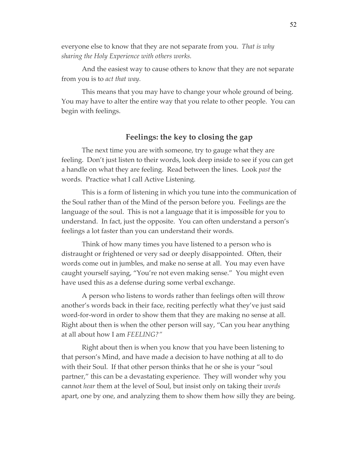everyone else to know that they are not separate from you. *That is why sharing the Holy Experience with others works.* 

And the easiest way to cause others to know that they are not separate from you is to *act that way.* 

This means that you may have to change your whole ground of being. You may have to alter the entire way that you relate to other people. You can begin with feelings.

# **Feelings: the key to closing the gap**

The next time you are with someone, try to gauge what they are feeling. Don't just listen to their words, look deep inside to see if you can get a handle on what they are feeling. Read between the lines. Look *past* the words. Practice what I call Active Listening.

This is a form of listening in which you tune into the communication of the Soul rather than of the Mind of the person before you. Feelings are the language of the soul. This is not a language that it is impossible for you to understand. In fact, just the opposite. You can often understand a person's feelings a lot faster than you can understand their words.

Think of how many times you have listened to a person who is distraught or frightened or very sad or deeply disappointed. Often, their words come out in jumbles, and make no sense at all. You may even have caught yourself saying, "You're not even making sense." You might even have used this as a defense during some verbal exchange.

A person who listens to words rather than feelings often will throw another's words back in their face, reciting perfectly what they've just said word-for-word in order to show them that they are making no sense at all. Right about then is when the other person will say, "Can you hear anything at all about how I am *FEELING?"*

Right about then is when you know that you have been listening to that person's Mind, and have made a decision to have nothing at all to do with their Soul. If that other person thinks that he or she is your "soul partner," this can be a devastating experience. They will wonder why you cannot *hear* them at the level of Soul, but insist only on taking their *words*  apart, one by one, and analyzing them to show them how silly they are being.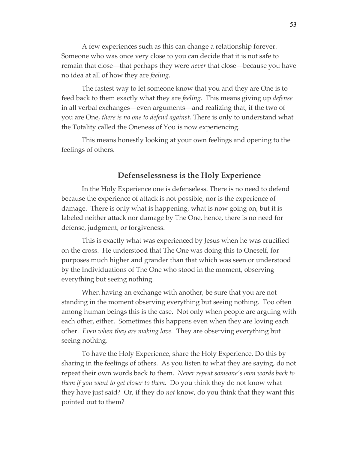A few experiences such as this can change a relationship forever. Someone who was once very close to you can decide that it is not safe to remain that close—that perhaps they were *never* that close—because you have no idea at all of how they are *feeling*.

The fastest way to let someone know that you and they are One is to feed back to them exactly what they are *feeling.* This means giving up *defense* in all verbal exchanges—even arguments—and realizing that, if the two of you are One, *there is no one to defend against.* There is only to understand what the Totality called the Oneness of You is now experiencing.

This means honestly looking at your own feelings and opening to the feelings of others.

### **Defenselessness is the Holy Experience**

In the Holy Experience one is defenseless. There is no need to defend because the experience of attack is not possible, nor is the experience of damage. There is only what is happening, what is now going on, but it is labeled neither attack nor damage by The One, hence, there is no need for defense, judgment, or forgiveness.

This is exactly what was experienced by Jesus when he was crucified on the cross. He understood that The One was doing this to Oneself, for purposes much higher and grander than that which was seen or understood by the Individuations of The One who stood in the moment, observing everything but seeing nothing.

When having an exchange with another, be sure that you are not standing in the moment observing everything but seeing nothing. Too often among human beings this is the case. Not only when people are arguing with each other, either. Sometimes this happens even when they are loving each other. *Even when they are making love.* They are observing everything but seeing nothing.

To have the Holy Experience, share the Holy Experience. Do this by sharing in the feelings of others. As you listen to what they are saying, do not repeat their own words back to them. *Never repeat someone's own words back to them if you want to get closer to them.* Do you think they do not know what they have just said? Or, if they do *not* know, do you think that they want this pointed out to them?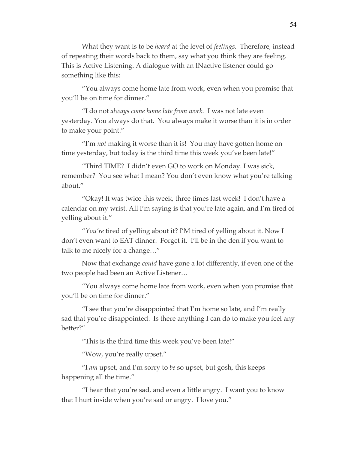What they want is to be *heard* at the level of *feelings.* Therefore, instead of repeating their words back to them, say what you think they are feeling. This is Active Listening. A dialogue with an INactive listener could go something like this:

"You always come home late from work, even when you promise that you'll be on time for dinner."

"I do not *always come home late from work.* I was not late even yesterday. You always do that. You always make it worse than it is in order to make your point."

"I'm *not* making it worse than it is! You may have gotten home on time yesterday, but today is the third time this week you've been late!"

"Third TIME? I didn't even GO to work on Monday. I was sick, remember? You see what I mean? You don't even know what you're talking about."

"Okay! It was twice this week, three times last week! I don't have a calendar on my wrist. All I'm saying is that you're late again, and I'm tired of yelling about it."

"*You're* tired of yelling about it? I'M tired of yelling about it. Now I don't even want to EAT dinner. Forget it. I'll be in the den if you want to talk to me nicely for a change…"

Now that exchange *could* have gone a lot differently, if even one of the two people had been an Active Listener…

"You always come home late from work, even when you promise that you'll be on time for dinner."

"I see that you're disappointed that I'm home so late, and I'm really sad that you're disappointed. Is there anything I can do to make you feel any better?"

"This is the third time this week you've been late!"

"Wow, you're really upset."

"I *am* upset, and I'm sorry to *be* so upset, but gosh, this keeps happening all the time."

"I hear that you're sad, and even a little angry. I want you to know that I hurt inside when you're sad or angry. I love you."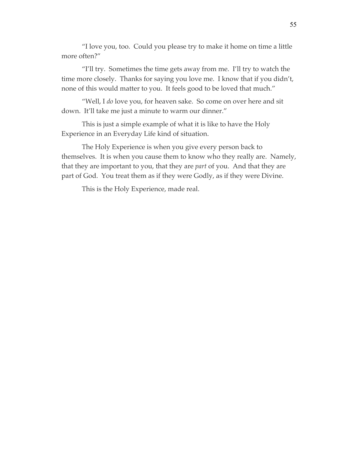"I love you, too. Could you please try to make it home on time a little more often?"

"I'll try. Sometimes the time gets away from me. I'll try to watch the time more closely. Thanks for saying you love me. I know that if you didn't, none of this would matter to you. It feels good to be loved that much."

"Well, I *do* love you, for heaven sake. So come on over here and sit down. It'll take me just a minute to warm our dinner."

This is just a simple example of what it is like to have the Holy Experience in an Everyday Life kind of situation.

The Holy Experience is when you give every person back to themselves. It is when you cause them to know who they really are. Namely, that they are important to you, that they are *part* of you. And that they are part of God. You treat them as if they were Godly, as if they were Divine.

This is the Holy Experience, made real.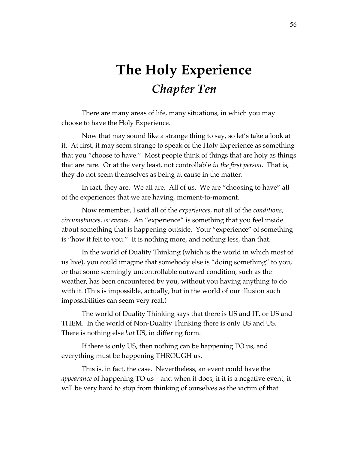# **The Holy Experience** *Chapter Ten*

There are many areas of life, many situations, in which you may choose to have the Holy Experience.

Now that may sound like a strange thing to say, so let's take a look at it. At first, it may seem strange to speak of the Holy Experience as something that you "choose to have." Most people think of things that are holy as things that are rare. Or at the very least, not controllable *in the first person*. That is, they do not seem themselves as being at cause in the matter.

In fact, they are. We all are. All of us. We are "choosing to have" all of the experiences that we are having, moment-to-moment.

Now remember, I said all of the *experiences*, not all of the *conditions, circumstances, or events.* An "experience" is something that you feel inside about something that is happening outside. Your "experience" of something is "how it felt to you." It is nothing more, and nothing less, than that.

In the world of Duality Thinking (which is the world in which most of us live), you could imagine that somebody else is "doing something" to you, or that some seemingly uncontrollable outward condition, such as the weather, has been encountered by you, without you having anything to do with it. (This is impossible, actually, but in the world of our illusion such impossibilities can seem very real.)

The world of Duality Thinking says that there is US and IT, or US and THEM. In the world of Non-Duality Thinking there is only US and US. There is nothing else *but* US, in differing form.

If there is only US, then nothing can be happening TO us, and everything must be happening THROUGH us.

This is, in fact, the case. Nevertheless, an event could have the *appearance* of happening TO us—and when it does, if it is a negative event, it will be very hard to stop from thinking of ourselves as the victim of that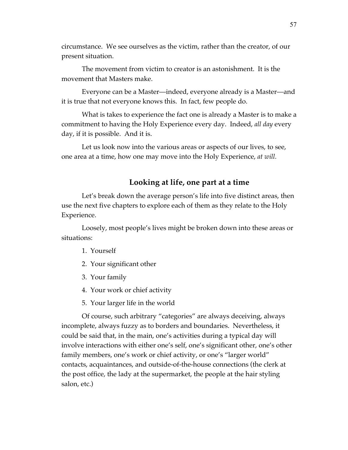circumstance. We see ourselves as the victim, rather than the creator, of our present situation.

The movement from victim to creator is an astonishment. It is the movement that Masters make.

Everyone can be a Master—indeed, everyone already is a Master—and it is true that not everyone knows this. In fact, few people do.

What is takes to experience the fact one is already a Master is to make a commitment to having the Holy Experience every day. Indeed, *all day* every day, if it is possible. And it is.

Let us look now into the various areas or aspects of our lives, to see, one area at a time, how one may move into the Holy Experience, *at will.*

## **Looking at life, one part at a time**

Let's break down the average person's life into five distinct areas, then use the next five chapters to explore each of them as they relate to the Holy Experience.

Loosely, most people's lives might be broken down into these areas or situations:

- 1. Yourself
- 2. Your significant other
- 3. Your family
- 4. Your work or chief activity
- 5. Your larger life in the world

Of course, such arbitrary "categories" are always deceiving, always incomplete, always fuzzy as to borders and boundaries. Nevertheless, it could be said that, in the main, one's activities during a typical day will involve interactions with either one's self, one's significant other, one's other family members, one's work or chief activity, or one's "larger world" contacts, acquaintances, and outside-of-the-house connections (the clerk at the post office, the lady at the supermarket, the people at the hair styling salon, etc.)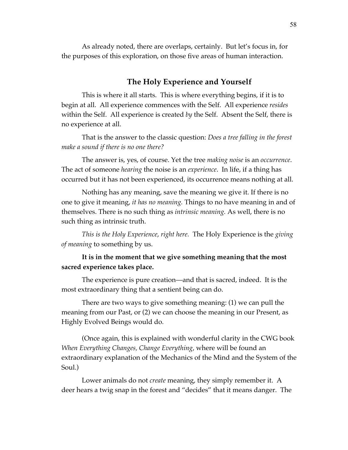As already noted, there are overlaps, certainly. But let's focus in, for the purposes of this exploration, on those five areas of human interaction.

# **The Holy Experience and Yourself**

This is where it all starts. This is where everything begins, if it is to begin at all. All experience commences with the Self. All experience *resides*  within the Self. All experience is created *by* the Self. Absent the Self, there is no experience at all.

That is the answer to the classic question: *Does a tree falling in the forest make a sound if there is no one there?*

The answer is, yes, of course. Yet the tree *making noise* is an *occurrence*. The act of someone *hearing* the noise is an *experience*. In life, if a thing has occurred but it has not been experienced, its occurrence means nothing at all.

Nothing has any meaning, save the meaning we give it. If there is no one to give it meaning, *it has no meaning.* Things to no have meaning in and of themselves. There is no such thing as *intrinsic meaning.* As well, there is no such thing as intrinsic truth.

*This is the Holy Experience*, *right here.* The Holy Experience is the *giving of meaning* to something by us.

# **It is in the moment that we give something meaning that the most sacred experience takes place.**

The experience is pure creation—and that is sacred, indeed. It is the most extraordinary thing that a sentient being can do.

There are two ways to give something meaning: (1) we can pull the meaning from our Past, or (2) we can choose the meaning in our Present, as Highly Evolved Beings would do.

(Once again, this is explained with wonderful clarity in the CWG book *When Everything Changes, Change Everything*, where will be found an extraordinary explanation of the Mechanics of the Mind and the System of the Soul.)

Lower animals do not *create* meaning, they simply remember it. A deer hears a twig snap in the forest and "decides" that it means danger. The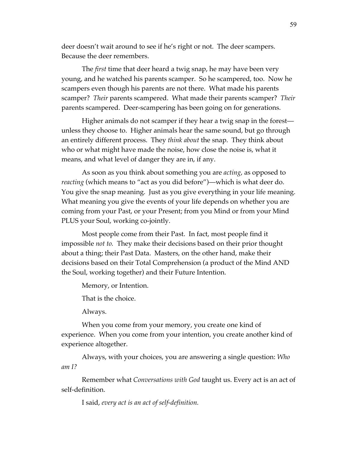deer doesn't wait around to see if he's right or not. The deer scampers. Because the deer remembers.

The *first* time that deer heard a twig snap, he may have been very young, and he watched his parents scamper. So he scampered, too. Now he scampers even though his parents are not there. What made his parents scamper? *Their* parents scampered. What made their parents scamper? *Their*  parents scampered. Deer-scampering has been going on for generations.

Higher animals do not scamper if they hear a twig snap in the forest unless they choose to. Higher animals hear the same sound, but go through an entirely different process. They *think about* the snap. They think about who or what might have made the noise, how close the noise is, what it means, and what level of danger they are in, if any.

As soon as you think about something you are *acting*, as opposed to *reacting* (which means to "act as you did before")—which is what deer do. You give the snap meaning. Just as you give everything in your life meaning. What meaning you give the events of your life depends on whether you are coming from your Past, or your Present; from you Mind or from your Mind PLUS your Soul, working co-jointly.

Most people come from their Past. In fact, most people find it impossible *not to.* They make their decisions based on their prior thought about a thing; their Past Data. Masters, on the other hand, make their decisions based on their Total Comprehension (a product of the Mind AND the Soul, working together) and their Future Intention.

Memory, or Intention.

That is the choice.

Always.

When you come from your memory, you create one kind of experience. When you come from your intention, you create another kind of experience altogether.

Always, with your choices, you are answering a single question: *Who am I?*

Remember what *Conversations with God* taught us. Every act is an act of self-definition.

I said, *every act is an act of self-definition.*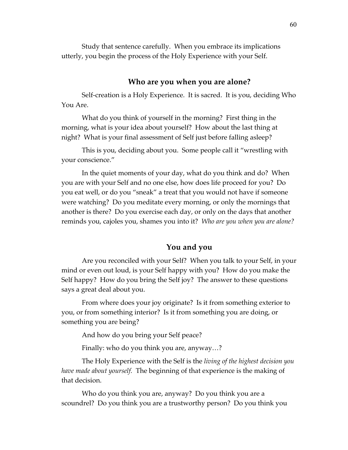Study that sentence carefully. When you embrace its implications utterly, you begin the process of the Holy Experience with your Self.

#### **Who are you when you are alone?**

Self-creation is a Holy Experience. It is sacred. It is you, deciding Who You Are.

What do you think of yourself in the morning? First thing in the morning, what is your idea about yourself? How about the last thing at night? What is your final assessment of Self just before falling asleep?

This is you, deciding about you. Some people call it "wrestling with your conscience."

In the quiet moments of your day, what do you think and do? When you are with your Self and no one else, how does life proceed for you? Do you eat well, or do you "sneak" a treat that you would not have if someone were watching? Do you meditate every morning, or only the mornings that another is there? Do you exercise each day, or only on the days that another reminds you, cajoles you, shames you into it? *Who are you when you are alone?*

#### **You and you**

Are you reconciled with your Self? When you talk to your Self, in your mind or even out loud, is your Self happy with you? How do you make the Self happy? How do you bring the Self joy? The answer to these questions says a great deal about you.

From where does your joy originate? Is it from something exterior to you, or from something interior? Is it from something you are doing, or something you are being?

And how do you bring your Self peace?

Finally: who do you think you are, anyway…?

The Holy Experience with the Self is the *living of the highest decision you have made about yourself.* The beginning of that experience is the making of that decision.

Who do you think you are, anyway? Do you think you are a scoundrel? Do you think you are a trustworthy person? Do you think you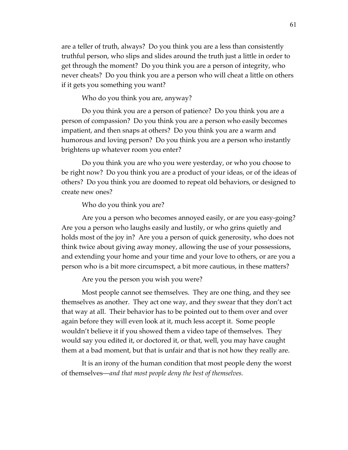are a teller of truth, always? Do you think you are a less than consistently truthful person, who slips and slides around the truth just a little in order to get through the moment? Do you think you are a person of integrity, who never cheats? Do you think you are a person who will cheat a little on others if it gets you something you want?

Who do you think you are, anyway?

Do you think you are a person of patience? Do you think you are a person of compassion? Do you think you are a person who easily becomes impatient, and then snaps at others? Do you think you are a warm and humorous and loving person? Do you think you are a person who instantly brightens up whatever room you enter?

Do you think you are who you were yesterday, or who you choose to be right now? Do you think you are a product of your ideas, or of the ideas of others? Do you think you are doomed to repeat old behaviors, or designed to create new ones?

Who do you think you are?

Are you a person who becomes annoyed easily, or are you easy-going? Are you a person who laughs easily and lustily, or who grins quietly and holds most of the joy in? Are you a person of quick generosity, who does not think twice about giving away money, allowing the use of your possessions, and extending your home and your time and your love to others, or are you a person who is a bit more circumspect, a bit more cautious, in these matters?

Are you the person you wish you were?

Most people cannot see themselves. They are one thing, and they see themselves as another. They act one way, and they swear that they don't act that way at all. Their behavior has to be pointed out to them over and over again before they will even look at it, much less accept it. Some people wouldn't believe it if you showed them a video tape of themselves. They would say you edited it, or doctored it, or that, well, you may have caught them at a bad moment, but that is unfair and that is not how they really are.

It is an irony of the human condition that most people deny the worst of themselves—*and that most people deny the best of themselves.*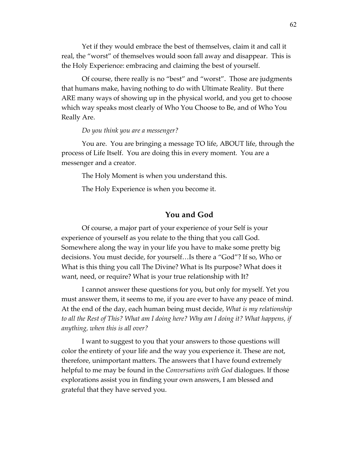Yet if they would embrace the best of themselves, claim it and call it real, the "worst" of themselves would soon fall away and disappear. This is the Holy Experience: embracing and claiming the best of yourself.

Of course, there really is no "best" and "worst". Those are judgments that humans make, having nothing to do with Ultimate Reality. But there ARE many ways of showing up in the physical world, and you get to choose which way speaks most clearly of Who You Choose to Be, and of Who You Really Are.

#### *Do you think you are a messenger?*

You are. You are bringing a message TO life, ABOUT life, through the process of Life Itself. You are doing this in every moment. You are a messenger and a creator.

The Holy Moment is when you understand this.

The Holy Experience is when you become it.

#### **You and God**

Of course, a major part of your experience of your Self is your experience of yourself as you relate to the thing that you call God. Somewhere along the way in your life you have to make some pretty big decisions. You must decide, for yourself…Is there a "God"? If so, Who or What is this thing you call The Divine? What is Its purpose? What does it want, need, or require? What is your true relationship with It?

I cannot answer these questions for you, but only for myself. Yet you must answer them, it seems to me, if you are ever to have any peace of mind. At the end of the day, each human being must decide, *What is my relationship to all the Rest of This? What am I doing here? Why am I doing it? What happens, if anything, when this is all over?*

I want to suggest to you that your answers to those questions will color the entirety of your life and the way you experience it. These are not, therefore, unimportant matters. The answers that I have found extremely helpful to me may be found in the *Conversations with God* dialogues. If those explorations assist you in finding your own answers, I am blessed and grateful that they have served you.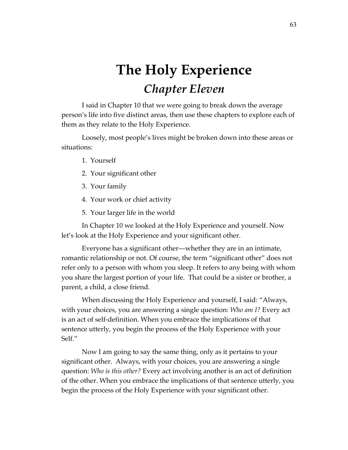# **The Holy Experience** *Chapter Eleven*

I said in Chapter 10 that we were going to break down the average person's life into five distinct areas, then use these chapters to explore each of them as they relate to the Holy Experience.

Loosely, most people's lives might be broken down into these areas or situations:

- 1. Yourself
- 2. Your significant other
- 3. Your family
- 4. Your work or chief activity
- 5. Your larger life in the world

In Chapter 10 we looked at the Holy Experience and yourself. Now let's look at the Holy Experience and your significant other.

Everyone has a significant other—whether they are in an intimate, romantic relationship or not. Of course, the term "significant other" does not refer only to a person with whom you sleep. It refers to any being with whom you share the largest portion of your life. That could be a sister or brother, a parent, a child, a close friend.

When discussing the Holy Experience and yourself, I said: "Always, with your choices, you are answering a single question: *Who am I?* Every act is an act of self-definition. When you embrace the implications of that sentence utterly, you begin the process of the Holy Experience with your Self."

Now I am going to say the same thing, only as it pertains to your significant other. Always, with your choices, you are answering a single question: *Who is this other?* Every act involving another is an act of definition of the other. When you embrace the implications of that sentence utterly, you begin the process of the Holy Experience with your significant other.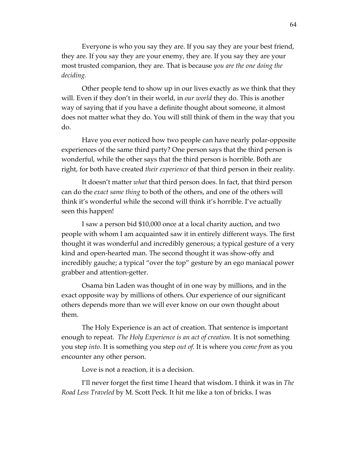Everyone is who you say they are. If you say they are your best friend, they are. If you say they are your enemy, they are. If you say they are your most trusted companion, they are. That is because *you are the one doing the deciding.* 

Other people tend to show up in our lives exactly as we think that they will. Even if they don't in their world, in *our world* they do. This is another way of saying that if you have a definite thought about someone, it almost does not matter what they do. You will still think of them in the way that you do.

Have you ever noticed how two people can have nearly polar-opposite experiences of the same third party? One person says that the third person is wonderful, while the other says that the third person is horrible. Both are right, for both have created *their experience* of that third person in their reality.

It doesn't matter *what* that third person does. In fact, that third person can do the *exact same thing* to both of the others, and one of the others will think it's wonderful while the second will think it's horrible. I've actually seen this happen!

I saw a person bid \$10,000 once at a local charity auction, and two people with whom I am acquainted saw it in entirely different ways. The first thought it was wonderful and incredibly generous; a typical gesture of a very kind and open-hearted man. The second thought it was show-offy and incredibly gauche; a typical "over the top" gesture by an ego maniacal power grabber and attention-getter.

Osama bin Laden was thought of in one way by millions, and in the exact opposite way by millions of others. Our experience of our significant others depends more than we will ever know on our own thought about them.

The Holy Experience is an act of creation. That sentence is important enough to repeat. *The Holy Experience is an act of creation.* It is not something you step *into.* It is something you step *out of.* It is where you *come from* as you encounter any other person.

Love is not a reaction, it is a decision.

I'll never forget the first time I heard that wisdom. I think it was in *The Road Less Traveled* by M. Scott Peck. It hit me like a ton of bricks. I was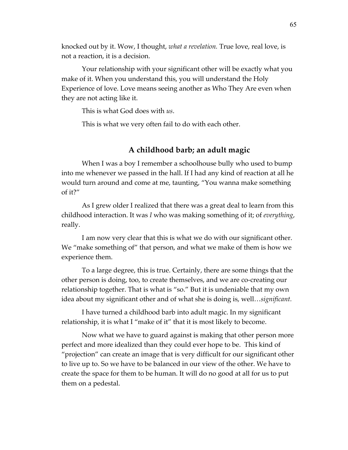knocked out by it. Wow, I thought, *what a revelation.* True love, real love, is not a reaction, it is a decision.

Your relationship with your significant other will be exactly what you make of it. When you understand this, you will understand the Holy Experience of love. Love means seeing another as Who They Are even when they are not acting like it.

This is what God does with *us*.

This is what we very often fail to do with each other.

### **A childhood barb; an adult magic**

When I was a boy I remember a schoolhouse bully who used to bump into me whenever we passed in the hall. If I had any kind of reaction at all he would turn around and come at me, taunting, "You wanna make something of it?"

As I grew older I realized that there was a great deal to learn from this childhood interaction. It was *I* who was making something of it; of *everything*, really.

I am now very clear that this is what we do with our significant other. We "make something of" that person, and what we make of them is how we experience them.

To a large degree, this is true. Certainly, there are some things that the other person is doing, too, to create themselves, and we are co-creating our relationship together. That is what is "so." But it is undeniable that my own idea about my significant other and of what she is doing is, well…*significant.*

I have turned a childhood barb into adult magic. In my significant relationship, it is what I "make of it" that it is most likely to become.

Now what we have to guard against is making that other person more perfect and more idealized than they could ever hope to be. This kind of "projection" can create an image that is very difficult for our significant other to live up to. So we have to be balanced in our view of the other. We have to create the space for them to be human. It will do no good at all for us to put them on a pedestal.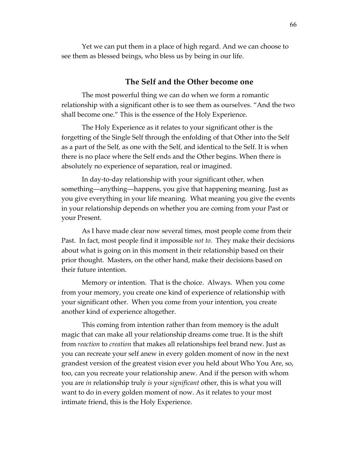Yet we can put them in a place of high regard. And we can choose to see them as blessed beings, who bless us by being in our life.

#### **The Self and the Other become one**

The most powerful thing we can do when we form a romantic relationship with a significant other is to see them as ourselves. "And the two shall become one." This is the essence of the Holy Experience.

The Holy Experience as it relates to your significant other is the forgetting of the Single Self through the enfolding of that Other into the Self as a part of the Self, as one with the Self, and identical to the Self. It is when there is no place where the Self ends and the Other begins. When there is absolutely no experience of separation, real or imagined.

In day-to-day relationship with your significant other, when something—anything—happens, you give that happening meaning. Just as you give everything in your life meaning. What meaning you give the events in your relationship depends on whether you are coming from your Past or your Present.

As I have made clear now several times, most people come from their Past. In fact, most people find it impossible *not to.* They make their decisions about what is going on in this moment in their relationship based on their prior thought. Masters, on the other hand, make their decisions based on their future intention.

Memory or intention. That is the choice. Always. When you come from your memory, you create one kind of experience of relationship with your significant other. When you come from your intention, you create another kind of experience altogether.

This coming from intention rather than from memory is the adult magic that can make all your relationship dreams come true. It is the shift from *reaction* to *creation* that makes all relationships feel brand new. Just as you can recreate your self anew in every golden moment of now in the next grandest version of the greatest vision ever you held about Who You Are, so, too, can you recreate your relationship anew. And if the person with whom you are *in* relationship truly *is* your *significant* other, this is what you will want to do in every golden moment of now. As it relates to your most intimate friend, this is the Holy Experience.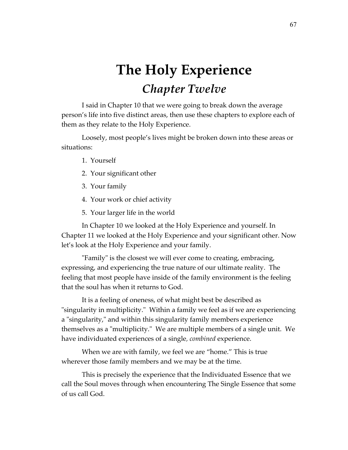# **The Holy Experience** *Chapter Twelve*

I said in Chapter 10 that we were going to break down the average person's life into five distinct areas, then use these chapters to explore each of them as they relate to the Holy Experience.

Loosely, most people's lives might be broken down into these areas or situations:

- 1. Yourself
- 2. Your significant other
- 3. Your family
- 4. Your work or chief activity
- 5. Your larger life in the world

In Chapter 10 we looked at the Holy Experience and yourself. In Chapter 11 we looked at the Holy Experience and your significant other. Now let's look at the Holy Experience and your family.

"Family" is the closest we will ever come to creating, embracing, expressing, and experiencing the true nature of our ultimate reality. The feeling that most people have inside of the family environment is the feeling that the soul has when it returns to God.

It is a feeling of oneness, of what might best be described as "singularity in multiplicity." Within a family we feel as if we are experiencing a "singularity," and within this singularity family members experience themselves as a "multiplicity." We are multiple members of a single unit. We have individuated experiences of a single*, combined* experience.

When we are with family, we feel we are "home." This is true wherever those family members and we may be at the time.

This is precisely the experience that the Individuated Essence that we call the Soul moves through when encountering The Single Essence that some of us call God.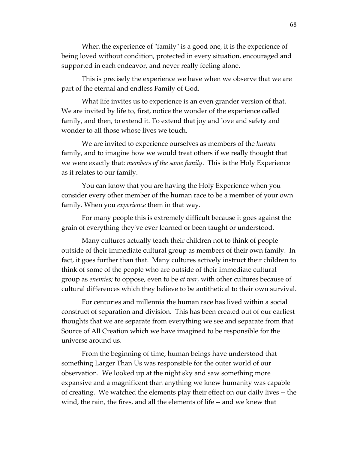When the experience of "family" is a good one, it is the experience of being loved without condition, protected in every situation, encouraged and supported in each endeavor, and never really feeling alone.

This is precisely the experience we have when we observe that we are part of the eternal and endless Family of God.

What life invites us to experience is an even grander version of that. We are invited by life to, first, notice the wonder of the experience called family, and then, to extend it. To extend that joy and love and safety and wonder to all those whose lives we touch.

We are invited to experience ourselves as members of the *human*  family, and to imagine how we would treat others if we really thought that we were exactly that: *members of the same family*. This is the Holy Experience as it relates to our family.

You can know that you are having the Holy Experience when you consider every other member of the human race to be a member of your own family. When you *experience* them in that way.

For many people this is extremely difficult because it goes against the grain of everything they've ever learned or been taught or understood.

Many cultures actually teach their children not to think of people outside of their immediate cultural group as members of their own family. In fact, it goes further than that. Many cultures actively instruct their children to think of some of the people who are outside of their immediate cultural group as *enemies;* to oppose, even to be *at war,* with other cultures because of cultural differences which they believe to be antithetical to their own survival.

For centuries and millennia the human race has lived within a social construct of separation and division. This has been created out of our earliest thoughts that we are separate from everything we see and separate from that Source of All Creation which we have imagined to be responsible for the universe around us.

From the beginning of time, human beings have understood that something Larger Than Us was responsible for the outer world of our observation. We looked up at the night sky and saw something more expansive and a magnificent than anything we knew humanity was capable of creating. We watched the elements play their effect on our daily lives -- the wind, the rain, the fires, and all the elements of life -- and we knew that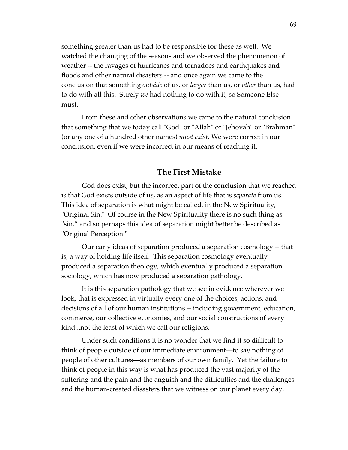something greater than us had to be responsible for these as well. We watched the changing of the seasons and we observed the phenomenon of weather -- the ravages of hurricanes and tornadoes and earthquakes and floods and other natural disasters -- and once again we came to the conclusion that something *outside* of us, or *larger* than us, or *other* than us, had to do with all this. Surely *we* had nothing to do with it, so Someone Else must.

From these and other observations we came to the natural conclusion that something that we today call "God" or "Allah" or "Jehovah" or "Brahman" (or any one of a hundred other names) *must exist.* We were correct in our conclusion, even if we were incorrect in our means of reaching it.

### **The First Mistake**

God does exist, but the incorrect part of the conclusion that we reached is that God exists outside of us, as an aspect of life that is *separate* from us. This idea of separation is what might be called, in the New Spirituality, "Original Sin." Of course in the New Spirituality there is no such thing as "sin," and so perhaps this idea of separation might better be described as "Original Perception."

Our early ideas of separation produced a separation cosmology -- that is, a way of holding life itself. This separation cosmology eventually produced a separation theology, which eventually produced a separation sociology, which has now produced a separation pathology.

It is this separation pathology that we see in evidence wherever we look, that is expressed in virtually every one of the choices, actions, and decisions of all of our human institutions -- including government, education, commerce, our collective economies, and our social constructions of every kind...not the least of which we call our religions.

Under such conditions it is no wonder that we find it so difficult to think of people outside of our immediate environment—to say nothing of people of other cultures—as members of our own family. Yet the failure to think of people in this way is what has produced the vast majority of the suffering and the pain and the anguish and the difficulties and the challenges and the human-created disasters that we witness on our planet every day.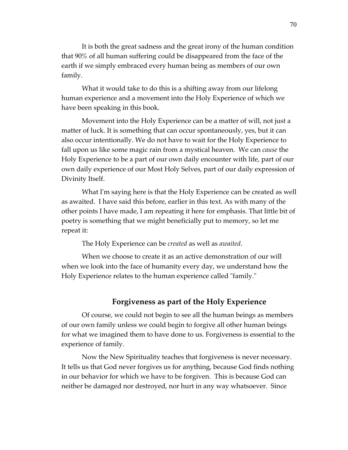It is both the great sadness and the great irony of the human condition that 90% of all human suffering could be disappeared from the face of the earth if we simply embraced every human being as members of our own family.

What it would take to do this is a shifting away from our lifelong human experience and a movement into the Holy Experience of which we have been speaking in this book.

Movement into the Holy Experience can be a matter of will, not just a matter of luck. It is something that can occur spontaneously, yes, but it can also occur intentionally. We do not have to wait for the Holy Experience to fall upon us like some magic rain from a mystical heaven. We can *cause* the Holy Experience to be a part of our own daily encounter with life, part of our own daily experience of our Most Holy Selves, part of our daily expression of Divinity Itself.

What I'm saying here is that the Holy Experience can be created as well as awaited. I have said this before, earlier in this text. As with many of the other points I have made, I am repeating it here for emphasis. That little bit of poetry is something that we might beneficially put to memory, so let me repeat it:

The Holy Experience can be *created* as well as *awaited*.

When we choose to create it as an active demonstration of our will when we look into the face of humanity every day, we understand how the Holy Experience relates to the human experience called "family."

# **Forgiveness as part of the Holy Experience**

Of course, we could not begin to see all the human beings as members of our own family unless we could begin to forgive all other human beings for what we imagined them to have done to us. Forgiveness is essential to the experience of family.

Now the New Spirituality teaches that forgiveness is never necessary. It tells us that God never forgives us for anything, because God finds nothing in our behavior for which we have to be forgiven. This is because God can neither be damaged nor destroyed, nor hurt in any way whatsoever. Since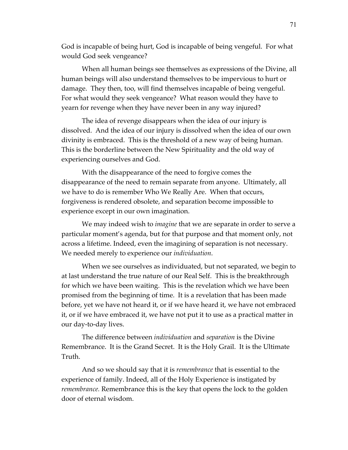God is incapable of being hurt, God is incapable of being vengeful. For what would God seek vengeance?

When all human beings see themselves as expressions of the Divine, all human beings will also understand themselves to be impervious to hurt or damage. They then, too, will find themselves incapable of being vengeful. For what would they seek vengeance? What reason would they have to yearn for revenge when they have never been in any way injured?

The idea of revenge disappears when the idea of our injury is dissolved. And the idea of our injury is dissolved when the idea of our own divinity is embraced. This is the threshold of a new way of being human. This is the borderline between the New Spirituality and the old way of experiencing ourselves and God.

With the disappearance of the need to forgive comes the disappearance of the need to remain separate from anyone. Ultimately, all we have to do is remember Who We Really Are. When that occurs, forgiveness is rendered obsolete, and separation become impossible to experience except in our own imagination.

We may indeed wish to *imagine* that we are separate in order to serve a particular moment's agenda, but for that purpose and that moment only, not across a lifetime. Indeed, even the imagining of separation is not necessary. We needed merely to experience our *individuation*.

When we see ourselves as individuated, but not separated, we begin to at last understand the true nature of our Real Self. This is the breakthrough for which we have been waiting. This is the revelation which we have been promised from the beginning of time. It is a revelation that has been made before, yet we have not heard it, or if we have heard it, we have not embraced it, or if we have embraced it, we have not put it to use as a practical matter in our day-to-day lives.

The difference between *individuation* and *separation* is the Divine Remembrance. It is the Grand Secret. It is the Holy Grail. It is the Ultimate Truth.

And so we should say that it is *remembrance* that is essential to the experience of family. Indeed, all of the Holy Experience is instigated by *remembrance.* Remembrance this is the key that opens the lock to the golden door of eternal wisdom.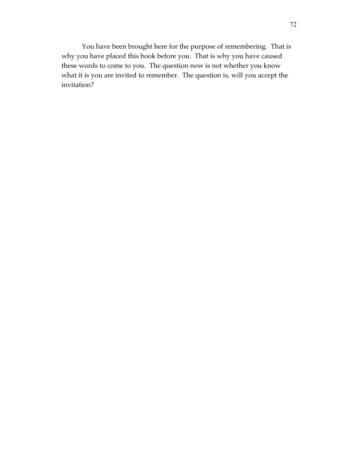You have been brought here for the purpose of remembering. That is why you have placed this book before you. That is why you have caused these words to come to you. The question now is not whether you know what it is you are invited to remember. The question is, will you accept the invitation?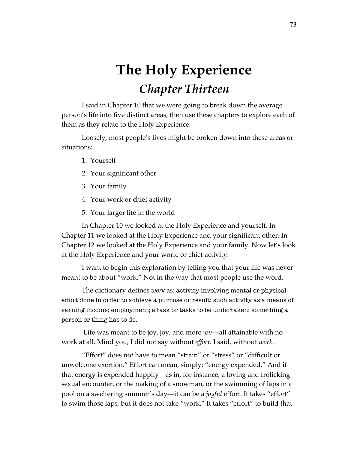# **The Holy Experience** *Chapter Thirteen*

I said in Chapter 10 that we were going to break down the average person's life into five distinct areas, then use these chapters to explore each of them as they relate to the Holy Experience.

Loosely, most people's lives might be broken down into these areas or situations:

- 1. Yourself
- 2. Your significant other
- 3. Your family
- 4. Your work or chief activity
- 5. Your larger life in the world

In Chapter 10 we looked at the Holy Experience and yourself. In Chapter 11 we looked at the Holy Experience and your significant other. In Chapter 12 we looked at the Holy Experience and your family. Now let's look at the Holy Experience and your work, or chief activity.

I want to begin this exploration by telling you that your life was never meant to be about "work." Not in the way that most people use the word.

The dictionary defines *work* as: activity involving mental or physical effort done in order to achieve a purpose or result; such activity as a means of earning income; employment; a task or tasks to be undertaken; something a person or thing has to do.

Life was meant to be joy, joy, and more joy—all attainable with no work at all. Mind you, I did not say without *effort.* I said, without *work.*

"Effort" does not have to mean "strain" or "stress" or "difficult or unwelcome exertion." Effort can mean, simply: "energy expended." And if that energy is expended happily—as in, for instance, a loving and frolicking sexual encounter, or the making of a snowman, or the swimming of laps in a pool on a sweltering summer's day—it can be a *joyful* effort. It takes "effort" to swim those laps, but it does not take "work." It takes "effort" to build that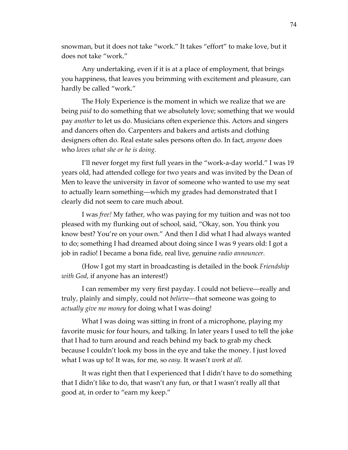snowman, but it does not take "work." It takes "effort" to make love, but it does not take "work."

Any undertaking, even if it is at a place of employment, that brings you happiness, that leaves you brimming with excitement and pleasure, can hardly be called "work."

The Holy Experience is the moment in which we realize that we are being *paid* to do something that we absolutely love; something that we would pay *another* to let us do. Musicians often experience this. Actors and singers and dancers often do. Carpenters and bakers and artists and clothing designers often do. Real estate sales persons often do. In fact, *anyone* does who *loves what she or he is doing.*

I'll never forget my first full years in the "work-a-day world." I was 19 years old, had attended college for two years and was invited by the Dean of Men to leave the university in favor of someone who wanted to use my seat to actually learn something—which my grades had demonstrated that I clearly did not seem to care much about.

I was *free!* My father, who was paying for my tuition and was not too pleased with my flunking out of school, said, "Okay, son. You think you know best? You're on your own." And then I did what I had always wanted to do; something I had dreamed about doing since I was 9 years old: I got a job in radio! I became a bona fide, real live, genuine *radio announcer.* 

(How I got my start in broadcasting is detailed in the book *Friendship with God*, if anyone has an interest!)

I can remember my very first payday. I could not believe—really and truly, plainly and simply, could not *believe*—that someone was going to *actually give me money* for doing what I was doing!

What I was doing was sitting in front of a microphone, playing my favorite music for four hours, and talking. In later years I used to tell the joke that I had to turn around and reach behind my back to grab my check because I couldn't look my boss in the eye and take the money. I just loved what I was up to! It was, for me, so *easy.* It wasn't *work at all.*

It was right then that I experienced that I didn't have to do something that I didn't like to do, that wasn't any fun, or that I wasn't really all that good at, in order to "earn my keep."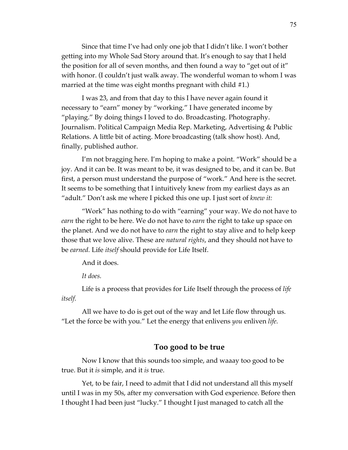Since that time I've had only one job that I didn't like. I won't bother getting into my Whole Sad Story around that. It's enough to say that I held the position for all of seven months, and then found a way to "get out of it" with honor. (I couldn't just walk away. The wonderful woman to whom I was married at the time was eight months pregnant with child #1.)

I was 23, and from that day to this I have never again found it necessary to "earn" money by "working." I have generated income by "playing." By doing things I loved to do. Broadcasting. Photography. Journalism. Political Campaign Media Rep. Marketing, Advertising & Public Relations. A little bit of acting. More broadcasting (talk show host). And, finally, published author.

I'm not bragging here. I'm hoping to make a point. "Work" should be a joy. And it can be. It was meant to be, it was designed to be, and it can be. But first, a person must understand the purpose of "work." And here is the secret. It seems to be something that I intuitively knew from my earliest days as an "adult." Don't ask me where I picked this one up. I just sort of *knew it:*

"Work" has nothing to do with "earning" your way. We do not have to *earn* the right to be here. We do not have to *earn* the right to take up space on the planet. And we do not have to *earn* the right to stay alive and to help keep those that we love alive. These are *natural rights*, and they should not have to be *earned.* Life *itself* should provide for Life Itself.

And it does.

*It does.*

Life is a process that provides for Life Itself through the process of *life itself.*

All we have to do is get out of the way and let Life flow through us. "Let the force be with you." Let the energy that enlivens *you* enliven *life.*

#### **Too good to be true**

Now I know that this sounds too simple, and waaay too good to be true. But it *is* simple, and it *is* true.

Yet, to be fair, I need to admit that I did not understand all this myself until I was in my 50s, after my conversation with God experience. Before then I thought I had been just "lucky." I thought I just managed to catch all the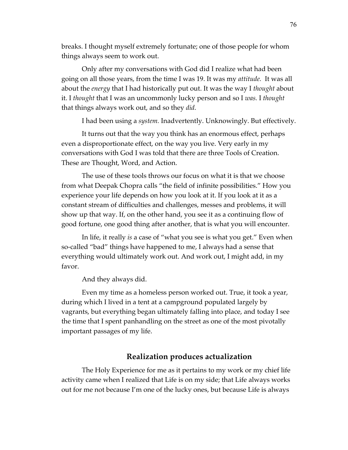breaks. I thought myself extremely fortunate; one of those people for whom things always seem to work out.

Only after my conversations with God did I realize what had been going on all those years, from the time I was 19. It was my *attitude.* It was all about the *energy* that I had historically put out. It was the way I *thought* about it. I *thought* that I was an uncommonly lucky person and so I *was.* I *thought*  that things always work out, and so they *did.* 

I had been using a *system.* Inadvertently. Unknowingly. But effectively.

It turns out that the way you think has an enormous effect, perhaps even a disproportionate effect, on the way you live. Very early in my conversations with God I was told that there are three Tools of Creation. These are Thought, Word, and Action.

The use of these tools throws our focus on what it is that we choose from what Deepak Chopra calls "the field of infinite possibilities." How you experience your life depends on how you look at it. If you look at it as a constant stream of difficulties and challenges, messes and problems, it will show up that way. If, on the other hand, you see it as a continuing flow of good fortune, one good thing after another, that is what you will encounter.

In life, it really *is* a case of "what you see is what you get." Even when so-called "bad" things have happened to me, I always had a sense that everything would ultimately work out. And work out, I might add, in my favor.

And they always did.

Even my time as a homeless person worked out. True, it took a year, during which I lived in a tent at a campground populated largely by vagrants, but everything began ultimately falling into place, and today I see the time that I spent panhandling on the street as one of the most pivotally important passages of my life.

### **Realization produces actualization**

The Holy Experience for me as it pertains to my work or my chief life activity came when I realized that Life is on my side; that Life always works out for me not because I'm one of the lucky ones, but because Life is always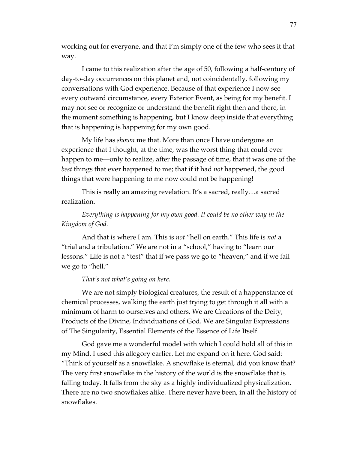working out for everyone, and that I'm simply one of the few who sees it that way.

I came to this realization after the age of 50, following a half-century of day-to-day occurrences on this planet and, not coincidentally, following my conversations with God experience. Because of that experience I now see every outward circumstance, every Exterior Event, as being for my benefit. I may not see or recognize or understand the benefit right then and there, in the moment something is happening, but I know deep inside that everything that is happening is happening for my own good.

My life has *shown* me that. More than once I have undergone an experience that I thought, at the time, was the worst thing that could ever happen to me—only to realize, after the passage of time, that it was one of the *best* things that ever happened to me; that if it had *not* happened, the good things that were happening to me now could not be happening!

This is really an amazing revelation. It's a sacred, really…a sacred realization.

## *Everything is happening for my own good. It could be no other way in the Kingdom of God.*

And that is where I am. This is *not* "hell on earth." This life is *not* a "trial and a tribulation." We are not in a "school," having to "learn our lessons." Life is not a "test" that if we pass we go to "heaven," and if we fail we go to "hell."

#### *That's not what's going on here.*

We are not simply biological creatures, the result of a happenstance of chemical processes, walking the earth just trying to get through it all with a minimum of harm to ourselves and others. We are Creations of the Deity, Products of the Divine, Individuations of God. We are Singular Expressions of The Singularity, Essential Elements of the Essence of Life Itself.

God gave me a wonderful model with which I could hold all of this in my Mind. I used this allegory earlier. Let me expand on it here. God said: "Think of yourself as a snowflake. A snowflake is eternal, did you know that? The very first snowflake in the history of the world is the snowflake that is falling today. It falls from the sky as a highly individualized physicalization. There are no two snowflakes alike. There never have been, in all the history of snowflakes.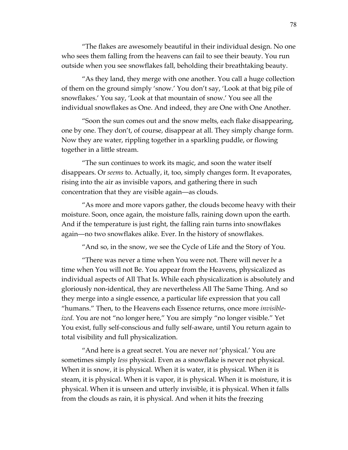"The flakes are awesomely beautiful in their individual design. No one who sees them falling from the heavens can fail to see their beauty. You run outside when you see snowflakes fall, beholding their breathtaking beauty.

"As they land, they merge with one another. You call a huge collection of them on the ground simply 'snow.' You don't say, 'Look at that big pile of snowflakes.' You say, 'Look at that mountain of snow.' You see all the individual snowflakes as One. And indeed, they are One with One Another.

"Soon the sun comes out and the snow melts, each flake disappearing, one by one. They don't, of course, disappear at all. They simply change form. Now they are water, rippling together in a sparkling puddle, or flowing together in a little stream.

"The sun continues to work its magic, and soon the water itself disappears. Or *seems* to. Actually, it, too, simply changes form. It evaporates, rising into the air as invisible vapors, and gathering there in such concentration that they are visible again—as clouds.

"As more and more vapors gather, the clouds become heavy with their moisture. Soon, once again, the moisture falls, raining down upon the earth. And if the temperature is just right, the falling rain turns into snowflakes again—no two snowflakes alike. Ever. In the history of snowflakes.

"And so, in the snow, we see the Cycle of Life and the Story of You.

"There was never a time when You were not. There will never *be* a time when You will not Be. You appear from the Heavens, physicalized as individual aspects of All That Is. While each physicalization is absolutely and gloriously non-identical, they are nevertheless All The Same Thing. And so they merge into a single essence, a particular life expression that you call "humans." Then, to the Heavens each Essence returns, once more *invisibleized.* You are not "no longer here," You are simply "no longer visible." Yet You exist, fully self-conscious and fully self-aware, until You return again to total visibility and full physicalization.

"And here is a great secret. You are never *not* 'physical.' You are sometimes simply *less* physical. Even as a snowflake is never not physical. When it is snow, it is physical. When it is water, it is physical. When it is steam, it is physical. When it is vapor, it is physical. When it is moisture, it is physical. When it is unseen and utterly invisible, it is physical. When it falls from the clouds as rain, it is physical. And when it hits the freezing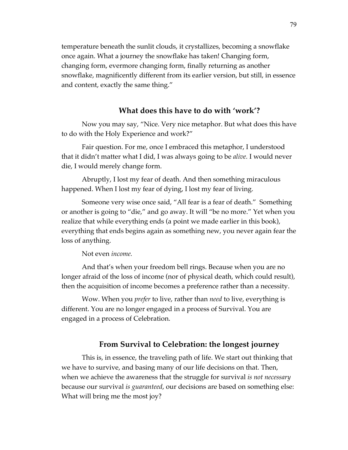temperature beneath the sunlit clouds, it crystallizes, becoming a snowflake once again. What a journey the snowflake has taken! Changing form, changing form, evermore changing form, finally returning as another snowflake, magnificently different from its earlier version, but still, in essence and content, exactly the same thing."

### **What does this have to do with 'work'?**

Now you may say, "Nice. Very nice metaphor. But what does this have to do with the Holy Experience and work?"

Fair question. For me, once I embraced this metaphor, I understood that it didn't matter what I did, I was always going to be *alive.* I would never die, I would merely change form.

Abruptly, I lost my fear of death. And then something miraculous happened. When I lost my fear of dying, I lost my fear of living.

Someone very wise once said, "All fear is a fear of death." Something or another is going to "die," and go away. It will "be no more." Yet when you realize that while everything ends (a point we made earlier in this book), everything that ends begins again as something new, you never again fear the loss of anything.

Not even *income.*

And that's when your freedom bell rings. Because when you are no longer afraid of the loss of income (nor of physical death, which could result), then the acquisition of income becomes a preference rather than a necessity.

Wow. When you *prefer* to live, rather than *need* to live, everything is different. You are no longer engaged in a process of Survival. You are engaged in a process of Celebration.

#### **From Survival to Celebration: the longest journey**

This is, in essence, the traveling path of life. We start out thinking that we have to survive, and basing many of our life decisions on that. Then, when we achieve the awareness that the struggle for survival *is not necessary*  because our survival *is guaranteed*, our decisions are based on something else: What will bring me the most joy?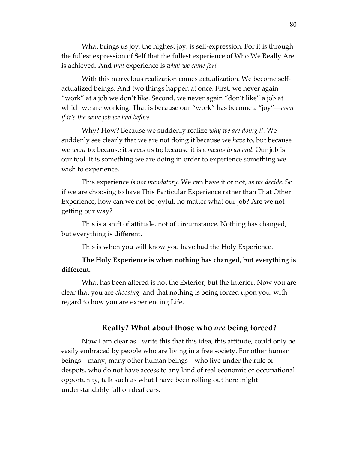What brings us joy, the highest joy, is self-expression. For it is through the fullest expression of Self that the fullest experience of Who We Really Are is achieved. And *that* experience is *what we came for!*

With this marvelous realization comes actualization. We become selfactualized beings. And two things happen at once. First, we never again "work" at a job we don't like. Second, we never again "don't like" a job at which we are working. That is because our "work" has become a "joy"—*even if it's the same job we had before.*

Why? How? Because we suddenly realize *why we are doing it.* We suddenly see clearly that we are not doing it because we *have* to, but because we *want* to; because it *serves* us to; because it is *a means to an end*. Our job is our tool. It is something we are doing in order to experience something we wish to experience.

This experience *is not mandatory.* We can have it or not, *as we decide.* So if we are choosing to have This Particular Experience rather than That Other Experience, how can we not be joyful, no matter what our job? Are we not getting our way?

This is a shift of attitude, not of circumstance. Nothing has changed, but everything is different.

This is when you will know you have had the Holy Experience.

## **The Holy Experience is when nothing has changed, but everything is different.**

What has been altered is not the Exterior, but the Interior. Now you are clear that you are *choosing,* and that nothing is being forced upon you, with regard to how you are experiencing Life.

### **Really? What about those who** *are* **being forced?**

Now I am clear as I write this that this idea, this attitude, could only be easily embraced by people who are living in a free society. For other human beings—many, many other human beings—who live under the rule of despots, who do not have access to any kind of real economic or occupational opportunity, talk such as what I have been rolling out here might understandably fall on deaf ears.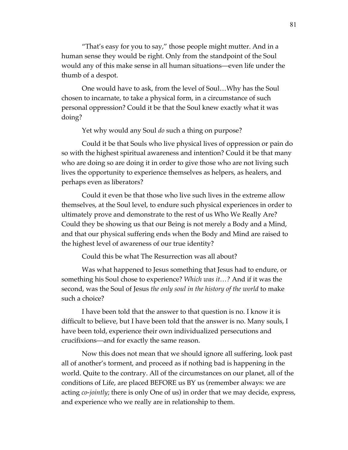"That's easy for you to say," those people might mutter. And in a human sense they would be right. Only from the standpoint of the Soul would any of this make sense in all human situations—even life under the thumb of a despot.

One would have to ask, from the level of Soul…Why has the Soul chosen to incarnate, to take a physical form, in a circumstance of such personal oppression? Could it be that the Soul knew exactly what it was doing?

Yet why would any Soul *do* such a thing on purpose?

Could it be that Souls who live physical lives of oppression or pain do so with the highest spiritual awareness and intention? Could it be that many who are doing so are doing it in order to give those who are not living such lives the opportunity to experience themselves as helpers, as healers, and perhaps even as liberators?

Could it even be that those who live such lives in the extreme allow themselves, at the Soul level, to endure such physical experiences in order to ultimately prove and demonstrate to the rest of us Who We Really Are? Could they be showing us that our Being is not merely a Body and a Mind, and that our physical suffering ends when the Body and Mind are raised to the highest level of awareness of our true identity?

Could this be what The Resurrection was all about?

Was what happened to Jesus something that Jesus had to endure, or something his Soul chose to experience? *Which was it…?* And if it was the second, was the Soul of Jesus *the only soul in the history of the world* to make such a choice?

I have been told that the answer to that question is no. I know it is difficult to believe, but I have been told that the answer is no. Many souls, I have been told, experience their own individualized persecutions and crucifixions—and for exactly the same reason.

Now this does not mean that we should ignore all suffering, look past all of another's torment, and proceed as if nothing bad is happening in the world. Quite to the contrary. All of the circumstances on our planet, all of the conditions of Life, are placed BEFORE us BY us (remember always: we are acting *co-jointly*; there is only One of us) in order that we may decide, express, and experience who we really are in relationship to them.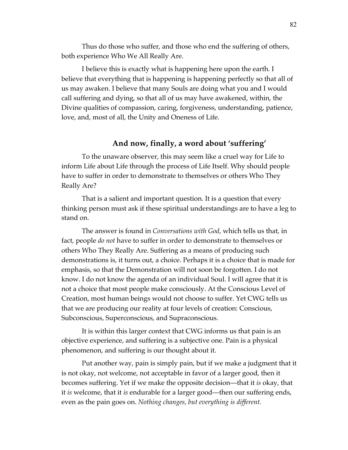Thus do those who suffer, and those who end the suffering of others, both experience Who We All Really Are.

I believe this is exactly what is happening here upon the earth. I believe that everything that is happening is happening perfectly so that all of us may awaken. I believe that many Souls are doing what you and I would call suffering and dying, so that all of us may have awakened, within, the Divine qualities of compassion, caring, forgiveness, understanding, patience, love, and, most of all, the Unity and Oneness of Life.

## **And now, finally, a word about 'suffering'**

To the unaware observer, this may seem like a cruel way for Life to inform Life about Life through the process of Life Itself. Why should people have to suffer in order to demonstrate to themselves or others Who They Really Are?

That is a salient and important question. It is a question that every thinking person must ask if these spiritual understandings are to have a leg to stand on.

The answer is found in *Conversations with God*, which tells us that, in fact, people *do not* have to suffer in order to demonstrate to themselves or others Who They Really Are. Suffering as a means of producing such demonstrations is, it turns out, a choice. Perhaps it is a choice that is made for emphasis, so that the Demonstration will not soon be forgotten. I do not know. I do not know the agenda of an individual Soul. I will agree that it is not a choice that most people make consciously. At the Conscious Level of Creation, most human beings would not choose to suffer. Yet CWG tells us that we are producing our reality at four levels of creation: Conscious, Subconscious, Superconscious, and Supraconscious.

It is within this larger context that CWG informs us that pain is an objective experience, and suffering is a subjective one. Pain is a physical phenomenon, and suffering is our thought about it.

Put another way, pain is simply pain, but if we make a judgment that it is not okay, not welcome, not acceptable in favor of a larger good, then it becomes suffering. Yet if we make the opposite decision—that it *is* okay, that it *is* welcome, that it *is* endurable for a larger good—then our suffering ends, even as the pain goes on. *Nothing changes, but everything is different.*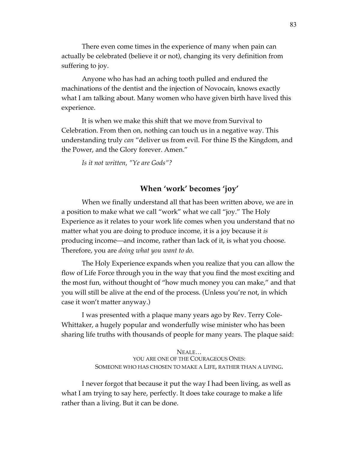There even come times in the experience of many when pain can actually be celebrated (believe it or not), changing its very definition from suffering to joy.

Anyone who has had an aching tooth pulled and endured the machinations of the dentist and the injection of Novocain, knows exactly what I am talking about. Many women who have given birth have lived this experience.

It is when we make this shift that we move from Survival to Celebration. From then on, nothing can touch us in a negative way. This understanding truly *can* "deliver us from evil. For thine IS the Kingdom, and the Power, and the Glory forever. Amen."

*Is it not written, "Ye are Gods"?*

## **When 'work' becomes 'joy'**

When we finally understand all that has been written above, we are in a position to make what we call "work" what we call "joy." The Holy Experience as it relates to your work life comes when you understand that no matter what you are doing to produce income, it is a joy because it *is*  producing income—and income, rather than lack of it, is what you choose. Therefore, you are *doing what you want to do.*

The Holy Experience expands when you realize that you can allow the flow of Life Force through you in the way that you find the most exciting and the most fun, without thought of "how much money you can make," and that you will still be alive at the end of the process. (Unless you're not, in which case it won't matter anyway.)

I was presented with a plaque many years ago by Rev. Terry Cole-Whittaker, a hugely popular and wonderfully wise minister who has been sharing life truths with thousands of people for many years. The plaque said:

> NEALE… YOU ARE ONE OF THE COURAGEOUS ONES: SOMEONE WHO HAS CHOSEN TO MAKE A LIFE, RATHER THAN A LIVING.

I never forgot that because it put the way I had been living, as well as what I am trying to say here, perfectly. It does take courage to make a life rather than a living. But it can be done.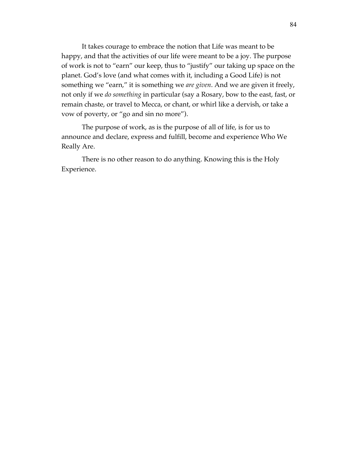It takes courage to embrace the notion that Life was meant to be happy, and that the activities of our life were meant to be a joy. The purpose of work is not to "earn" our keep, thus to "justify" our taking up space on the planet. God's love (and what comes with it, including a Good Life) is not something we "earn," it is something we *are given*. And we are given it freely, not only if we *do something* in particular (say a Rosary, bow to the east, fast, or remain chaste, or travel to Mecca, or chant, or whirl like a dervish, or take a vow of poverty, or "go and sin no more").

The purpose of work, as is the purpose of all of life, is for us to announce and declare, express and fulfill, become and experience Who We Really Are.

There is no other reason to do anything. Knowing this is the Holy Experience.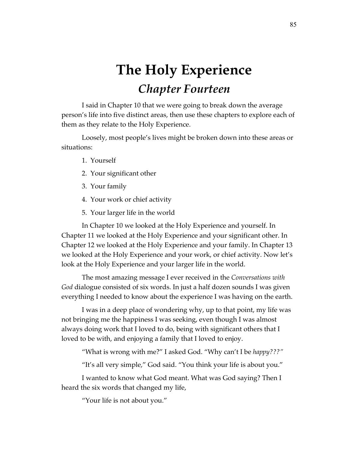# **The Holy Experience** *Chapter Fourteen*

I said in Chapter 10 that we were going to break down the average person's life into five distinct areas, then use these chapters to explore each of them as they relate to the Holy Experience.

Loosely, most people's lives might be broken down into these areas or situations:

- 1. Yourself
- 2. Your significant other
- 3. Your family
- 4. Your work or chief activity
- 5. Your larger life in the world

In Chapter 10 we looked at the Holy Experience and yourself. In Chapter 11 we looked at the Holy Experience and your significant other. In Chapter 12 we looked at the Holy Experience and your family. In Chapter 13 we looked at the Holy Experience and your work, or chief activity. Now let's look at the Holy Experience and your larger life in the world.

The most amazing message I ever received in the *Conversations with God* dialogue consisted of six words. In just a half dozen sounds I was given everything I needed to know about the experience I was having on the earth.

I was in a deep place of wondering why, up to that point, my life was not bringing me the happiness I was seeking, even though I was almost always doing work that I loved to do, being with significant others that I loved to be with, and enjoying a family that I loved to enjoy.

"What is wrong with me?" I asked God. "Why can't I be *happy???"*

"It's all very simple," God said. "You think your life is about you."

I wanted to know what God meant. What was God saying? Then I heard the six words that changed my life,

"Your life is not about you."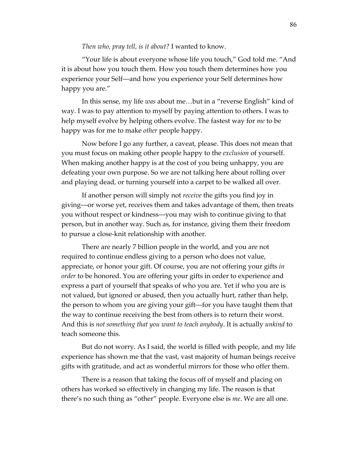*Then who, pray tell, is it about?* I wanted to know.

"Your life is about everyone whose life you touch," God told me. "And it is about how you touch them. How you touch them determines how you experience your Self—and how you experience your Self determines how happy you are."

In this sense, my life *was* about me…but in a "reverse English" kind of way. I was to pay attention to myself by paying attention to others. I was to help myself evolve by helping others evolve. The fastest way for *me* to be happy was for me to make *other* people happy.

Now before I go any further, a caveat, please. This does not mean that you must focus on making other people happy to the *exclusion* of yourself. When making another happy is at the cost of you being unhappy, you are defeating your own purpose. So we are not talking here about rolling over and playing dead, or turning yourself into a carpet to be walked all over.

If another person will simply not *receive* the gifts you find joy in giving—or worse yet, receives them and takes advantage of them, then treats you without respect or kindness—you may wish to continue giving to that person, but in another way. Such as, for instance, giving them their freedom to pursue a close-knit relationship with another.

There are nearly 7 billion people in the world, and you are not required to continue endless giving to a person who does not value, appreciate, or honor your gift. Of course, you are not offering your gifts *in order* to be honored. You are offering your gifts in order to experience and express a part of yourself that speaks of who you are. Yet if who you are is not valued, but ignored or abused, then you actually hurt, rather than help, the person to whom you are giving your gift—for you have taught them that the way to continue receiving the best from others is to return their worst. And this is *not something that you want to teach anybody*. It is actually *unkind* to teach someone this.

But do not worry. As I said, the world is filled with people, and my life experience has shown me that the vast, vast majority of human beings receive gifts with gratitude, and act as wonderful mirrors for those who offer them.

There is a reason that taking the focus off of myself and placing on others has worked so effectively in changing my life. The reason is that there's no such thing as "other" people. Everyone else is *me*. We are all one.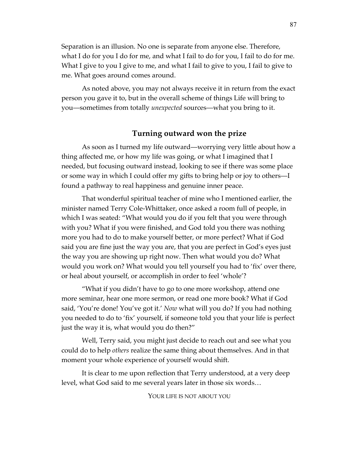Separation is an illusion. No one is separate from anyone else. Therefore, what I do for you I do for me, and what I fail to do for you, I fail to do for me. What I give to you I give to me, and what I fail to give to you, I fail to give to me. What goes around comes around.

As noted above, you may not always receive it in return from the exact person you gave it to, but in the overall scheme of things Life will bring to you—sometimes from totally *unexpected* sources—what you bring to it.

## **Turning outward won the prize**

As soon as I turned my life outward—worrying very little about how a thing affected me, or how my life was going, or what I imagined that I needed, but focusing outward instead, looking to see if there was some place or some way in which I could offer my gifts to bring help or joy to others—I found a pathway to real happiness and genuine inner peace.

That wonderful spiritual teacher of mine who I mentioned earlier, the minister named Terry Cole-Whittaker, once asked a room full of people, in which I was seated: "What would you do if you felt that you were through with you? What if you were finished, and God told you there was nothing more you had to do to make yourself better, or more perfect? What if God said you are fine just the way you are, that you are perfect in God's eyes just the way you are showing up right now. Then what would you do? What would you work on? What would you tell yourself you had to 'fix' over there, or heal about yourself, or accomplish in order to feel 'whole'?

"What if you didn't have to go to one more workshop, attend one more seminar, hear one more sermon, or read one more book? What if God said, 'You're done! You've got it.' *Now* what will you do? If you had nothing you needed to do to 'fix' yourself, if someone told you that your life is perfect just the way it is, what would you do then?"

Well, Terry said, you might just decide to reach out and see what you could do to help *others* realize the same thing about themselves. And in that moment your whole experience of yourself would shift.

It is clear to me upon reflection that Terry understood, at a very deep level, what God said to me several years later in those six words…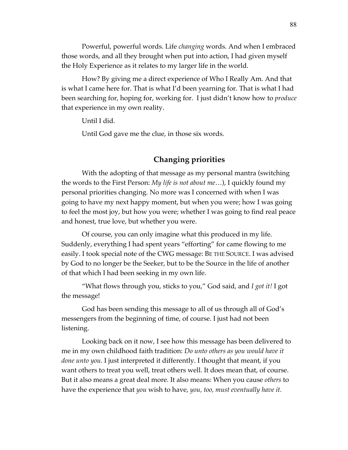Powerful, powerful words. Life *changing* words. And when I embraced those words, and all they brought when put into action, I had given myself the Holy Experience as it relates to my larger life in the world.

How? By giving me a direct experience of Who I Really Am. And that is what I came here for. That is what I'd been yearning for. That is what I had been searching for, hoping for, working for. I just didn't know how to *produce*  that experience in my own reality.

Until I did.

Until God gave me the clue, in those six words.

## **Changing priorities**

With the adopting of that message as my personal mantra (switching the words to the First Person: *My life is not about me*…), I quickly found my personal priorities changing. No more was I concerned with when I was going to have my next happy moment, but when you were; how I was going to feel the most joy, but how you were; whether I was going to find real peace and honest, true love, but whether you were.

Of course, you can only imagine what this produced in my life. Suddenly, everything I had spent years "efforting" for came flowing to me easily. I took special note of the CWG message: BE THE SOURCE. I was advised by God to no longer be the Seeker, but to be the Source in the life of another of that which I had been seeking in my own life.

"What flows through you, sticks to you," God said, and *I got it!* I got the message!

God has been sending this message to all of us through all of God's messengers from the beginning of time, of course. I just had not been listening.

Looking back on it now, I see how this message has been delivered to me in my own childhood faith tradition: *Do unto others as you would have it done unto you.* I just interpreted it differently. I thought that meant, if you want others to treat you well, treat others well. It does mean that, of course. But it also means a great deal more. It also means: When you cause *others* to have the experience that *you* wish to have, *you, too, must eventually have it.*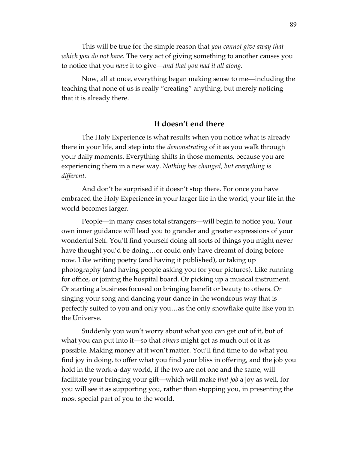This will be true for the simple reason that *you cannot give away that which you do not have.* The very act of giving something to another causes you to notice that you *have* it to give—*and that you had it all along.*

Now, all at once, everything began making sense to me—including the teaching that none of us is really "creating" anything, but merely noticing that it is already there.

#### **It doesn't end there**

The Holy Experience is what results when you notice what is already there in your life, and step into the *demonstrating* of it as you walk through your daily moments. Everything shifts in those moments, because you are experiencing them in a new way. *Nothing has changed, but everything is different.*

And don't be surprised if it doesn't stop there. For once you have embraced the Holy Experience in your larger life in the world, your life in the world becomes larger.

People—in many cases total strangers—will begin to notice you. Your own inner guidance will lead you to grander and greater expressions of your wonderful Self. You'll find yourself doing all sorts of things you might never have thought you'd be doing…or could only have dreamt of doing before now. Like writing poetry (and having it published), or taking up photography (and having people asking you for your pictures). Like running for office, or joining the hospital board. Or picking up a musical instrument. Or starting a business focused on bringing benefit or beauty to others. Or singing your song and dancing your dance in the wondrous way that is perfectly suited to you and only you…as the only snowflake quite like you in the Universe.

Suddenly you won't worry about what you can get out of it, but of what you can put into it—so that *others* might get as much out of it as possible. Making money at it won't matter. You'll find time to do what you find joy in doing, to offer what you find your bliss in offering, and the job you hold in the work-a-day world, if the two are not one and the same, will facilitate your bringing your gift—which will make *that job* a joy as well, for you will see it as supporting you, rather than stopping you, in presenting the most special part of you to the world.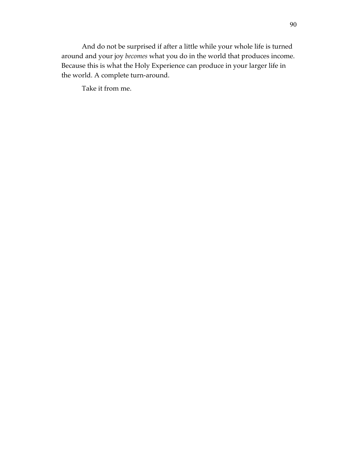And do not be surprised if after a little while your whole life is turned around and your joy *becomes* what you do in the world that produces income. Because this is what the Holy Experience can produce in your larger life in the world. A complete turn-around.

Take it from me.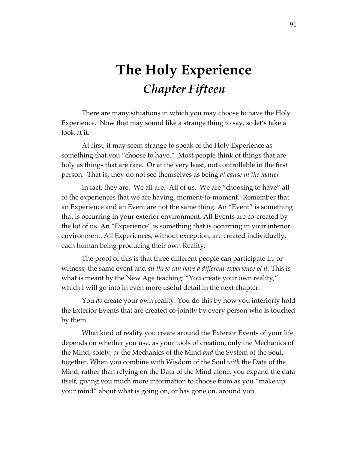## **The Holy Experience** *Chapter Fifteen*

There are many situations in which you may choose to have the Holy Experience. Now that may sound like a strange thing to say, so let's take a look at it.

At first, it may seem strange to speak of the Holy Experience as something that you "choose to have." Most people think of things that are holy as things that are rare. Or at the very least, not controllable in the first person. That is, they do not see themselves as being *at cause in the matter.* 

In fact, they are. We all are. All of us. We are "choosing to have" all of the experiences that we are having, moment-to-moment. Remember that an Experience and an Event are not the same thing. An "Event" is something that is occurring in your exterior environment. All Events are co-created by the lot of us. An "Experience" is something that is occurring in your interior environment. All Experiences, without exception, are created individually, each human being producing their own Reality.

The proof of this is that three different people can participate in, or witness, the same event and *all three can have a different experience of it.* This is what is meant by the New Age teaching: "You create your own reality," which I will go into in even more useful detail in the next chapter.

You *do* create your own reality. You do this by how you interiorly hold the Exterior Events that are created co-jointly by every person who is touched by them.

What kind of reality you create around the Exterior Events of your life depends on whether you use, as your tools of creation, only the Mechanics of the Mind, solely, *or* the Mechanics of the Mind *and* the System of the Soul, together. When you combine with Wisdom of the Soul *with* the Data of the Mind, rather than relying on the Data of the Mind alone, you expand the data itself, giving you much more information to choose from as you "make up your mind" about what is going on, or has gone on, around you.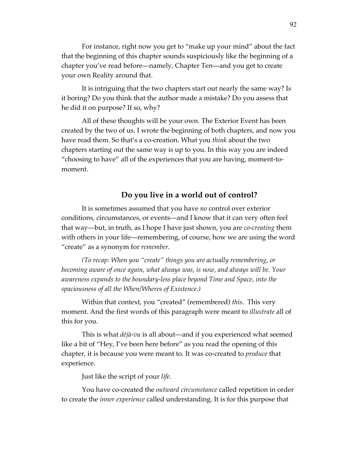For instance, right now you get to "make up your mind" about the fact that the beginning of this chapter sounds suspiciously like the beginning of a chapter you've read before—namely, Chapter Ten—and you get to create your own Reality around that.

It is intriguing that the two chapters start out nearly the same way? Is it boring? Do you think that the author made a mistake? Do you assess that he did it on purpose? If so, why?

All of these thoughts will be your own. The Exterior Event has been created by the two of us. I wrote the beginning of both chapters, and now you have read them. So that's a co-creation. What you *think* about the two chapters starting out the same way is up to you. In this way you are indeed "choosing to have" all of the experiences that you are having, moment-tomoment.

## **Do you live in a world out of control?**

It is sometimes assumed that you have *no* control over exterior conditions, circumstances, or events—and I know that it can very often feel that way—but, in truth, as I hope I have just shown, you are *co-creating* them with others in your life—remembering, of course, how we are using the word "create" as a synonym for *remember.* 

*(To recap: When you "create" things you are actually remembering, or becoming aware of once again, what always was, is now, and always will be. Your awareness expands to the boundary-less place beyond Time and Space, into the spaciousness of all the When/Wheres of Existence.)* 

Within that context, you "created" (remembered) *this*. This very moment. And the first words of this paragraph were meant to *illustrate* all of this for you.

This is what *déjà-vu* is all about—and if you experienced what seemed like a bit of "Hey, I've been here before" as you read the opening of this chapter, it is because you were meant to. It was co-created to *produce* that experience.

Just like the script of your *life.*

You have co-created the *outward circumstance* called repetition in order to create the *inner experience* called understanding*.* It is for this purpose that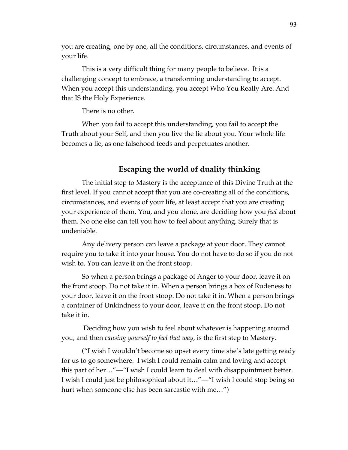you are creating, one by one, all the conditions, circumstances, and events of your life.

This is a very difficult thing for many people to believe. It is a challenging concept to embrace, a transforming understanding to accept. When you accept this understanding, you accept Who You Really Are. And that IS the Holy Experience.

There is no other.

When you fail to accept this understanding, you fail to accept the Truth about your Self, and then you live the lie about you. Your whole life becomes a lie, as one falsehood feeds and perpetuates another.

## **Escaping the world of duality thinking**

The initial step to Mastery is the acceptance of this Divine Truth at the first level. If you cannot accept that you are co-creating all of the conditions, circumstances, and events of your life, at least accept that you are creating your experience of them. You, and you alone, are deciding how you *feel* about them. No one else can tell you how to feel about anything. Surely that is undeniable.

Any delivery person can leave a package at your door. They cannot require you to take it into your house. You do not have to do so if you do not wish to. You can leave it on the front stoop.

So when a person brings a package of Anger to your door, leave it on the front stoop. Do not take it in. When a person brings a box of Rudeness to your door, leave it on the front stoop. Do not take it in. When a person brings a container of Unkindness to your door, leave it on the front stoop. Do not take it in.

 Deciding how you wish to feel about whatever is happening around you, and then *causing yourself to feel that way*, is the first step to Mastery.

("I wish I wouldn't become so upset every time she's late getting ready for us to go somewhere. I wish I could remain calm and loving and accept this part of her…"—"I wish I could learn to deal with disappointment better. I wish I could just be philosophical about it…"—"I wish I could stop being so hurt when someone else has been sarcastic with me…")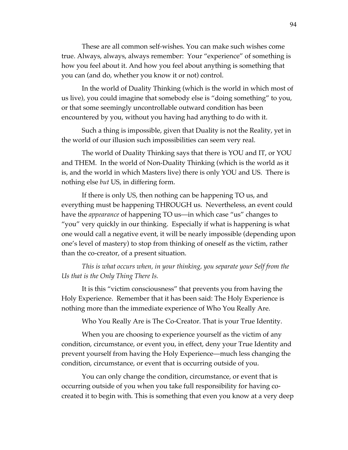These are all common self-wishes. You can make such wishes come true. Always, always, always remember: Your "experience" of something is how you feel about it. And how you feel about anything is something that you can (and do, whether you know it or not) control.

In the world of Duality Thinking (which is the world in which most of us live), you could imagine that somebody else is "doing something" to you, or that some seemingly uncontrollable outward condition has been encountered by you, without you having had anything to do with it.

Such a thing is impossible, given that Duality is not the Reality, yet in the world of our illusion such impossibilities can seem very real.

The world of Duality Thinking says that there is YOU and IT, or YOU and THEM. In the world of Non-Duality Thinking (which is the world as it is, and the world in which Masters live) there is only YOU and US. There is nothing else *but* US, in differing form.

If there is only US, then nothing can be happening TO us, and everything must be happening THROUGH us. Nevertheless, an event could have the *appearance* of happening TO us—in which case "us" changes to "you" very quickly in our thinking. Especially if what is happening is what one would call a negative event, it will be nearly impossible (depending upon one's level of mastery) to stop from thinking of oneself as the victim, rather than the co-creator, of a present situation.

*This is what occurs when, in your thinking, you separate your Self from the Us that is the Only Thing There Is.* 

It is this "victim consciousness" that prevents you from having the Holy Experience. Remember that it has been said: The Holy Experience is nothing more than the immediate experience of Who You Really Are.

Who You Really Are is The Co-Creator. That is your True Identity.

When you are choosing to experience yourself as the victim of any condition, circumstance, or event you, in effect, deny your True Identity and prevent yourself from having the Holy Experience—much less changing the condition, circumstance, or event that is occurring outside of you.

You can only change the condition, circumstance, or event that is occurring outside of you when you take full responsibility for having cocreated it to begin with. This is something that even you know at a very deep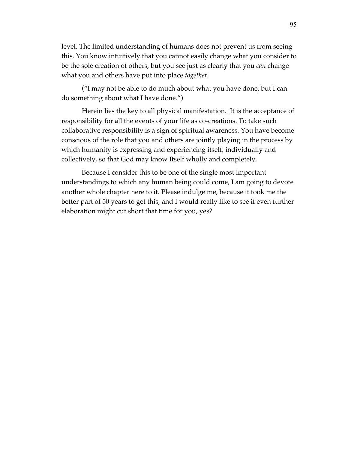level. The limited understanding of humans does not prevent us from seeing this. You know intuitively that you cannot easily change what you consider to be the sole creation of others, but you see just as clearly that you *can* change what you and others have put into place *together*.

("I may not be able to do much about what you have done, but I can do something about what I have done.")

Herein lies the key to all physical manifestation. It is the acceptance of responsibility for all the events of your life as co-creations. To take such collaborative responsibility is a sign of spiritual awareness. You have become conscious of the role that you and others are jointly playing in the process by which humanity is expressing and experiencing itself, individually and collectively, so that God may know Itself wholly and completely.

Because I consider this to be one of the single most important understandings to which any human being could come, I am going to devote another whole chapter here to it. Please indulge me, because it took me the better part of 50 years to get this, and I would really like to see if even further elaboration might cut short that time for you, yes?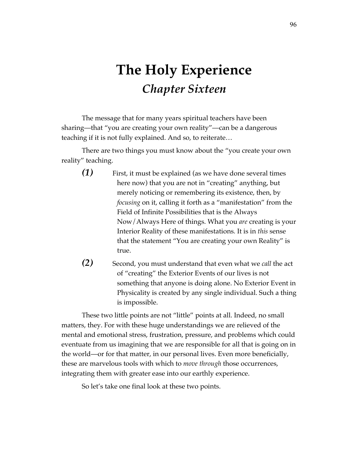# **The Holy Experience** *Chapter Sixteen*

The message that for many years spiritual teachers have been sharing—that "you are creating your own reality"—can be a dangerous teaching if it is not fully explained. And so, to reiterate…

There are two things you must know about the "you create your own reality" teaching.

- *(1)* First, it must be explained (as we have done several times here now) that you are not in "creating" anything, but merely noticing or remembering its existence, then, by *focusing* on it, calling it forth as a "manifestation" from the Field of Infinite Possibilities that is the Always Now/Always Here of things. What you *are* creating is your Interior Reality of these manifestations*.* It is in *this* sense that the statement "You are creating your own Reality" is true.
- *(2)* Second, you must understand that even what we *call* the act of "creating" the Exterior Events of our lives is not something that anyone is doing alone. No Exterior Event in Physicality is created by any single individual. Such a thing is impossible.

These two little points are not "little" points at all. Indeed, no small matters, they. For with these huge understandings we are relieved of the mental and emotional stress, frustration, pressure, and problems which could eventuate from us imagining that we are responsible for all that is going on in the world—or for that matter, in our personal lives. Even more beneficially, these are marvelous tools with which to *move through* those occurrences, integrating them with greater ease into our earthly experience.

So let's take one final look at these two points.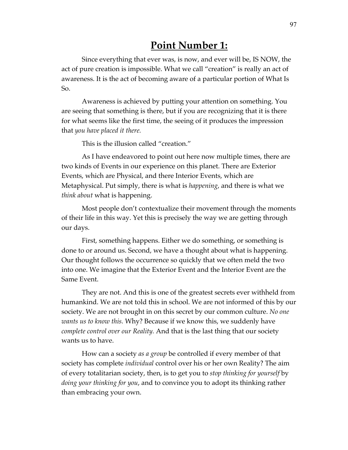## **Point Number 1:**

Since everything that ever was, is now, and ever will be, IS NOW, the act of pure creation is impossible. What we call "creation" is really an act of awareness. It is the act of becoming aware of a particular portion of What Is So.

Awareness is achieved by putting your attention on something. You are seeing that something is there, but if you are recognizing that it is there for what seems like the first time, the seeing of it produces the impression that *you have placed it there.* 

This is the illusion called "creation."

As I have endeavored to point out here now multiple times, there are two kinds of Events in our experience on this planet. There are Exterior Events, which are Physical, and there Interior Events, which are Metaphysical. Put simply, there is what is *happening*, and there is what we *think about* what is happening.

Most people don't contextualize their movement through the moments of their life in this way. Yet this is precisely the way we are getting through our days.

First, something happens. Either we do something, or something is done to or around us. Second, we have a thought about what is happening. Our thought follows the occurrence so quickly that we often meld the two into one. We imagine that the Exterior Event and the Interior Event are the Same Event.

They are not. And this is one of the greatest secrets ever withheld from humankind. We are not told this in school. We are not informed of this by our society. We are not brought in on this secret by our common culture. *No one wants us to know this.* Why? Because if we know this, we suddenly have *complete control over our Reality.* And that is the last thing that our society wants us to have.

How can a society *as a group* be controlled if every member of that society has complete *individual* control over his or her own Reality? The aim of every totalitarian society, then, is to get you to *stop thinking for yourself* by *doing your thinking for you*, and to convince you to adopt its thinking rather than embracing your own.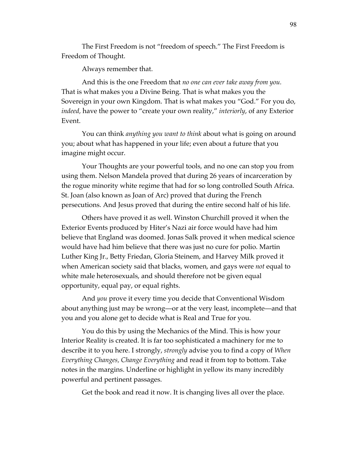The First Freedom is not "freedom of speech." The First Freedom is Freedom of Thought.

Always remember that.

And this is the one Freedom that *no one can ever take away from you.* That is what makes you a Divine Being. That is what makes you the Sovereign in your own Kingdom. That is what makes you "God." For you do, *indeed,* have the power to "create your own reality," *interiorly*, of any Exterior Event.

You can think *anything you want to think* about what is going on around you; about what has happened in your life; even about a future that you imagine might occur.

Your Thoughts are your powerful tools, and no one can stop you from using them. Nelson Mandela proved that during 26 years of incarceration by the rogue minority white regime that had for so long controlled South Africa. St. Joan (also known as Joan of Arc) proved that during the French persecutions. And Jesus proved that during the entire second half of his life.

Others have proved it as well. Winston Churchill proved it when the Exterior Events produced by Hiter's Nazi air force would have had him believe that England was doomed. Jonas Salk proved it when medical science would have had him believe that there was just no cure for polio. Martin Luther King Jr., Betty Friedan, Gloria Steinem, and Harvey Milk proved it when American society said that blacks, women, and gays were *not* equal to white male heterosexuals, and should therefore not be given equal opportunity, equal pay, or equal rights.

And *you* prove it every time you decide that Conventional Wisdom about anything just may be wrong—or at the very least, incomplete—and that you and you alone get to decide what is Real and True for you.

You do this by using the Mechanics of the Mind. This is how your Interior Reality is created. It is far too sophisticated a machinery for me to describe it to you here. I strongly, *strongly* advise you to find a copy of *When Everything Changes, Change Everything* and read it from top to bottom. Take notes in the margins. Underline or highlight in yellow its many incredibly powerful and pertinent passages.

Get the book and read it now. It is changing lives all over the place.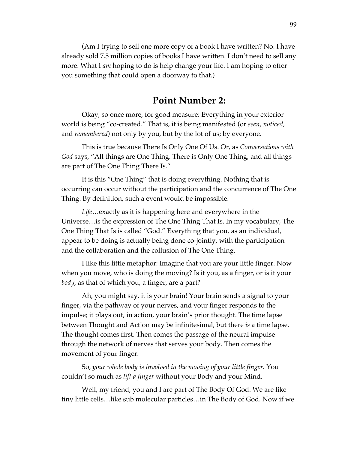(Am I trying to sell one more copy of a book I have written? No. I have already sold 7.5 million copies of books I have written. I don't need to sell any more. What I *am* hoping to do is help change your life. I am hoping to offer you something that could open a doorway to that.)

## **Point Number 2:**

Okay, so once more, for good measure: Everything in your exterior world is being "co-created." That is, it is being manifested (or *seen*, *noticed,*  and *remembered*) not only by you, but by the lot of us; by everyone.

This is true because There Is Only One Of Us. Or, as *Conversations with God* says, "All things are One Thing. There is Only One Thing, and all things are part of The One Thing There Is."

It is this "One Thing" that is doing everything. Nothing that is occurring can occur without the participation and the concurrence of The One Thing. By definition, such a event would be impossible.

*Life*…exactly as it is happening here and everywhere in the Universe…is the expression of The One Thing That Is. In my vocabulary, The One Thing That Is is called "God." Everything that you, as an individual, appear to be doing is actually being done co-jointly, with the participation and the collaboration and the collusion of The One Thing.

I like this little metaphor: Imagine that you are your little finger. Now when you move, who is doing the moving? Is it you, as a finger, or is it your *body*, as that of which you, a finger, are a part?

Ah, you might say, it is your brain! Your brain sends a signal to your finger, via the pathway of your nerves, and your finger responds to the impulse; it plays out, in action, your brain's prior thought. The time lapse between Thought and Action may be infinitesimal, but there *is* a time lapse. The thought comes first. Then comes the passage of the neural impulse through the network of nerves that serves your body. Then comes the movement of your finger.

So, *your whole body is involved in the moving of your little finger.* You couldn't so much as *lift a finger* without your Body and your Mind.

Well, my friend, you and I are part of The Body Of God. We are like tiny little cells…like sub molecular particles…in The Body of God. Now if we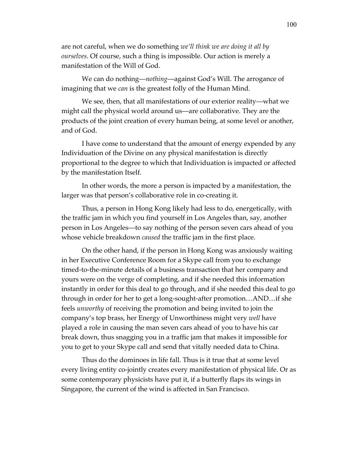are not careful, when we do something *we'll think we are doing it all by ourselves.* Of course, such a thing is impossible. Our action is merely a manifestation of the Will of God.

We can do nothing—*nothing*—against God's Will. The arrogance of imagining that we *can* is the greatest folly of the Human Mind.

We see, then, that all manifestations of our exterior reality—what we might call the physical world around us—are collaborative. They are the products of the joint creation of every human being, at some level or another, and of God.

I have come to understand that the amount of energy expended by any Individuation of the Divine on any physical manifestation is directly proportional to the degree to which that Individuation is impacted or affected by the manifestation Itself.

In other words, the more a person is impacted by a manifestation, the larger was that person's collaborative role in co-creating it.

Thus, a person in Hong Kong likely had less to do, energetically, with the traffic jam in which you find yourself in Los Angeles than, say, another person in Los Angeles—to say nothing of the person seven cars ahead of you whose vehicle breakdown *caused* the traffic jam in the first place.

On the other hand, if the person in Hong Kong was anxiously waiting in her Executive Conference Room for a Skype call from you to exchange timed-to-the-minute details of a business transaction that her company and yours were on the verge of completing, and if she needed this information instantly in order for this deal to go through, and if she needed this deal to go through in order for her to get a long-sought-after promotion…AND…if she feels *unworthy* of receiving the promotion and being invited to join the company's top brass, her Energy of Unworthiness might very *well* have played a role in causing the man seven cars ahead of you to have his car break down, thus snagging you in a traffic jam that makes it impossible for you to get to your Skype call and send that vitally needed data to China.

Thus do the dominoes in life fall. Thus is it true that at some level every living entity co-jointly creates every manifestation of physical life. Or as some contemporary physicists have put it, if a butterfly flaps its wings in Singapore, the current of the wind is affected in San Francisco.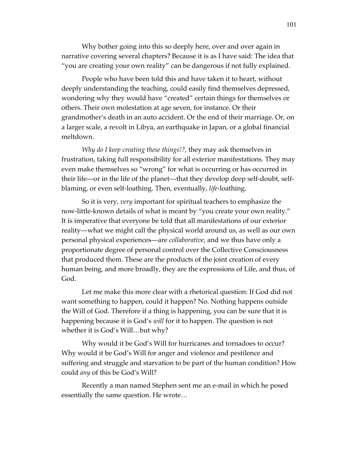Why bother going into this so deeply here, over and over again in narrative covering several chapters? Because it is as I have said: The idea that "you are creating your own reality" can be dangerous if not fully explained.

People who have been told this and have taken it to heart, without deeply understanding the teaching, could easily find themselves depressed, wondering why they would have "created" certain things for themselves or others. Their own molestation at age seven, for instance. Or their grandmother's death in an auto accident. Or the end of their marriage. Or, on a larger scale, a revolt in Libya, an earthquake in Japan, or a global financial meltdown.

*Why do I keep creating these things!?,* they may ask themselves in frustration, taking full responsibility for all exterior manifestations. They may even make themselves so "wrong" for what is occurring or has occurred in their life—or in the life of the planet—that they develop deep self-doubt, selfblaming, or even self-loathing. Then, eventually, *life-*loathing.

So it is very, *very* important for spiritual teachers to emphasize the now-little-known details of what is meant by "you create your own reality." It is imperative that everyone be told that all manifestations of our exterior reality—what we might call the physical world around us, as well as our own personal physical experiences—are *collaborative*, and we thus have only a proportionate degree of personal control over the Collective Consciousness that produced them. These are the products of the joint creation of every human being, and more broadly, they are the expressions of Life, and thus, of God.

Let me make this more clear with a rhetorical question: If God did not want something to happen, could it happen? No. Nothing happens outside the Will of God. Therefore if a thing is happening, you can be sure that it is happening because it is God's *will* for it to happen. The question is not whether it is God's Will…but why?

Why would it be God's Will for hurricanes and tornadoes to occur? Why would it be God's Will for anger and violence and pestilence and suffering and struggle and starvation to be part of the human condition? How could *any* of this be God's Will?

Recently a man named Stephen sent me an e-mail in which he posed essentially the same question. He wrote…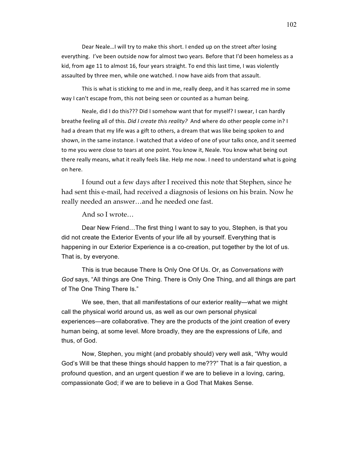Dear Neale... I will try to make this short. I ended up on the street after losing everything. I've been outside now for almost two years. Before that I'd been homeless as a kid, from age 11 to almost 16, four years straight. To end this last time, I was violently assaulted by three men, while one watched. I now have aids from that assault.

This is what is sticking to me and in me, really deep, and it has scarred me in some way I can't escape from, this not being seen or counted as a human being.

Neale, did I do this??? Did I somehow want that for myself? I swear, I can hardly breathe feeling all of this. *Did I create this reality?* And where do other people come in? I had a dream that my life was a gift to others, a dream that was like being spoken to and shown, in the same instance. I watched that a video of one of your talks once, and it seemed to me you were close to tears at one point. You know it, Neale. You know what being out there really means, what it really feels like. Help me now. I need to understand what is going on here.

I found out a few days after I received this note that Stephen, since he had sent this e-mail, had received a diagnosis of lesions on his brain. Now he really needed an answer…and he needed one fast.

And so I wrote…

Dear New Friend…The first thing I want to say to you, Stephen, is that you did not create the Exterior Events of your life all by yourself. Everything that is happening in our Exterior Experience is a co-creation, put together by the lot of us. That is, by everyone.

This is true because There Is Only One Of Us. Or, as *Conversations with God* says, "All things are One Thing. There is Only One Thing, and all things are part of The One Thing There Is."

We see, then, that all manifestations of our exterior reality—what we might call the physical world around us, as well as our own personal physical experiences—are collaborative. They are the products of the joint creation of every human being, at some level. More broadly, they are the expressions of Life, and thus, of God.

Now, Stephen, you might (and probably should) very well ask, "Why would God's Will be that these things should happen to me???" That is a fair question, a profound question, and an urgent question if we are to believe in a loving, caring, compassionate God; if we are to believe in a God That Makes Sense.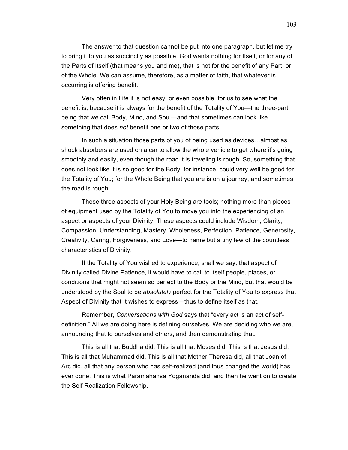The answer to that question cannot be put into one paragraph, but let me try to bring it to you as succinctly as possible. God wants nothing for Itself, or for any of the Parts of Itself (that means you and me), that is not for the benefit of any Part, or of the Whole. We can assume, therefore, as a matter of faith, that whatever is occurring is offering benefit.

Very often in Life it is not easy, or even possible, for us to see what the benefit is, because it is always for the benefit of the Totality of You—the three-part being that we call Body, Mind, and Soul—and that sometimes can look like something that does *not* benefit one or two of those parts.

In such a situation those parts of you of being used as devices…almost as shock absorbers are used on a car to allow the whole vehicle to get where it's going smoothly and easily, even though the road it is traveling is rough. So, something that does not look like it is so good for the Body, for instance, could very well be good for the Totality of You; for the Whole Being that you are is on a journey, and sometimes the road is rough.

These three aspects of your Holy Being are tools; nothing more than pieces of equipment used by the Totality of You to move you into the experiencing of an aspect or aspects of your Divinity. These aspects could include Wisdom, Clarity, Compassion, Understanding, Mastery, Wholeness, Perfection, Patience, Generosity, Creativity, Caring, Forgiveness, and Love—to name but a tiny few of the countless characteristics of Divinity.

If the Totality of You wished to experience, shall we say, that aspect of Divinity called Divine Patience, it would have to call to itself people, places, or conditions that might not seem so perfect to the Body or the Mind, but that would be understood by the Soul to be *absolutely* perfect for the Totality of You to express that Aspect of Divinity that It wishes to express—thus to define itself as that.

Remember, *Conversations with God* says that "every act is an act of selfdefinition." All we are doing here is defining ourselves. We are deciding who we are, announcing that to ourselves and others, and then demonstrating that.

This is all that Buddha did. This is all that Moses did. This is that Jesus did. This is all that Muhammad did. This is all that Mother Theresa did, all that Joan of Arc did, all that any person who has self-realized (and thus changed the world) has ever done. This is what Paramahansa Yogananda did, and then he went on to create the Self Realization Fellowship.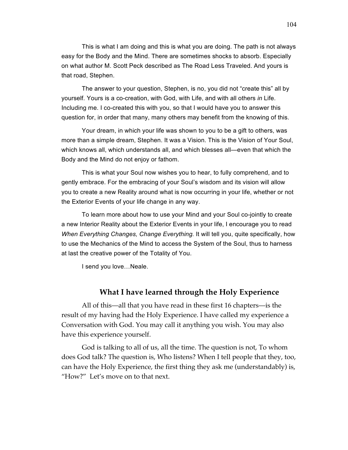This is what I am doing and this is what you are doing. The path is not always easy for the Body and the Mind. There are sometimes shocks to absorb. Especially on what author M. Scott Peck described as The Road Less Traveled. And yours is that road, Stephen.

The answer to your question, Stephen, is no, you did not "create this" all by yourself. Yours is a co-creation, with God, with Life, and with all others *in* Life. Including me. I co-created this with you, so that I would have you to answer this question for, in order that many, many others may benefit from the knowing of this.

Your dream, in which your life was shown to you to be a gift to others, was more than a simple dream, Stephen. It was a Vision. This is the Vision of Your Soul, which knows all, which understands all, and which blesses all—even that which the Body and the Mind do not enjoy or fathom.

This is what your Soul now wishes you to hear, to fully comprehend, and to gently embrace. For the embracing of your Soul's wisdom and its vision will allow you to create a new Reality around what is now occurring in your life, whether or not the Exterior Events of your life change in any way.

To learn more about how to use your Mind and your Soul co-jointly to create a new Interior Reality about the Exterior Events in your life, I encourage you to read *When Everything Changes, Change Everything.* It will tell you, quite specifically, how to use the Mechanics of the Mind to access the System of the Soul, thus to harness at last the creative power of the Totality of You.

I send you love…Neale.

## **What I have learned through the Holy Experience**

All of this—all that you have read in these first 16 chapters—is the result of my having had the Holy Experience. I have called my experience a Conversation with God. You may call it anything you wish. You may also have this experience yourself.

God is talking to all of us, all the time. The question is not, To whom does God talk? The question is, Who listens? When I tell people that they, too, can have the Holy Experience, the first thing they ask me (understandably) is, "How?" Let's move on to that next.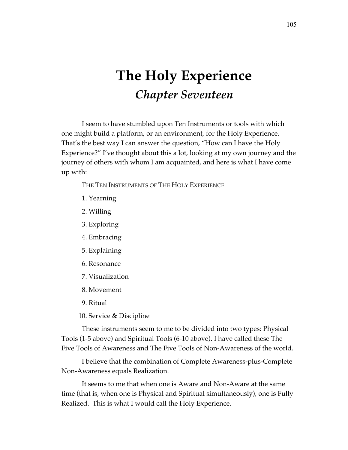## **The Holy Experience** *Chapter Seventeen*

I seem to have stumbled upon Ten Instruments or tools with which one might build a platform, or an environment, for the Holy Experience. That's the best way I can answer the question, "How can I have the Holy Experience?" I've thought about this a lot, looking at my own journey and the journey of others with whom I am acquainted, and here is what I have come up with:

THE TEN INSTRUMENTS OF THE HOLY EXPERIENCE

- 1. Yearning
- 2. Willing
- 3. Exploring
- 4. Embracing
- 5. Explaining
- 6. Resonance
- 7. Visualization
- 8. Movement
- 9. Ritual
- 10. Service & Discipline

These instruments seem to me to be divided into two types: Physical Tools (1-5 above) and Spiritual Tools (6-10 above). I have called these The Five Tools of Awareness and The Five Tools of Non-Awareness of the world.

I believe that the combination of Complete Awareness-plus-Complete Non-Awareness equals Realization.

It seems to me that when one is Aware and Non-Aware at the same time (that is, when one is Physical and Spiritual simultaneously), one is Fully Realized. This is what I would call the Holy Experience.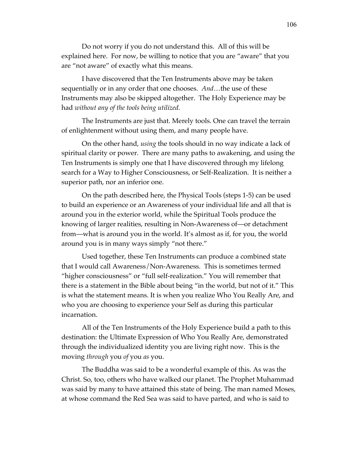Do not worry if you do not understand this. All of this will be explained here. For now, be willing to notice that you are "aware" that you are "not aware" of exactly what this means.

I have discovered that the Ten Instruments above may be taken sequentially or in any order that one chooses. *And*…the use of these Instruments may also be skipped altogether. The Holy Experience may be had *without any of the tools being utilized.*

The Instruments are just that. Merely tools. One can travel the terrain of enlightenment without using them, and many people have.

On the other hand, *using* the tools should in no way indicate a lack of spiritual clarity or power. There are many paths to awakening, and using the Ten Instruments is simply one that I have discovered through my lifelong search for a Way to Higher Consciousness, or Self-Realization. It is neither a superior path, nor an inferior one.

On the path described here, the Physical Tools (steps 1-5) can be used to build an experience or an Awareness of your individual life and all that is around you in the exterior world, while the Spiritual Tools produce the knowing of larger realities, resulting in Non-Awareness of—or detachment from—what is around you in the world. It's almost as if, for you, the world around you is in many ways simply "not there."

Used together, these Ten Instruments can produce a combined state that I would call Awareness/Non-Awareness. This is sometimes termed "higher consciousness" or "full self-realization." You will remember that there is a statement in the Bible about being "in the world, but not of it." This is what the statement means. It is when you realize Who You Really Are, and who you are choosing to experience your Self as during this particular incarnation.

All of the Ten Instruments of the Holy Experience build a path to this destination: the Ultimate Expression of Who You Really Are, demonstrated through the individualized identity you are living right now. This is the moving *through* you *of* you *as* you.

The Buddha was said to be a wonderful example of this. As was the Christ. So, too, others who have walked our planet. The Prophet Muhammad was said by many to have attained this state of being. The man named Moses, at whose command the Red Sea was said to have parted, and who is said to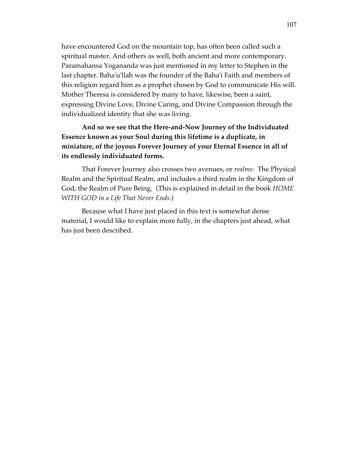have encountered God on the mountain top, has often been called such a spiritual master. And others as well, both ancient and more contemporary. Paramahansa Yogananda was just mentioned in my letter to Stephen in the last chapter. Baha'u'llah was the founder of the Baha'i Faith and members of this religion regard him as a prophet chosen by God to communicate His will. Mother Theresa is considered by many to have, likewise, been a saint, expressing Divine Love, Divine Caring, and Divine Compassion through the individualized identity that she was living.

**And so we see that the Here-and-Now Journey of the Individuated Essence known as your Soul during this lifetime is a duplicate, in miniature, of the joyous Forever Journey of your Eternal Essence in all of its endlessly individuated forms.**

That Forever Journey also crosses two avenues, or *realms:* The Physical Realm and the Spiritual Realm, and includes a third realm in the Kingdom of God, the Realm of Pure Being. (This is explained in detail in the book *HOME WITH GOD in a Life That Never Ends.*)

Because what I have just placed in this text is somewhat dense material, I would like to explain more fully, in the chapters just ahead, what has just been described.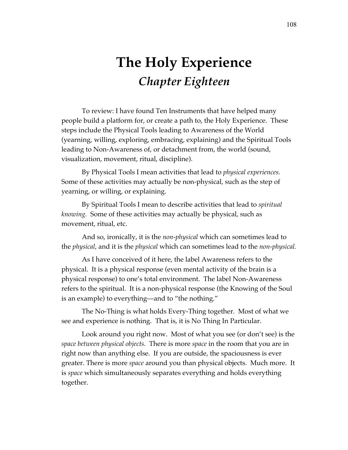## **The Holy Experience** *Chapter Eighteen*

To review: I have found Ten Instruments that have helped many people build a platform for, or create a path to, the Holy Experience. These steps include the Physical Tools leading to Awareness of the World (yearning, willing, exploring, embracing, explaining) and the Spiritual Tools leading to Non-Awareness of, or detachment from, the world (sound, visualization, movement, ritual, discipline).

By Physical Tools I mean activities that lead to *physical experiences.*  Some of these activities may actually be non-physical, such as the step of yearning, or willing, or explaining.

By Spiritual Tools I mean to describe activities that lead to *spiritual knowing.* Some of these activities may actually be physical, such as movement, ritual, etc.

And so, ironically, it is the *non-physical* which can sometimes lead to the *physical*, and it is the *physical* which can sometimes lead to the *non-physical.*

As I have conceived of it here, the label Awareness refers to the physical. It is a physical response (even mental activity of the brain is a physical response) to one's total environment. The label Non-Awareness refers to the spiritual. It is a non-physical response (the Knowing of the Soul is an example) to everything—and to "the nothing."

The No-Thing is what holds Every-Thing together. Most of what we see and experience is nothing. That is, it is No Thing In Particular.

Look around you right now. Most of what you see (or don't see) is the *space between physical objects.* There is more *space* in the room that you are in right now than anything else. If you are outside, the spaciousness is ever greater. There is more *space* around you than physical objects. Much more. It is *space* which simultaneously separates everything and holds everything together.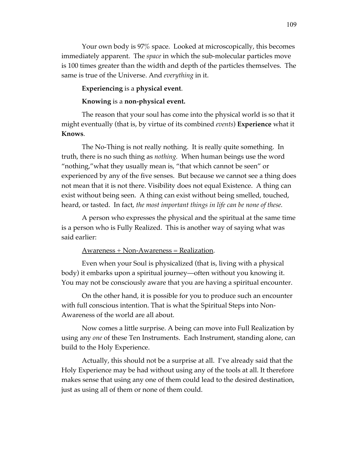Your own body is 97% space. Looked at microscopically, this becomes immediately apparent. The *space* in which the sub-molecular particles move is 100 times greater than the width and depth of the particles themselves. The same is true of the Universe. And *everything* in it.

#### **Experiencing** is a **physical event**.

#### **Knowing** is a **non-physical event.**

The reason that your soul has come into the physical world is so that it might eventually (that is, by virtue of its combined *events*) **Experience** what it **Knows**.

The No-Thing is not really nothing. It is really quite something. In truth, there is no such thing as *nothing.* When human beings use the word "nothing,"what they usually mean is, "that which cannot be seen" or experienced by any of the five senses. But because we cannot see a thing does not mean that it is not there. Visibility does not equal Existence. A thing can exist without being seen. A thing can exist without being smelled, touched, heard, or tasted. In fact, *the most important things in life can be none of these.* 

A person who expresses the physical and the spiritual at the same time is a person who is Fully Realized. This is another way of saying what was said earlier:

#### Awareness + Non-Awareness = Realization.

Even when your Soul is physicalized (that is, living with a physical body) it embarks upon a spiritual journey—often without you knowing it. You may not be consciously aware that you are having a spiritual encounter.

On the other hand, it is possible for you to produce such an encounter with full conscious intention. That is what the Spiritual Steps into Non-Awareness of the world are all about.

Now comes a little surprise. A being can move into Full Realization by using any *one* of these Ten Instruments. Each Instrument, standing alone, can build to the Holy Experience.

Actually, this should not be a surprise at all. I've already said that the Holy Experience may be had without using any of the tools at all. It therefore makes sense that using any one of them could lead to the desired destination, just as using all of them or none of them could.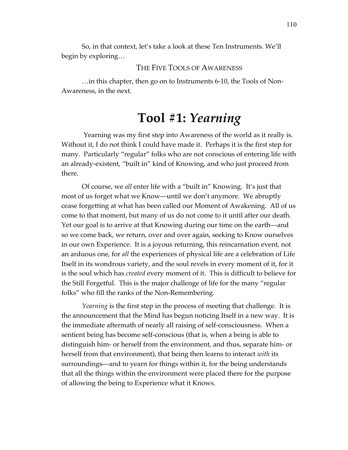So, in that context, let's take a look at these Ten Instruments. We'll begin by exploring…

THE FIVE TOOLS OF AWARENESS

…in this chapter, then go on to Instruments 6-10, the Tools of Non-Awareness, in the next.

## **Tool #1:** *Yearning*

 Yearning was my first step into Awareness of the world as it really is. Without it, I do not think I could have made it. Perhaps it is the first step for many. Particularly "regular" folks who are not conscious of entering life with an already-existent, "built in" kind of Knowing, and who just proceed from there.

Of course, we *all* enter life with a "built in" Knowing. It's just that most of us forget what we Know—until we don't anymore. We abruptly cease forgetting at what has been called our Moment of Awakening. All of us come to that moment, but many of us do not come to it until after our death. Yet our goal is to arrive at that Knowing during our time on the earth—and so we come back, we return, over and over again, seeking to Know ourselves in our own Experience. It is a joyous returning, this reincarnation event, not an arduous one, for *all* the experiences of physical life are a celebration of Life Itself in its wondrous variety, and the soul revels in every moment of it, for it is the soul which has *created* every moment of it. This is difficult to believe for the Still Forgetful. This is the major challenge of life for the many "regular folks" who fill the ranks of the Non-Remembering.

*Yearning* is the first step in the process of meeting that challenge. It is the announcement that the Mind has begun noticing Itself in a new way. It is the immediate aftermath of nearly all raising of self-consciousness. When a sentient being has become self-conscious (that is, when a being is able to distinguish him- or herself from the environment, and thus, separate him- or herself from that environment), that being then learns to interact *with* its surroundings—and to yearn for things within it, for the being understands that all the things within the environment were placed there for the purpose of allowing the being to Experience what it Knows.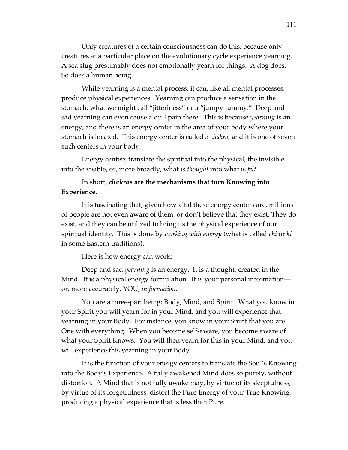Only creatures of a certain consciousness can do this, because only creatures at a particular place on the evolutionary cycle experience yearning. A sea slug presumably does not emotionally yearn for things. A dog does. So does a human being.

While yearning is a mental process, it can, like all mental processes, produce physical experiences. Yearning can produce a sensation in the stomach; what we might call "jitteriness" or a "jumpy tummy." Deep and sad yearning can even cause a dull pain there. This is because *yearning* is an energy, and there is an energy center in the area of your body where your stomach is located. This energy center is called a *chakra*, and it is one of seven such centers in your body.

Energy centers translate the spiritual into the physical, the invisible into the visible, or, more broadly, what is *thought* into what is *felt*.

### In short, *chakras* **are the mechanisms that turn Knowing into Experience.**

It is fascinating that, given how vital these energy centers are, millions of people are not even aware of them, or don't believe that they exist. They do exist, and they can be utilized to bring us the physical experience of our spiritual identity. This is done by *working with energy* (what is called *chi* or *ki*  in some Eastern traditions).

Here is how energy can work:

Deep and sad *yearning* is an energy. It is a thought, created in the Mind. It is a physical energy formulation. It is your personal information or, more accurately, YOU, *in formation*.

You are a three-part being: Body, Mind, and Spirit. What you know in your Spirit you will yearn for in your Mind, and you will experience that yearning in your Body. For instance, you know in your Spirit that you are One with everything. When you become self-aware, you become aware of what your Spirit Knows. You will then yearn for this in your Mind, and you will experience this yearning in your Body.

It is the function of your energy centers to translate the Soul's Knowing into the Body's Experience. A fully awakened Mind does so purely, without distortion. A Mind that is not fully awake may, by virtue of its sleepfulness, by virtue of its forgetfulness, distort the Pure Energy of your True Knowing, producing a physical experience that is less than Pure.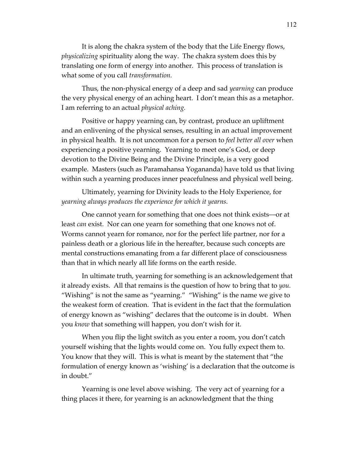It is along the chakra system of the body that the Life Energy flows, *physicalizing* spirituality along the way. The chakra system does this by translating one form of energy into another. This process of translation is what some of you call *transformation.*

Thus, the non-physical energy of a deep and sad *yearning* can produce the very physical energy of an aching heart. I don't mean this as a metaphor. I am referring to an actual *physical aching.* 

Positive or happy yearning can, by contrast, produce an upliftment and an enlivening of the physical senses, resulting in an actual improvement in physical health. It is not uncommon for a person to *feel better all over* when experiencing a positive yearning. Yearning to meet one's God, or deep devotion to the Divine Being and the Divine Principle, is a very good example. Masters (such as Paramahansa Yogananda) have told us that living within such a yearning produces inner peacefulness and physical well being.

Ultimately, yearning for Divinity leads to the Holy Experience, for *yearning always produces the experience for which it yearns.* 

One cannot yearn for something that one does not think exists—or at least *can* exist. Nor can one yearn for something that one knows not of. Worms cannot yearn for romance, nor for the perfect life partner, nor for a painless death or a glorious life in the hereafter, because such concepts are mental constructions emanating from a far different place of consciousness than that in which nearly all life forms on the earth reside.

In ultimate truth, yearning for something is an acknowledgement that it already exists. All that remains is the question of how to bring that to *you.*  "Wishing" is not the same as "yearning." "Wishing" is the name we give to the weakest form of creation. That is evident in the fact that the formulation of energy known as "wishing" declares that the outcome is in doubt. When you *know* that something will happen, you don't wish for it.

When you flip the light switch as you enter a room, you don't catch yourself wishing that the lights would come on. You fully expect them to. You know that they will. This is what is meant by the statement that "the formulation of energy known as 'wishing' is a declaration that the outcome is in doubt."

Yearning is one level above wishing. The very act of yearning for a thing places it there, for yearning is an acknowledgment that the thing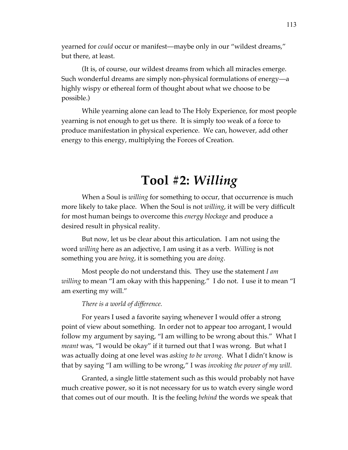yearned for *could* occur or manifest—maybe only in our "wildest dreams," but there, at least.

(It is, of course, our wildest dreams from which all miracles emerge. Such wonderful dreams are simply non-physical formulations of energy—a highly wispy or ethereal form of thought about what we choose to be possible.)

While yearning alone can lead to The Holy Experience, for most people yearning is not enough to get us there. It is simply too weak of a force to produce manifestation in physical experience. We can, however, add other energy to this energy, multiplying the Forces of Creation.

## **Tool #2:** *Willing*

When a Soul is *willing* for something to occur, that occurrence is much more likely to take place. When the Soul is not *willing*, it will be very difficult for most human beings to overcome this *energy blockage* and produce a desired result in physical reality.

But now, let us be clear about this articulation. I am not using the word *willing* here as an adjective, I am using it as a verb. *Willing* is not something you are *being*, it is something you are *doing*.

Most people do not understand this. They use the statement *I am willing* to mean "I am okay with this happening." I do not. I use it to mean "I am exerting my will."

### *There is a world of difference.*

For years I used a favorite saying whenever I would offer a strong point of view about something. In order not to appear too arrogant, I would follow my argument by saying, "I am willing to be wrong about this." What I *meant* was, "I would be okay" if it turned out that I was wrong. But what I was actually doing at one level was *asking to be wrong.* What I didn't know is that by saying "I am willing to be wrong," I was *invoking the power of my will*.

Granted, a single little statement such as this would probably not have much creative power, so it is not necessary for us to watch every single word that comes out of our mouth. It is the feeling *behind* the words we speak that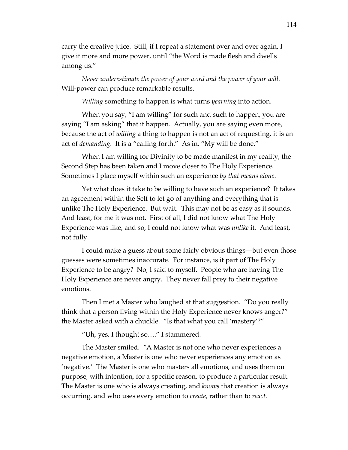carry the creative juice. Still, if I repeat a statement over and over again, I give it more and more power, until "the Word is made flesh and dwells among us."

*Never underestimate the power of your word and the power of your will.*  Will-power can produce remarkable results.

*Willing* something to happen is what turns *yearning* into action.

When you say, "I am willing" for such and such to happen, you are saying "I am asking" that it happen. Actually, you are saying even more, because the act of *willing* a thing to happen is not an act of requesting, it is an act of *demanding.* It is a "calling forth." As in, "My will be done."

When I am willing for Divinity to be made manifest in my reality, the Second Step has been taken and I move closer to The Holy Experience. Sometimes I place myself within such an experience *by that means alone*.

Yet what does it take to be willing to have such an experience? It takes an agreement within the Self to let go of anything and everything that is unlike The Holy Experience. But wait. This may not be as easy as it sounds. And least, for me it was not. First of all, I did not know what The Holy Experience was like, and so, I could not know what was *unlike* it*.* And least, not fully.

I could make a guess about some fairly obvious things—but even those guesses were sometimes inaccurate. For instance, is it part of The Holy Experience to be angry? No, I said to myself. People who are having The Holy Experience are never angry. They never fall prey to their negative emotions.

Then I met a Master who laughed at that suggestion. "Do you really think that a person living within the Holy Experience never knows anger?" the Master asked with a chuckle. "Is that what you call 'mastery'?"

"Uh, yes, I thought so…." I stammered.

The Master smiled. *"*A Master is not one who never experiences a negative emotion, a Master is one who never experiences any emotion as 'negative.' The Master is one who masters all emotions, and uses them on purpose, with intention, for a specific reason, to produce a particular result. The Master is one who is always creating, and *knows* that creation is always occurring, and who uses every emotion to *create*, rather than to *react.*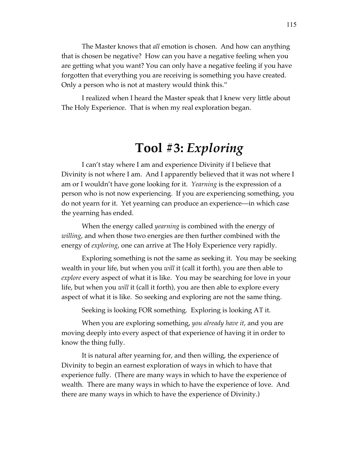The Master knows that *all* emotion is chosen. And how can anything that is chosen be negative? How can you have a negative feeling when you are getting what you want? You can only have a negative feeling if you have forgotten that everything you are receiving is something you have created. Only a person who is not at mastery would think this."

I realized when I heard the Master speak that I knew very little about The Holy Experience. That is when my real exploration began.

## **Tool #3:** *Exploring*

I can't stay where I am and experience Divinity if I believe that Divinity is not where I am. And I apparently believed that it was not where I am or I wouldn't have gone looking for it. *Yearning* is the expression of a person who is not now experiencing. If you are experiencing something, you do not yearn for it. Yet yearning can produce an experience—in which case the yearning has ended.

When the energy called *yearning* is combined with the energy of *willing*, and when those two energies are then further combined with the energy of *exploring*, one can arrive at The Holy Experience very rapidly.

Exploring something is not the same as seeking it. You may be seeking wealth in your life, but when you *will* it (call it forth), you are then able to *explore* every aspect of what it is like. You may be searching for love in your life, but when you *will* it (call it forth), you are then able to explore every aspect of what it is like. So seeking and exploring are not the same thing.

Seeking is looking FOR something*.* Exploring is looking AT it.

When you are exploring something, *you already have it*, and you are moving deeply into every aspect of that experience of having it in order to know the thing fully.

It is natural after yearning for, and then willing, the experience of Divinity to begin an earnest exploration of ways in which to have that experience fully. (There are many ways in which to have the experience of wealth. There are many ways in which to have the experience of love. And there are many ways in which to have the experience of Divinity.)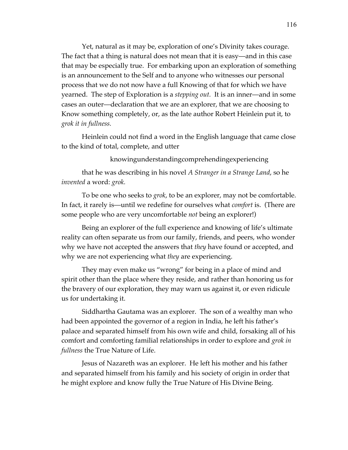Yet, natural as it may be, exploration of one's Divinity takes courage. The fact that a thing is natural does not mean that it is easy—and in this case that may be especially true. For embarking upon an exploration of something is an announcement to the Self and to anyone who witnesses our personal process that we do not now have a full Knowing of that for which we have yearned. The step of Exploration is a *stepping out.* It is an inner—and in some cases an outer—declaration that we are an explorer, that we are choosing to Know something completely, or, as the late author Robert Heinlein put it, to *grok it in fullness.* 

Heinlein could not find a word in the English language that came close to the kind of total, complete, and utter

knowingunderstandingcomprehendingexperiencing

that he was describing in his novel *A Stranger in a Strange Land*, so he *invented* a word: *grok.*

To be one who seeks to *grok*, to be an explorer, may not be comfortable. In fact, it rarely is—until we redefine for ourselves what *comfort* is. (There are some people who are very uncomfortable *not* being an explorer!)

Being an explorer of the full experience and knowing of life's ultimate reality can often separate us from our family, friends, and peers, who wonder why we have not accepted the answers that *they* have found or accepted, and why we are not experiencing what *they* are experiencing.

They may even make us "wrong" for being in a place of mind and spirit other than the place where they reside, and rather than honoring us for the bravery of our exploration, they may warn us against it, or even ridicule us for undertaking it.

Siddhartha Gautama was an explorer. The son of a wealthy man who had been appointed the governor of a region in India, he left his father's palace and separated himself from his own wife and child, forsaking all of his comfort and comforting familial relationships in order to explore and *grok in fullness* the True Nature of Life.

Jesus of Nazareth was an explorer. He left his mother and his father and separated himself from his family and his society of origin in order that he might explore and know fully the True Nature of His Divine Being.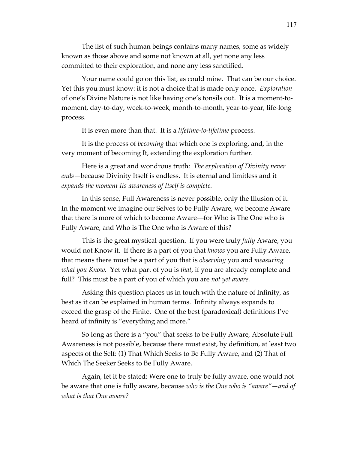The list of such human beings contains many names, some as widely known as those above and some not known at all, yet none any less committed to their exploration, and none any less sanctified.

Your name could go on this list, as could mine. That can be our choice. Yet this you must know: it is not a choice that is made only once. *Exploration*  of one's Divine Nature is not like having one's tonsils out. It is a moment-tomoment, day-to-day, week-to-week, month-to-month, year-to-year, life-long process.

It is even more than that. It is a *lifetime-to-lifetime* process.

It is the process of *becoming* that which one is exploring, and, in the very moment of becoming It, extending the exploration further.

Here is a great and wondrous truth: *The exploration of Divinity never ends—*because Divinity Itself is endless. It is eternal and limitless and it *expands the moment Its awareness of Itself is complete.* 

In this sense, Full Awareness is never possible, only the Illusion of it. In the moment we imagine our Selves to be Fully Aware, we become Aware that there is more of which to become Aware—for Who is The One who is Fully Aware, and Who is The One who is Aware of this?

This is the great mystical question. If you were truly *fully* Aware, you would not Know it. If there is a part of you that *knows* you are Fully Aware, that means there must be a part of you that is *observing* you and *measuring what you Know.* Yet what part of you is *that,* if you are already complete and full? This must be a part of you of which you are *not yet aware.* 

Asking this question places us in touch with the nature of Infinity, as best as it can be explained in human terms. Infinity always expands to exceed the grasp of the Finite. One of the best (paradoxical) definitions I've heard of infinity is "everything and more."

So long as there is a "you" that seeks to be Fully Aware, Absolute Full Awareness is not possible, because there must exist, by definition, at least two aspects of the Self: (1) That Which Seeks to Be Fully Aware, and (2) That of Which The Seeker Seeks to Be Fully Aware.

Again, let it be stated: Were one to truly be fully aware, one would not be aware that one is fully aware, because *who is the One who is "aware"—and of what is that One aware?*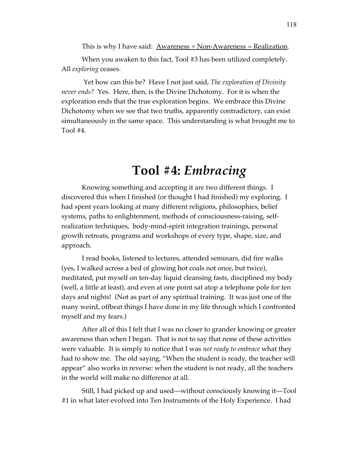This is why I have said:  $\Delta$ wareness + Non-Awareness = Realization.

When you awaken to this fact, Tool #3 has been utilized completely. All *exploring* ceases.

 Yet how can this be? Have I not just said, *The exploration of Divinity never ends?* Yes. Here, then, is the Divine Dichotomy. For it is when the exploration ends that the true exploration begins. We embrace this Divine Dichotomy when we see that two truths, apparently contradictory, can exist simultaneously in the same space. This understanding is what brought me to Tool #4.

## **Tool #4:** *Embracing*

Knowing something and accepting it are two different things. I discovered this when I finished (or thought I had finished) my exploring. I had spent years looking at many different religions, philosophies, belief systems, paths to enlightenment, methods of consciousness-raising, selfrealization techniques, body-mind-spirit integration trainings, personal growth retreats, programs and workshops of every type, shape, size, and approach.

I read books, listened to lectures, attended seminars, did fire walks (yes, I walked across a bed of glowing hot coals not once, but twice), meditated, put myself on ten-day liquid cleansing fasts, disciplined my body (well, a little at least), and even at one point sat atop a telephone pole for ten days and nights! (Not as part of any spiritual training. It was just one of the many weird, offbeat things I have done in my life through which I confronted myself and my fears.)

After all of this I felt that I was no closer to grander knowing or greater awareness than when I began. That is not to say that none of these activities were valuable. It is simply to notice that I was *not ready to embrace* what they had to show me. The old saying, "When the student is ready, the teacher will appear" also works in reverse: when the student is not ready, all the teachers in the world will make no difference at all.

Still, I had picked up and used—without consciously knowing it—Tool #1 in what later evolved into Ten Instruments of the Holy Experience. I had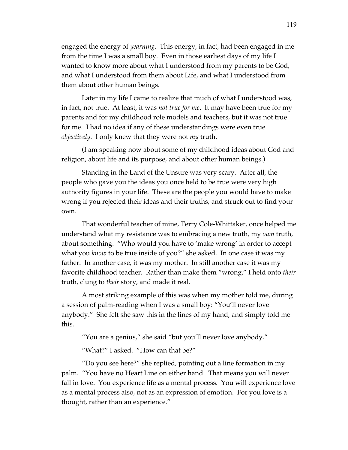engaged the energy of *yearning.* This energy, in fact, had been engaged in me from the time I was a small boy. Even in those earliest days of my life I wanted to know more about what I understood from my parents to be God, and what I understood from them about Life, and what I understood from them about other human beings.

Later in my life I came to realize that much of what I understood was, in fact, not true. At least, it was *not true for me*. It may have been true for my parents and for my childhood role models and teachers, but it was not true for me. I had no idea if any of these understandings were even true *objectively.* I only knew that they were not *my* truth.

(I am speaking now about some of my childhood ideas about God and religion, about life and its purpose, and about other human beings.)

Standing in the Land of the Unsure was very scary. After all, the people who gave you the ideas you once held to be true were very high authority figures in your life. These are the people you would have to make wrong if you rejected their ideas and their truths, and struck out to find your own.

That wonderful teacher of mine, Terry Cole-Whittaker, once helped me understand what my resistance was to embracing a new truth, my *own* truth, about something. "Who would you have to 'make wrong' in order to accept what you *know* to be true inside of you?" she asked. In one case it was my father. In another case, it was my mother. In still another case it was my favorite childhood teacher. Rather than make them "wrong," I held onto *their* truth, clung to *their* story, and made it real.

A most striking example of this was when my mother told me, during a session of palm-reading when I was a small boy: "You'll never love anybody." She felt she saw this in the lines of my hand, and simply told me this.

"You are a genius," she said "but you'll never love anybody."

"What?" I asked. "How can that be?"

"Do you see here?" she replied, pointing out a line formation in my palm. "You have no Heart Line on either hand. That means you will never fall in love. You experience life as a mental process. You will experience love as a mental process also, not as an expression of emotion. For you love is a thought, rather than an experience."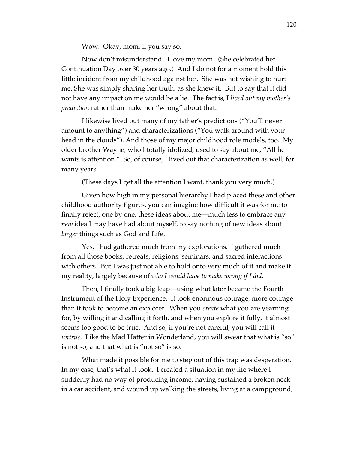Wow. Okay, mom, if you say so.

Now don't misunderstand. I love my mom. (She celebrated her Continuation Day over 30 years ago.) And I do not for a moment hold this little incident from my childhood against her. She was not wishing to hurt me. She was simply sharing her truth, as she knew it. But to say that it did not have any impact on me would be a lie. The fact is, I *lived out my mother's prediction* rather than make her "wrong" about that.

I likewise lived out many of my father's predictions ("You'll never amount to anything") and characterizations ("You walk around with your head in the clouds"). And those of my major childhood role models, too. My older brother Wayne, who I totally idolized, used to say about me, "All he wants is attention." So, of course, I lived out that characterization as well, for many years.

(These days I get all the attention I want, thank you very much.)

Given how high in my personal hierarchy I had placed these and other childhood authority figures, you can imagine how difficult it was for me to finally reject, one by one, these ideas about me—much less to embrace any *new* idea I may have had about myself, to say nothing of new ideas about *larger* things such as God and Life.

Yes, I had gathered much from my explorations. I gathered much from all those books, retreats, religions, seminars, and sacred interactions with others. But I was just not able to hold onto very much of it and make it my reality, largely because of *who I would have to make wrong if I did.*

Then, I finally took a big leap—using what later became the Fourth Instrument of the Holy Experience. It took enormous courage, more courage than it took to become an explorer. When you *create* what you are yearning for, by willing it and calling it forth, and when you explore it fully, it almost seems too good to be true. And so, if you're not careful, you will call it *untrue*. Like the Mad Hatter in Wonderland, you will swear that what is "so" is not so, and that what is "not so" is so.

What made it possible for me to step out of this trap was desperation. In my case, that's what it took. I created a situation in my life where I suddenly had no way of producing income, having sustained a broken neck in a car accident, and wound up walking the streets, living at a campground,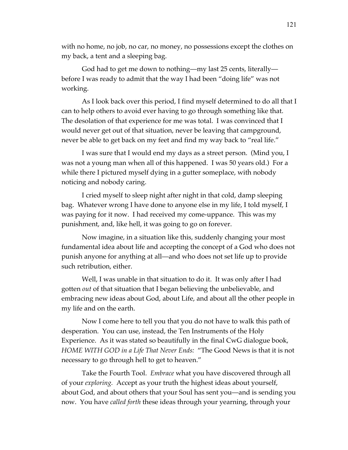with no home, no job, no car, no money, no possessions except the clothes on my back, a tent and a sleeping bag.

God had to get me down to nothing—my last 25 cents, literally before I was ready to admit that the way I had been "doing life" was not working.

As I look back over this period, I find myself determined to do all that I can to help others to avoid ever having to go through something like that. The desolation of that experience for me was total. I was convinced that I would never get out of that situation, never be leaving that campground, never be able to get back on my feet and find my way back to "real life."

I was sure that I would end my days as a street person. (Mind you, I was not a young man when all of this happened. I was 50 years old.) For a while there I pictured myself dying in a gutter someplace, with nobody noticing and nobody caring.

I cried myself to sleep night after night in that cold, damp sleeping bag. Whatever wrong I have done to anyone else in my life, I told myself, I was paying for it now. I had received my come-uppance. This was my punishment, and, like hell, it was going to go on forever.

Now imagine, in a situation like this, suddenly changing your most fundamental idea about life and accepting the concept of a God who does not punish anyone for anything at all—and who does not set life up to provide such retribution, either.

Well, I was unable in that situation to do it. It was only after I had gotten *out* of that situation that I began believing the unbelievable, and embracing new ideas about God, about Life, and about all the other people in my life and on the earth.

Now I come here to tell you that you do not have to walk this path of desperation. You can use, instead, the Ten Instruments of the Holy Experience. As it was stated so beautifully in the final CwG dialogue book, *HOME WITH GOD in a Life That Never Ends:* "The Good News is that it is not necessary to go through hell to get to heaven."

Take the Fourth Tool. *Embrace* what you have discovered through all of your *exploring.* Accept as your truth the highest ideas about yourself, about God, and about others that your Soul has sent you—and is sending you now. You have *called forth* these ideas through your yearning, through your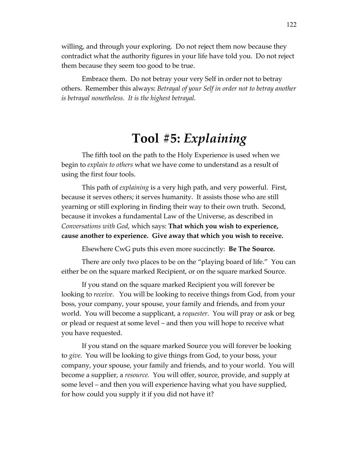willing, and through your exploring. Do not reject them now because they contradict what the authority figures in your life have told you. Do not reject them because they seem too good to be true.

Embrace them. Do not betray your very Self in order not to betray others. Remember this always: *Betrayal of your Self in order not to betray another is betrayal nonetheless. It is the highest betrayal.*

## **Tool #5:** *Explaining*

The fifth tool on the path to the Holy Experience is used when we begin to *explain to others* what we have come to understand as a result of using the first four tools.

This path of *explaining* is a very high path, and very powerful. First, because it serves others; it serves humanity. It assists those who are still yearning or still exploring in finding their way to their own truth. Second, because it invokes a fundamental Law of the Universe, as described in *Conversations with God*, which says: **That which you wish to experience, cause another to experience. Give away that which you wish to receive.**

Elsewhere CwG puts this even more succinctly: **Be The Source.** 

There are only two places to be on the "playing board of life." You can either be on the square marked Recipient, or on the square marked Source.

If you stand on the square marked Recipient you will forever be looking to *receive*. You will be looking to receive things from God, from your boss, your company, your spouse, your family and friends, and from your world. You will become a supplicant, a *requester.* You will pray or ask or beg or plead or request at some level – and then you will hope to receive what you have requested.

If you stand on the square marked Source you will forever be looking to *give.* You will be looking to give things from God, to your boss, your company, your spouse, your family and friends, and to your world. You will become a supplier, a *resource.* You will offer, source, provide, and supply at some level – and then you will experience having what you have supplied, for how could you supply it if you did not have it?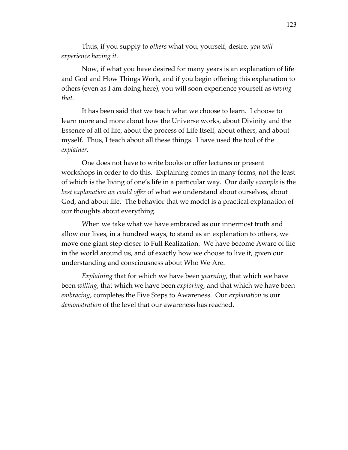Thus, if you supply to *others* what you, yourself, desire, *you will experience having it.* 

Now, if what you have desired for many years is an explanation of life and God and How Things Work, and if you begin offering this explanation to others (even as I am doing here), you will soon experience yourself as *having that.* 

It has been said that we teach what we choose to learn. I choose to learn more and more about how the Universe works, about Divinity and the Essence of all of life, about the process of Life Itself, about others, and about myself. Thus, I teach about all these things. I have used the tool of the *explainer.*

One does not have to write books or offer lectures or present workshops in order to do this. Explaining comes in many forms, not the least of which is the living of one's life in a particular way. Our daily *example* is the *best explanation we could offer* of what we understand about ourselves, about God, and about life. The behavior that we model is a practical explanation of our thoughts about everything.

When we take what we have embraced as our innermost truth and allow our lives, in a hundred ways, to stand as an explanation to others, we move one giant step closer to Full Realization. We have become Aware of life in the world around us, and of exactly how we choose to live it, given our understanding and consciousness about Who We Are.

*Explaining* that for which we have been *yearning*, that which we have been *willing*, that which we have been *exploring*, and that which we have been *embracing*, completes the Five Steps to Awareness. Our *explanation* is our *demonstration* of the level that our awareness has reached.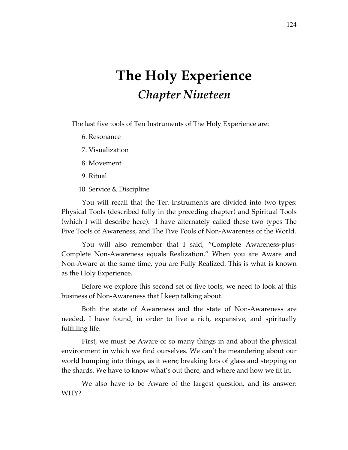# **The Holy Experience** *Chapter Nineteen*

The last five tools of Ten Instruments of The Holy Experience are:

- 6. Resonance
- 7. Visualization
- 8. Movement
- 9. Ritual
- 10. Service & Discipline

You will recall that the Ten Instruments are divided into two types: Physical Tools (described fully in the preceding chapter) and Spiritual Tools (which I will describe here). I have alternately called these two types The Five Tools of Awareness, and The Five Tools of Non-Awareness of the World.

You will also remember that I said, "Complete Awareness-plus-Complete Non-Awareness equals Realization." When you are Aware and Non-Aware at the same time, you are Fully Realized. This is what is known as the Holy Experience.

Before we explore this second set of five tools, we need to look at this business of Non-Awareness that I keep talking about.

Both the state of Awareness and the state of Non-Awareness are needed, I have found, in order to live a rich, expansive, and spiritually fulfilling life.

First, we must be Aware of so many things in and about the physical environment in which we find ourselves. We can't be meandering about our world bumping into things, as it were; breaking lots of glass and stepping on the shards. We have to know what's out there, and where and how we fit in.

We also have to be Aware of the largest question, and its answer: WHY?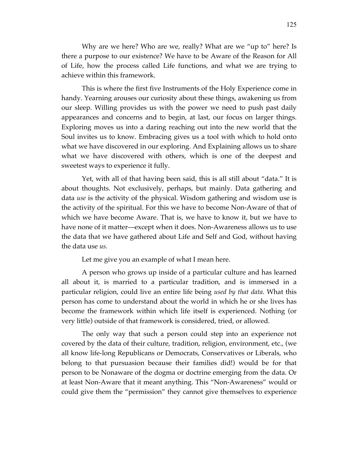Why are we here? Who are we, really? What are we "up to" here? Is there a purpose to our existence? We have to be Aware of the Reason for All of Life, how the process called Life functions, and what we are trying to achieve within this framework.

This is where the first five Instruments of the Holy Experience come in handy. Yearning arouses our curiosity about these things, awakening us from our sleep. Willing provides us with the power we need to push past daily appearances and concerns and to begin, at last, our focus on larger things. Exploring moves us into a daring reaching out into the new world that the Soul invites us to know. Embracing gives us a tool with which to hold onto what we have discovered in our exploring. And Explaining allows us to share what we have discovered with others, which is one of the deepest and sweetest ways to experience it fully.

Yet, with all of that having been said, this is all still about "data." It is about thoughts. Not exclusively, perhaps, but mainly. Data gathering and data *use* is the activity of the physical. Wisdom gathering and wisdom use is the activity of the spiritual. For this we have to become Non-Aware of that of which we have become Aware. That is, we have to know it, but we have to have none of it matter—except when it does. Non-Awareness allows us to use the data that we have gathered about Life and Self and God, without having the data use *us.*

Let me give you an example of what I mean here.

A person who grows up inside of a particular culture and has learned all about it, is married to a particular tradition, and is immersed in a particular religion, could live an entire life being *used by that data*. What this person has come to understand about the world in which he or she lives has become the framework within which life itself is experienced. Nothing (or very little) outside of that framework is considered, tried, or allowed.

The only way that such a person could step into an experience not covered by the data of their culture, tradition, religion, environment, etc., (we all know life-long Republicans or Democrats, Conservatives or Liberals, who belong to that pursuasion because their families did!) would be for that person to be Nonaware of the dogma or doctrine emerging from the data. Or at least Non-Aware that it meant anything. This "Non-Awareness" would or could give them the "permission" they cannot give themselves to experience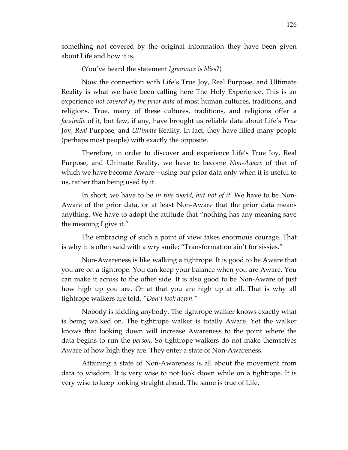something not covered by the original information they have been given about Life and how it is.

(You've heard the statement *Ignorance is bliss*?)

Now the connection with Life's True Joy, Real Purpose, and Ultimate Reality is what we have been calling here The Holy Experience. This is an experience *not covered by the prior data* of most human cultures, traditions, and religions. True, many of these cultures, traditions, and religions offer a *facsimile* of it, but few, if any, have brought us reliable data about Life's *True* Joy, *Real* Purpose, and *Ultimate* Reality. In fact, they have filled many people (perhaps most people) with exactly the opposite.

Therefore, in order to discover and experience Life's True Joy, Real Purpose, and Ultimate Reality, we have to become *Non-Aware* of that of which we have become Aware—using our prior data only when it is useful to us, rather than being used *by* it.

In short, we have to be *in this world, but not of it.* We have to be Non-Aware of the prior data, or at least Non-Aware that the prior data means anything. We have to adopt the attitude that "nothing has any meaning save the meaning I give it."

The embracing of such a point of view takes enormous courage. That is why it is often said with a wry smile: "Transformation ain't for sissies."

Non-Awareness is like walking a tightrope. It is good to be Aware that you are on a tightrope. You can keep your balance when you are Aware. You can make it across to the other side. It is also good to be Non-Aware of just how high up you are. Or at that you are high up at all. That is why all tightrope walkers are told, *"Don't look down."* 

Nobody is kidding anybody. The tightrope walker knows exactly what is being walked on. The tightrope walker is totally Aware. Yet the walker knows that looking down will increase Awareness to the point where the data begins to run the *person.* So tightrope walkers do not make themselves Aware of how high they are. They enter a state of Non-Awareness.

Attaining a state of Non-Awareness is all about the movement from data to wisdom. It is very wise to not look down while on a tightrope. It is very wise to keep looking straight ahead. The same is true of Life.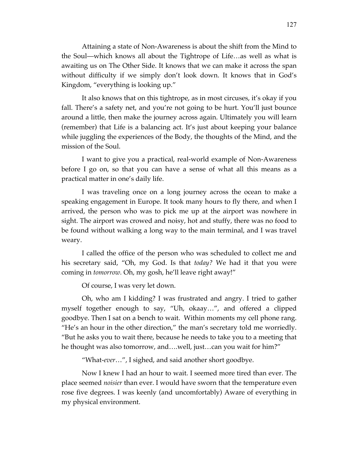Attaining a state of Non-Awareness is about the shift from the Mind to the Soul—which knows all about the Tightrope of Life…as well as what is awaiting us on The Other Side. It knows that we can make it across the span without difficulty if we simply don't look down. It knows that in God's Kingdom, "everything is looking up."

It also knows that on this tightrope, as in most circuses, it's okay if you fall. There's a safety net, and you're not going to be hurt. You'll just bounce around a little, then make the journey across again. Ultimately you will learn (remember) that Life is a balancing act. It's just about keeping your balance while juggling the experiences of the Body, the thoughts of the Mind, and the mission of the Soul.

I want to give you a practical, real-world example of Non-Awareness before I go on, so that you can have a sense of what all this means as a practical matter in one's daily life.

I was traveling once on a long journey across the ocean to make a speaking engagement in Europe. It took many hours to fly there, and when I arrived, the person who was to pick me up at the airport was nowhere in sight. The airport was crowed and noisy, hot and stuffy, there was no food to be found without walking a long way to the main terminal, and I was travel weary.

I called the office of the person who was scheduled to collect me and his secretary said, "Oh, my God. Is that *today?* We had it that you were coming in *tomorrow.* Oh, my gosh, he'll leave right away!"

Of course, I was very let down.

Oh, who am I kidding? I was frustrated and angry. I tried to gather myself together enough to say, "Uh, okaay…", and offered a clipped goodbye. Then I sat on a bench to wait. Within moments my cell phone rang. "He's an hour in the other direction," the man's secretary told me worriedly. "But he asks you to wait there, because he needs to take you to a meeting that he thought was also tomorrow, and….well, just…can you wait for him?"

"What-*ever*…", I sighed, and said another short goodbye.

Now I knew I had an hour to wait. I seemed more tired than ever. The place seemed *noisier* than ever. I would have sworn that the temperature even rose five degrees. I was keenly (and uncomfortably) Aware of everything in my physical environment.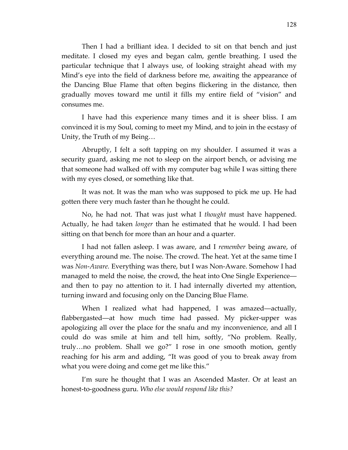Then I had a brilliant idea. I decided to sit on that bench and just meditate. I closed my eyes and began calm, gentle breathing. I used the particular technique that I always use, of looking straight ahead with my Mind's eye into the field of darkness before me, awaiting the appearance of the Dancing Blue Flame that often begins flickering in the distance, then gradually moves toward me until it fills my entire field of "vision" and consumes me.

I have had this experience many times and it is sheer bliss. I am convinced it is my Soul, coming to meet my Mind, and to join in the ecstasy of Unity, the Truth of my Being…

Abruptly, I felt a soft tapping on my shoulder. I assumed it was a security guard, asking me not to sleep on the airport bench, or advising me that someone had walked off with my computer bag while I was sitting there with my eyes closed, or something like that.

It was not. It was the man who was supposed to pick me up. He had gotten there very much faster than he thought he could.

No, he had not. That was just what I *thought* must have happened. Actually, he had taken *longer* than he estimated that he would. I had been sitting on that bench for more than an hour and a quarter.

I had not fallen asleep. I was aware, and I *remember* being aware, of everything around me. The noise. The crowd. The heat. Yet at the same time I was *Non-Aware.* Everything was there, but I was Non-Aware. Somehow I had managed to meld the noise, the crowd, the heat into One Single Experience and then to pay no attention to it. I had internally diverted my attention, turning inward and focusing only on the Dancing Blue Flame.

When I realized what had happened, I was amazed—actually, flabbergasted—at how much time had passed. My picker-upper was apologizing all over the place for the snafu and my inconvenience, and all I could do was smile at him and tell him, softly, "No problem. Really, truly…no problem. Shall we go?" I rose in one smooth motion, gently reaching for his arm and adding, "It was good of you to break away from what you were doing and come get me like this."

I'm sure he thought that I was an Ascended Master. Or at least an honest-to-goodness guru. *Who else would respond like this?*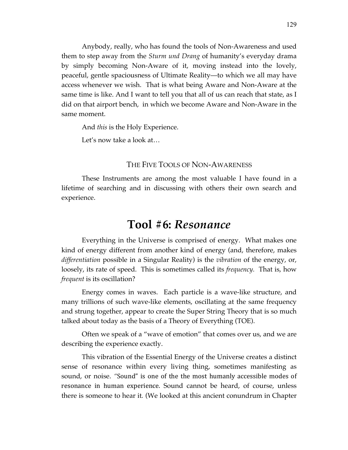Anybody, really, who has found the tools of Non-Awareness and used them to step away from the *Sturm und Drang* of humanity's everyday drama by simply becoming Non-Aware of it, moving instead into the lovely, peaceful, gentle spaciousness of Ultimate Reality—to which we all may have access whenever we wish. That is what being Aware and Non-Aware at the same time is like. And I want to tell you that all of us can reach that state, as I did on that airport bench, in which we become Aware and Non-Aware in the same moment.

And *this* is the Holy Experience.

Let's now take a look at…

### THE FIVE TOOLS OF NON-AWARENESS

These Instruments are among the most valuable I have found in a lifetime of searching and in discussing with others their own search and experience.

### **Tool #6:** *Resonance*

Everything in the Universe is comprised of energy. What makes one kind of energy different from another kind of energy (and, therefore, makes *differentiation* possible in a Singular Reality) is the *vibration* of the energy, or, loosely, its rate of speed. This is sometimes called its *frequency.* That is, how *frequent* is its oscillation?

Energy comes in waves. Each particle is a wave-like structure, and many trillions of such wave-like elements, oscillating at the same frequency and strung together, appear to create the Super String Theory that is so much talked about today as the basis of a Theory of Everything (TOE).

Often we speak of a "wave of emotion" that comes over us, and we are describing the experience exactly.

This vibration of the Essential Energy of the Universe creates a distinct sense of resonance within every living thing, sometimes manifesting as sound, or noise. "Sound" is one of the the most humanly accessible modes of resonance in human experience. Sound cannot be heard, of course, unless there is someone to hear it*.* (We looked at this ancient conundrum in Chapter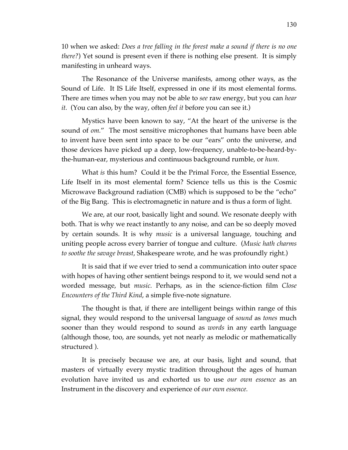10 when we asked: *Does a tree falling in the forest make a sound if there is no one there?*) Yet sound is present even if there is nothing else present. It is simply manifesting in unheard ways.

The Resonance of the Universe manifests, among other ways, as the Sound of Life. It IS Life Itself, expressed in one if its most elemental forms. There are times when you may not be able to *see* raw energy, but you can *hear it.* (You can also, by the way, often *feel it* before you can see it.)

Mystics have been known to say, "At the heart of the universe is the sound of *om.*" The most sensitive microphones that humans have been able to invent have been sent into space to be our "ears" onto the universe, and those devices have picked up a deep, low-frequency, unable-to-be-heard-bythe-human-ear, mysterious and continuous background rumble, or *hum.*

What *is* this hum? Could it be the Primal Force, the Essential Essence, Life Itself in its most elemental form? Science tells us this is the Cosmic Microwave Background radiation (CMB) which is supposed to be the "echo" of the Big Bang. This is electromagnetic in nature and is thus a form of light.

We are, at our root, basically light and sound*.* We resonate deeply with both. That is why we react instantly to any noise, and can be so deeply moved by certain sounds. It is why *music* is a universal language, touching and uniting people across every barrier of tongue and culture. (*Music hath charms to soothe the savage breast*, Shakespeare wrote, and he was profoundly right.)

It is said that if we ever tried to send a communication into outer space with hopes of having other sentient beings respond to it, we would send not a worded message, but *music.* Perhaps, as in the science-fiction film *Close Encounters of the Third Kind*, a simple five-note signature.

The thought is that, if there are intelligent beings within range of this signal, they would respond to the universal language of *sound* as *tones* much sooner than they would respond to sound as *words* in any earth language (although those, too, are sounds, yet not nearly as melodic or mathematically structured ).

It is precisely because we are, at our basis, light and sound, that masters of virtually every mystic tradition throughout the ages of human evolution have invited us and exhorted us to use *our own essence* as an Instrument in the discovery and experience of *our own essence.*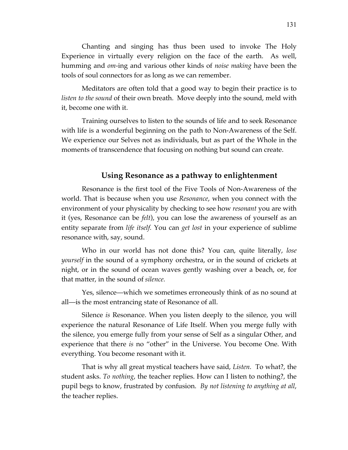Chanting and singing has thus been used to invoke The Holy Experience in virtually every religion on the face of the earth. As well, humming and *om-*ing and various other kinds of *noise making* have been the tools of soul connectors for as long as we can remember.

Meditators are often told that a good way to begin their practice is to *listen to the sound* of their own breath. Move deeply into the sound, meld with it, become one with it.

Training ourselves to listen to the sounds of life and to seek Resonance with life is a wonderful beginning on the path to Non-Awareness of the Self. We experience our Selves not as individuals, but as part of the Whole in the moments of transcendence that focusing on nothing but sound can create.

### **Using Resonance as a pathway to enlightenment**

Resonance is the first tool of the Five Tools of Non-Awareness of the world. That is because when you use *Resonance*, when you connect with the environment of your physicality by checking to see how *resonant* you are with it (yes, Resonance can be *felt*), you can lose the awareness of yourself as an entity separate from *life itself.* You can *get lost* in your experience of sublime resonance with, say, sound.

Who in our world has not done this? You can, quite literally, *lose yourself* in the sound of a symphony orchestra, or in the sound of crickets at night, or in the sound of ocean waves gently washing over a beach, or, for that matter, in the sound of *silence.*

Yes, silence—which we sometimes erroneously think of as no sound at all—is the most entrancing state of Resonance of all.

Silence *is* Resonance. When you listen deeply to the silence, you will experience the natural Resonance of Life Itself. When you merge fully with the silence, you emerge fully from your sense of Self as a singular Other, and experience that there *is* no "other" in the Universe. You become One. With everything. You become resonant with it.

That is why all great mystical teachers have said, *Listen.* To what?, the student asks. *To nothing*, the teacher replies. How can I listen to nothing?, the pupil begs to know, frustrated by confusion. *By not listening to anything at all*, the teacher replies.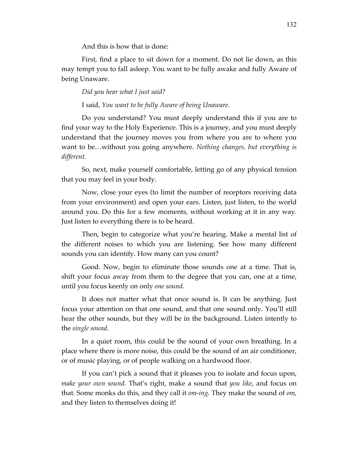And this is how that is done:

First, find a place to sit down for a moment. Do not lie down, as this may tempt you to fall asleep. You want to be fully awake and fully Aware of being Unaware.

#### *Did you hear what I just said?*

I said, *You want to be fully Aware of being Unaware.*

Do you understand? You must deeply understand this if you are to find your way to the Holy Experience. This is a journey, and you must deeply understand that the journey moves you from where you are to where you want to be…without you going anywhere. *Nothing changes, but everything is different.*

So, next, make yourself comfortable, letting go of any physical tension that you may feel in your body.

Now, close your eyes (to limit the number of receptors receiving data from your environment) and open your ears. Listen, just listen, to the world around you. Do this for a few moments, without working at it in any way. Just listen to everything there is to be heard.

Then, begin to categorize what you're hearing. Make a mental list of the different noises to which you are listening. See how many different sounds you can identify. How many can you count?

Good. Now, begin to eliminate those sounds one at a time. That is, shift your focus away from them to the degree that you can, one at a time, until you focus keenly on only *one sound.* 

It does not matter what that once sound is. It can be anything. Just focus your attention on that one sound, and that one sound only. You'll still hear the other sounds, but they will be in the background. Listen intently to the *single sound.*

In a quiet room, this could be the sound of your own breathing. In a place where there is more noise, this could be the sound of an air conditioner, or of music playing, or of people walking on a hardwood floor.

If you can't pick a sound that it pleases you to isolate and focus upon, *make your own sound.* That's right, make a sound that *you like*, and focus on that. Some monks do this, and they call it *om-ing.* They make the sound of *om*, and they listen to themselves doing it!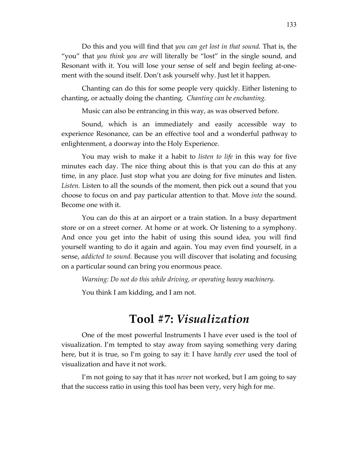Do this and you will find that *you can get lost in that sound.* That is, the "you" that *you think you are* will literally be "lost" in the single sound, and Resonant with it. You will lose your sense of self and begin feeling at-onement with the sound itself. Don't ask yourself why. Just let it happen.

Chanting can do this for some people very quickly. Either listening to chanting, or actually doing the chanting. *Chanting can be enchanting.*

Music can also be entrancing in this way, as was observed before.

Sound, which is an immediately and easily accessible way to experience Resonance, can be an effective tool and a wonderful pathway to enlightenment, a doorway into the Holy Experience.

You may wish to make it a habit to *listen to life* in this way for five minutes each day. The nice thing about this is that you can do this at any time, in any place. Just stop what you are doing for five minutes and listen. *Listen.* Listen to all the sounds of the moment, then pick out a sound that you choose to focus on and pay particular attention to that. Move *into* the sound. Become one with it.

You can do this at an airport or a train station. In a busy department store or on a street corner. At home or at work. Or listening to a symphony. And once you get into the habit of using this sound idea, you will find yourself wanting to do it again and again. You may even find yourself, in a sense, *addicted to sound.* Because you will discover that isolating and focusing on a particular sound can bring you enormous peace.

*Warning: Do not do this while driving, or operating heavy machinery.*

You think I am kidding, and I am not.

### **Tool #7:** *Visualization*

One of the most powerful Instruments I have ever used is the tool of visualization. I'm tempted to stay away from saying something very daring here, but it is true, so I'm going to say it: I have *hardly ever* used the tool of visualization and have it not work.

I'm not going to say that it has *never* not worked, but I am going to say that the success ratio in using this tool has been very, very high for me.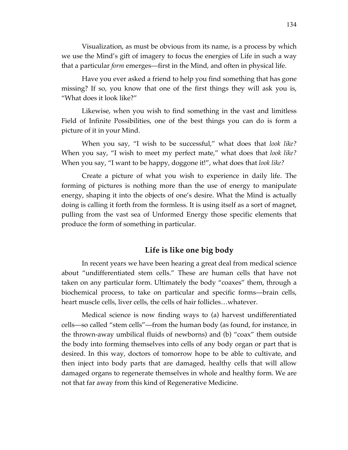Visualization, as must be obvious from its name, is a process by which we use the Mind's gift of imagery to focus the energies of Life in such a way that a particular *form* emerges—first in the Mind, and often in physical life.

Have you ever asked a friend to help you find something that has gone missing? If so, you know that one of the first things they will ask you is, "What does it look like?"

Likewise, when you wish to find something in the vast and limitless Field of Infinite Possibilities, one of the best things you can do is form a picture of it in your Mind.

When you say, "I wish to be successful," what does that *look like?*  When you say, "I wish to meet my perfect mate," what does that *look like?*  When you say, "I want to be happy, doggone it!", what does that *look like?*

Create a picture of what you wish to experience in daily life. The forming of pictures is nothing more than the use of energy to manipulate energy, shaping it into the objects of one's desire. What the Mind is actually doing is calling it forth from the formless. It is using itself as a sort of magnet, pulling from the vast sea of Unformed Energy those specific elements that produce the form of something in particular.

### **Life is like one big body**

In recent years we have been hearing a great deal from medical science about "undifferentiated stem cells." These are human cells that have not taken on any particular form. Ultimately the body "coaxes" them, through a biochemical process, to take on particular and specific forms—brain cells, heart muscle cells, liver cells, the cells of hair follicles…whatever.

Medical science is now finding ways to (a) harvest undifferentiated cells—so called "stem cells"—from the human body (as found, for instance, in the thrown-away umbilical fluids of newborns) and (b) "coax" them outside the body into forming themselves into cells of any body organ or part that is desired. In this way, doctors of tomorrow hope to be able to cultivate, and then inject into body parts that are damaged, healthy cells that will allow damaged organs to regenerate themselves in whole and healthy form. We are not that far away from this kind of Regenerative Medicine.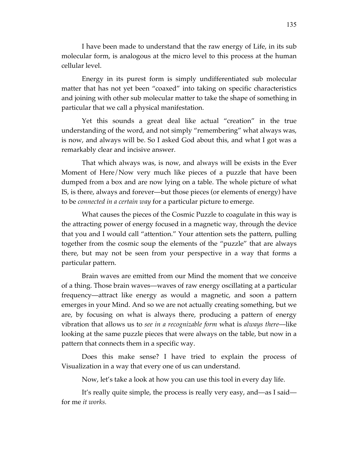I have been made to understand that the raw energy of Life, in its sub molecular form, is analogous at the micro level to this process at the human cellular level.

Energy in its purest form is simply undifferentiated sub molecular matter that has not yet been "coaxed" into taking on specific characteristics and joining with other sub molecular matter to take the shape of something in particular that we call a physical manifestation.

Yet this sounds a great deal like actual "creation" in the true understanding of the word, and not simply "remembering" what always was, is now, and always will be. So I asked God about this, and what I got was a remarkably clear and incisive answer.

That which always was, is now, and always will be exists in the Ever Moment of Here/Now very much like pieces of a puzzle that have been dumped from a box and are now lying on a table. The whole picture of what IS, is there, always and forever—but those pieces (or elements of energy) have to be *connected in a certain way* for a particular picture to emerge.

What causes the pieces of the Cosmic Puzzle to coagulate in this way is the attracting power of energy focused in a magnetic way, through the device that you and I would call "attention." Your attention sets the pattern, pulling together from the cosmic soup the elements of the "puzzle" that are always there, but may not be seen from your perspective in a way that forms a particular pattern.

Brain waves are emitted from our Mind the moment that we conceive of a thing. Those brain waves—waves of raw energy oscillating at a particular frequency—attract like energy as would a magnetic, and soon a pattern emerges in your Mind. And so we are not actually creating something, but we are, by focusing on what is always there, producing a pattern of energy vibration that allows us to *see in a recognizable form* what is *always there*—like looking at the same puzzle pieces that were always on the table, but now in a pattern that connects them in a specific way.

Does this make sense? I have tried to explain the process of Visualization in a way that every one of us can understand.

Now, let's take a look at how you can use this tool in every day life.

It's really quite simple, the process is really very easy, and—as I said for me *it works.*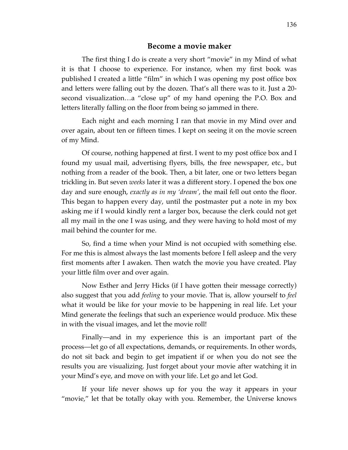#### **Become a movie maker**

The first thing I do is create a very short "movie" in my Mind of what it is that I choose to experience. For instance, when my first book was published I created a little "film" in which I was opening my post office box and letters were falling out by the dozen. That's all there was to it. Just a 20 second visualization…a "close up" of my hand opening the P.O. Box and letters literally falling on the floor from being so jammed in there.

Each night and each morning I ran that movie in my Mind over and over again, about ten or fifteen times. I kept on seeing it on the movie screen of my Mind.

Of course, nothing happened at first. I went to my post office box and I found my usual mail, advertising flyers, bills, the free newspaper, etc., but nothing from a reader of the book. Then, a bit later, one or two letters began trickling in. But seven *weeks* later it was a different story. I opened the box one day and sure enough, *exactly as in my 'dream'*, the mail fell out onto the floor. This began to happen every day, until the postmaster put a note in my box asking me if I would kindly rent a larger box, because the clerk could not get all my mail in the one I was using, and they were having to hold most of my mail behind the counter for me.

So, find a time when your Mind is not occupied with something else. For me this is almost always the last moments before I fell asleep and the very first moments after I awaken. Then watch the movie you have created. Play your little film over and over again.

Now Esther and Jerry Hicks (if I have gotten their message correctly) also suggest that you add *feeling* to your movie. That is, allow yourself to *feel*  what it would be like for your movie to be happening in real life. Let your Mind generate the feelings that such an experience would produce. Mix these in with the visual images, and let the movie roll!

Finally—and in my experience this is an important part of the process—let go of all expectations, demands, or requirements. In other words, do not sit back and begin to get impatient if or when you do not see the results you are visualizing. Just forget about your movie after watching it in your Mind's eye, and move on with your life. Let go and let God.

If your life never shows up for you the way it appears in your "movie," let that be totally okay with you. Remember, the Universe knows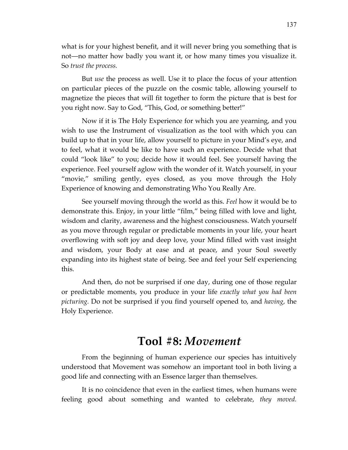what is for your highest benefit, and it will never bring you something that is not—no matter how badly you want it, or how many times you visualize it. So *trust the process.*

But *use* the process as well. Use it to place the focus of your attention on particular pieces of the puzzle on the cosmic table, allowing yourself to magnetize the pieces that will fit together to form the picture that is best for you right now. Say to God, "This, God, or something better!"

Now if it is The Holy Experience for which you are yearning, and you wish to use the Instrument of visualization as the tool with which you can build up to that in your life, allow yourself to picture in your Mind's eye, and to feel, what it would be like to have such an experience. Decide what that could "look like" to you; decide how it would feel. See yourself having the experience. Feel yourself aglow with the wonder of it. Watch yourself, in your "movie," smiling gently, eyes closed, as you move through the Holy Experience of knowing and demonstrating Who You Really Are.

See yourself moving through the world as this. *Feel* how it would be to demonstrate this. Enjoy, in your little "film," being filled with love and light, wisdom and clarity, awareness and the highest consciousness. Watch yourself as you move through regular or predictable moments in your life, your heart overflowing with soft joy and deep love, your Mind filled with vast insight and wisdom, your Body at ease and at peace, and your Soul sweetly expanding into its highest state of being. See and feel your Self experiencing this.

And then, do not be surprised if one day, during one of those regular or predictable moments, you produce in your life *exactly what you had been picturing.* Do not be surprised if you find yourself opened to, and *having*, the Holy Experience.

### **Tool #8:** *Movement*

From the beginning of human experience our species has intuitively understood that Movement was somehow an important tool in both living a good life and connecting with an Essence larger than themselves.

It is no coincidence that even in the earliest times, when humans were feeling good about something and wanted to celebrate, *they moved.*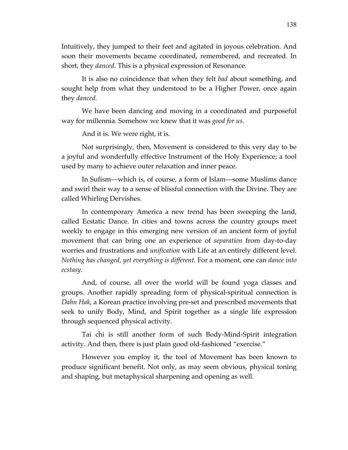Intuitively, they jumped to their feet and agitated in joyous celebration. And soon their movements became coordinated, remembered, and recreated. In short, they *danced.* This is a physical expression of Resonance.

It is also no coincidence that when they felt *bad* about something, and sought help from what they understood to be a Higher Power, once again they *danced.* 

We have been dancing and moving in a coordinated and purposeful way for millennia. Somehow we knew that it was *good for us.* 

And it is. We were right, it is.

Not surprisingly, then, Movement is considered to this very day to be a joyful and wonderfully effective Instrument of the Holy Experience; a tool used by many to achieve outer relaxation and inner peace.

In Sufism—which is, of course, a form of Islam—some Muslims dance and swirl their way to a sense of blissful connection with the Divine. They are called Whirling Dervishes.

In contemporary America a new trend has been sweeping the land, called Ecstatic Dance. In cities and towns across the country groups meet weekly to engage in this emerging new version of an ancient form of joyful movement that can bring one an experience of *separation* from day-to-day worries and frustrations and *unification* with Life at an entirely different level. *Nothing has changed, yet everything is different.* For a moment, one can *dance into ecstasy.*

And, of course, all over the world will be found yoga classes and groups. Another rapidly spreading form of physical-spiritual connection is *Dahn Hak*, a Korean practice involving pre-set and prescribed movements that seek to unify Body, Mind, and Spirit together as a single life expression through sequenced physical activity.

Tai chi is still another form of such Body-Mind-Spirit integration activity. And then, there is just plain good old-fashioned "exercise."

However you employ it, the tool of Movement has been known to produce significant benefit. Not only, as may seem obvious, physical toning and shaping, but metaphysical sharpening and opening as well.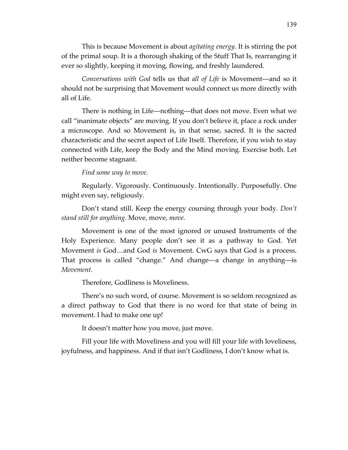This is because Movement is about *agitating energy.* It is stirring the pot of the primal soup. It is a thorough shaking of the Stuff That Is, rearranging it ever so slightly, keeping it moving, flowing, and freshly laundered.

*Conversations with God* tells us that *all of Life* is Movement—and so it should not be surprising that Movement would connect us more directly with all of Life.

There is nothing in Life—nothing—that does not move. Even what we call "inanimate objects" are moving. If you don't believe it, place a rock under a microscope. And so Movement is, in that sense, sacred. It is the sacred characteristic and the secret aspect of Life Itself. Therefore, if you wish to stay connected with Life, keep the Body and the Mind moving. Exercise both. Let neither become stagnant.

*Find some way to move.*

Regularly. Vigorously. Continuously. Intentionally. Purposefully. One might even say, religiously.

Don't stand still. Keep the energy coursing through your body. *Don't stand still for anything.* Move, move, *move.*

Movement is one of the most ignored or unused Instruments of the Holy Experience. Many people don't see it as a pathway to God. Yet Movement *is* God…and God *is* Movement. CwG says that God is a process. That process is called "change." And change—a change in anything—is *Movement.*

Therefore, Godliness is Moveliness.

There's no such word, of course. Movement is so seldom recognized as a direct pathway to God that there is no word for that state of being in movement. I had to make one up!

It doesn't matter how you move, just move.

Fill your life with Moveliness and you will fill your life with loveliness, joyfulness, and happiness. And if that isn't Godliness, I don't know what is.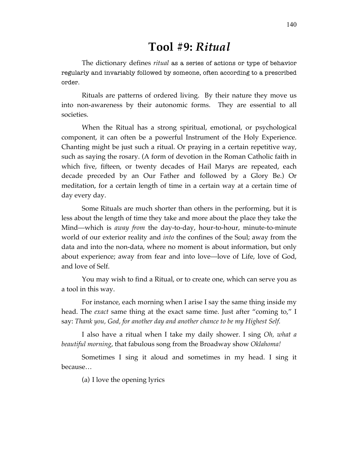### **Tool #9:** *Ritual*

The dictionary defines *ritual* as a series of actions or type of behavior regularly and invariably followed by someone, often according to a prescribed order.

Rituals are patterns of ordered living. By their nature they move us into non-awareness by their autonomic forms. They are essential to all societies.

When the Ritual has a strong spiritual, emotional, or psychological component, it can often be a powerful Instrument of the Holy Experience. Chanting might be just such a ritual. Or praying in a certain repetitive way, such as saying the rosary. (A form of devotion in the Roman Catholic faith in which five, fifteen, or twenty decades of Hail Marys are repeated, each decade preceded by an Our Father and followed by a Glory Be.) Or meditation, for a certain length of time in a certain way at a certain time of day every day.

Some Rituals are much shorter than others in the performing, but it is less about the length of time they take and more about the place they take the Mind—which is *away from* the day-to-day, hour-to-hour, minute-to-minute world of our exterior reality and *into* the confines of the Soul; away from the data and into the non-data, where no moment is about information, but only about experience; away from fear and into love—love of Life, love of God, and love of Self.

You may wish to find a Ritual, or to create one, which can serve you as a tool in this way.

For instance, each morning when I arise I say the same thing inside my head. The *exact* same thing at the exact same time. Just after "coming to," I say: *Thank you, God, for another day and another chance to be my Highest Self.*

I also have a ritual when I take my daily shower. I sing *Oh, what a beautiful morning*, that fabulous song from the Broadway show *Oklahoma!* 

Sometimes I sing it aloud and sometimes in my head. I sing it because…

(a) I love the opening lyrics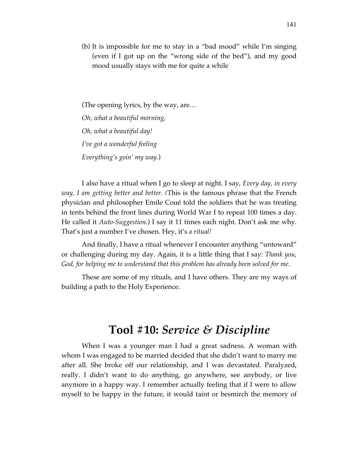(b) It is impossible for me to stay in a "bad mood" while I'm singing (even if I got up on the "wrong side of the bed"), and my good mood usually stays with me for quite a while

(The opening lyrics, by the way, are… *Oh, what a beautiful morning, Oh, what a beautiful day! I've got a wonderful feeling Everything's goin' my way.*)

I also have a ritual when I go to sleep at night. I say, *Every day, in every way, I am getting better and better. (*This is the famous phrase that the French physician and philosopher Emile Coué told the soldiers that he was treating in tents behind the front lines during World War I to repeat 100 times a day. He called it *Auto-Suggestion.*) I say it 11 times each night. Don't ask me why. That's just a number I've chosen. Hey, it's *a ritual!*

And finally, I have a ritual whenever I encounter anything "untoward" or challenging during my day. Again, it is a little thing that I say: *Thank you, God, for helping me to understand that this problem has already been solved for me.*

These are some of my rituals, and I have others. They are my ways of building a path to the Holy Experience.

### **Tool #10:** *Service & Discipline*

When I was a younger man I had a great sadness. A woman with whom I was engaged to be married decided that she didn't want to marry me after all. She broke off our relationship, and I was devastated. Paralyzed, really. I didn't want to do anything, go anywhere, see anybody, or live anymore in a happy way. I remember actually feeling that if I were to allow myself to be happy in the future, it would taint or besmirch the memory of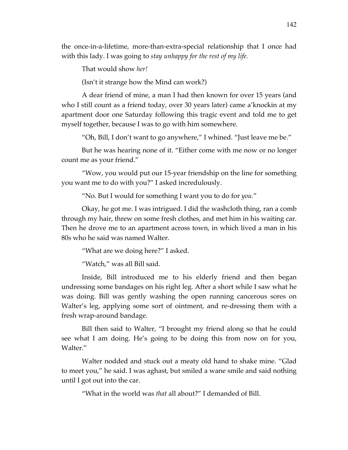the once-in-a-lifetime, more-than-extra-special relationship that I once had with this lady. I was going to *stay unhappy for the rest of my life.*

That would show *her!*

(Isn't it strange how the Mind can work?)

A dear friend of mine, a man I had then known for over 15 years (and who I still count as a friend today, over 30 years later) came a'knockin at my apartment door one Saturday following this tragic event and told me to get myself together, because I was to go with him somewhere.

"Oh, Bill, I don't want to go anywhere," I whined. "Just leave me be."

But he was hearing none of it. "Either come with me now or no longer count me as your friend."

"Wow, you would put our 15-year friendship on the line for something you want me to do with you?" I asked incredulously.

"No. But I would for something I want you to do for *you.*"

Okay, he got me. I was intrigued. I did the washcloth thing, ran a comb through my hair, threw on some fresh clothes, and met him in his waiting car. Then he drove me to an apartment across town, in which lived a man in his 80s who he said was named Walter.

"What are we doing here?" I asked.

"Watch," was all Bill said.

Inside, Bill introduced me to his elderly friend and then began undressing some bandages on his right leg. After a short while I saw what he was doing. Bill was gently washing the open running cancerous sores on Walter's leg, applying some sort of ointment, and re-dressing them with a fresh wrap-around bandage.

Bill then said to Walter, "I brought my friend along so that he could see what I am doing. He's going to be doing this from now on for you, Walter."

Walter nodded and stuck out a meaty old hand to shake mine. "Glad to meet you," he said. I was aghast, but smiled a wane smile and said nothing until I got out into the car.

"What in the world was *that* all about?" I demanded of Bill.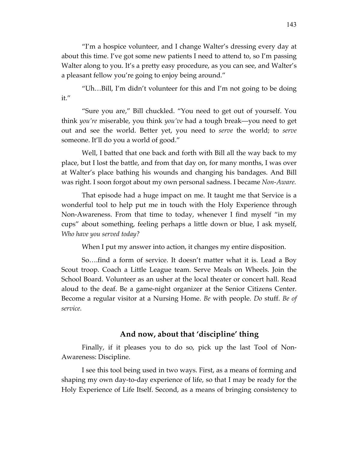"I'm a hospice volunteer, and I change Walter's dressing every day at about this time. I've got some new patients I need to attend to, so I'm passing Walter along to you. It's a pretty easy procedure, as you can see, and Walter's a pleasant fellow you're going to enjoy being around."

"Uh…Bill, I'm didn't volunteer for this and I'm not going to be doing it."

"Sure you are," Bill chuckled. "You need to get out of yourself. You think *you're* miserable, you think *you've* had a tough break—you need to get out and see the world. Better yet, you need to *serve* the world; to *serve*  someone. It'll do you a world of good."

Well, I batted that one back and forth with Bill all the way back to my place, but I lost the battle, and from that day on, for many months, I was over at Walter's place bathing his wounds and changing his bandages. And Bill was right. I soon forgot about my own personal sadness. I became *Non-Aware.*

That episode had a huge impact on me. It taught me that Service is a wonderful tool to help put me in touch with the Holy Experience through Non-Awareness. From that time to today, whenever I find myself "in my cups" about something, feeling perhaps a little down or blue, I ask myself, *Who have you served today?*

When I put my answer into action, it changes my entire disposition.

So….find a form of service. It doesn't matter what it is. Lead a Boy Scout troop. Coach a Little League team. Serve Meals on Wheels. Join the School Board. Volunteer as an usher at the local theater or concert hall. Read aloud to the deaf. Be a game-night organizer at the Senior Citizens Center. Become a regular visitor at a Nursing Home. *Be* with people. *Do* stuff. *Be of service.* 

### **And now, about that 'discipline' thing**

Finally, if it pleases you to do so, pick up the last Tool of Non-Awareness: Discipline.

I see this tool being used in two ways. First, as a means of forming and shaping my own day-to-day experience of life, so that I may be ready for the Holy Experience of Life Itself. Second, as a means of bringing consistency to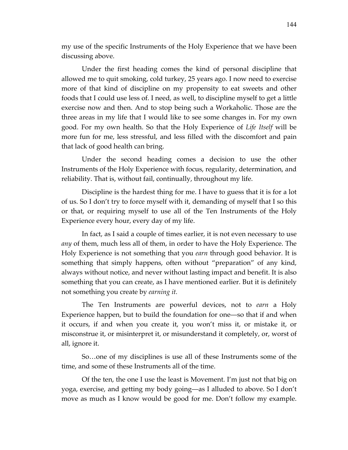my use of the specific Instruments of the Holy Experience that we have been discussing above.

Under the first heading comes the kind of personal discipline that allowed me to quit smoking, cold turkey, 25 years ago. I now need to exercise more of that kind of discipline on my propensity to eat sweets and other foods that I could use less of. I need, as well, to discipline myself to get a little exercise now and then. And to stop being such a Workaholic. Those are the three areas in my life that I would like to see some changes in. For my own good. For my own health. So that the Holy Experience of *Life Itself* will be more fun for me, less stressful, and less filled with the discomfort and pain that lack of good health can bring.

Under the second heading comes a decision to use the other Instruments of the Holy Experience with focus, regularity, determination, and reliability. That is, without fail, continually, throughout my life.

Discipline is the hardest thing for me. I have to guess that it is for a lot of us. So I don't try to force myself with it, demanding of myself that I so this or that, or requiring myself to use all of the Ten Instruments of the Holy Experience every hour, every day of my life.

In fact, as I said a couple of times earlier, it is not even necessary to use *any* of them, much less all of them, in order to have the Holy Experience. The Holy Experience is not something that you *earn* through good behavior. It is something that simply happens, often without "preparation" of any kind, always without notice, and never without lasting impact and benefit. It is also something that you can create, as I have mentioned earlier. But it is definitely not something you create by *earning it.* 

The Ten Instruments are powerful devices, not to *earn* a Holy Experience happen, but to build the foundation for one—so that if and when it occurs, if and when you create it, you won't miss it, or mistake it, or misconstrue it, or misinterpret it, or misunderstand it completely, or, worst of all, ignore it.

So…one of my disciplines is use all of these Instruments some of the time, and some of these Instruments all of the time.

Of the ten, the one I use the least is Movement. I'm just not that big on yoga, exercise, and getting my body going—as I alluded to above. So I don't move as much as I know would be good for me. Don't follow my example.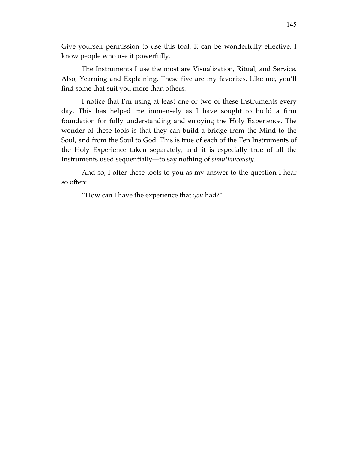Give yourself permission to use this tool. It can be wonderfully effective. I know people who use it powerfully.

The Instruments I use the most are Visualization, Ritual, and Service. Also, Yearning and Explaining. These five are my favorites. Like me, you'll find some that suit you more than others.

I notice that I'm using at least one or two of these Instruments every day. This has helped me immensely as I have sought to build a firm foundation for fully understanding and enjoying the Holy Experience. The wonder of these tools is that they can build a bridge from the Mind to the Soul, and from the Soul to God. This is true of each of the Ten Instruments of the Holy Experience taken separately, and it is especially true of all the Instruments used sequentially—to say nothing of *simultaneously.*

And so, I offer these tools to you as my answer to the question I hear so often:

"How can I have the experience that *you* had?"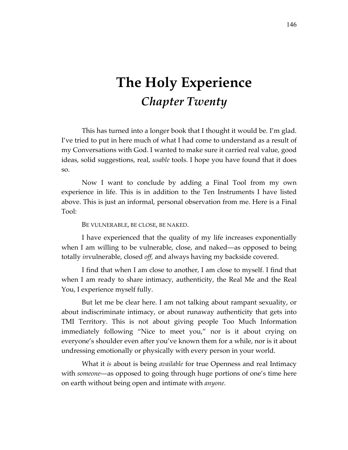# **The Holy Experience** *Chapter Twenty*

This has turned into a longer book that I thought it would be. I'm glad. I've tried to put in here much of what I had come to understand as a result of my Conversations with God. I wanted to make sure it carried real value, good ideas, solid suggestions, real, *usable* tools. I hope you have found that it does so.

Now I want to conclude by adding a Final Tool from my own experience in life. This is in addition to the Ten Instruments I have listed above. This is just an informal, personal observation from me. Here is a Final Tool:

#### BE VULNERABLE, BE CLOSE, BE NAKED.

I have experienced that the quality of my life increases exponentially when I am willing to be vulnerable, close, and naked—as opposed to being totally *in*vulnerable, closed *off,* and always having my backside covered.

I find that when I am close to another, I am close to myself. I find that when I am ready to share intimacy, authenticity, the Real Me and the Real You, I experience myself fully.

But let me be clear here. I am not talking about rampant sexuality, or about indiscriminate intimacy, or about runaway authenticity that gets into TMI Territory. This is not about giving people Too Much Information immediately following "Nice to meet you," nor is it about crying on everyone's shoulder even after you've known them for a while, nor is it about undressing emotionally or physically with every person in your world.

What it *is* about is being *available* for true Openness and real Intimacy with *someone*—as opposed to going through huge portions of one's time here on earth without being open and intimate with *anyone.*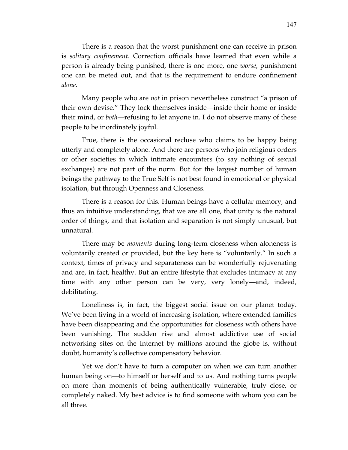There is a reason that the worst punishment one can receive in prison is *solitary confinement*. Correction officials have learned that even while a person is already being punished, there is one more, one *worse*, punishment one can be meted out, and that is the requirement to endure confinement *alone.*

Many people who are *not* in prison nevertheless construct "a prison of their own devise." They lock themselves inside—inside their home or inside their mind, or *both*—refusing to let anyone in. I do not observe many of these people to be inordinately joyful.

True, there is the occasional recluse who claims to be happy being utterly and completely alone. And there are persons who join religious orders or other societies in which intimate encounters (to say nothing of sexual exchanges) are not part of the norm. But for the largest number of human beings the pathway to the True Self is not best found in emotional or physical isolation, but through Openness and Closeness.

There is a reason for this. Human beings have a cellular memory, and thus an intuitive understanding, that we are all one, that unity is the natural order of things, and that isolation and separation is not simply unusual, but unnatural.

There may be *moments* during long-term closeness when aloneness is voluntarily created or provided, but the key here is "voluntarily." In such a context, times of privacy and separateness can be wonderfully rejuvenating and are, in fact, healthy. But an entire lifestyle that excludes intimacy at any time with any other person can be very, very lonely—and, indeed, debilitating.

Loneliness is, in fact, the biggest social issue on our planet today. We've been living in a world of increasing isolation, where extended families have been disappearing and the opportunities for closeness with others have been vanishing. The sudden rise and almost addictive use of social networking sites on the Internet by millions around the globe is, without doubt, humanity's collective compensatory behavior.

Yet we don't have to turn a computer on when we can turn another human being on—to himself or herself and to us. And nothing turns people on more than moments of being authentically vulnerable, truly close, or completely naked. My best advice is to find someone with whom you can be all three.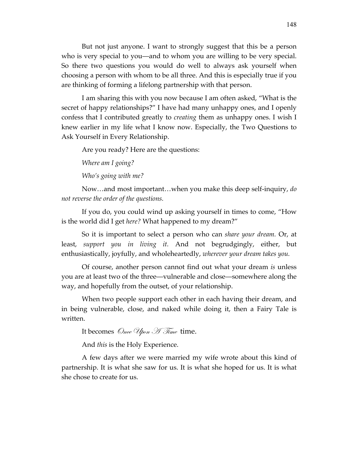But not just anyone. I want to strongly suggest that this be a person who is very special to you—and to whom you are willing to be very special. So there two questions you would do well to always ask yourself when choosing a person with whom to be all three. And this is especially true if you are thinking of forming a lifelong partnership with that person.

I am sharing this with you now because I am often asked, "What is the secret of happy relationships?" I have had many unhappy ones, and I openly confess that I contributed greatly to *creating* them as unhappy ones. I wish I knew earlier in my life what I know now. Especially, the Two Questions to Ask Yourself in Every Relationship.

Are you ready? Here are the questions:

*Where am I going?* 

*Who's going with me?*

Now…and most important…when you make this deep self-inquiry, *do not reverse the order of the questions.*

If you do, you could wind up asking yourself in times to come, "How is the world did I get *here?* What happened to my dream?"

So it is important to select a person who can *share your dream.* Or, at least, *support you in living it.* And not begrudgingly, either, but enthusiastically, joyfully, and wholeheartedly, *wherever your dream takes you.*

Of course, another person cannot find out what your dream *is* unless you are at least two of the three—vulnerable and close—somewhere along the way, and hopefully from the outset, of your relationship.

When two people support each other in each having their dream, and in being vulnerable, close, and naked while doing it, then a Fairy Tale is written.

It becomes Once  $\mathcal{U}_{\text{pon}}$   $\mathcal{H}$   $\mathcal{T}_{\text{time}}$  time.

And *this* is the Holy Experience.

A few days after we were married my wife wrote about this kind of partnership. It is what she saw for us. It is what she hoped for us. It is what she chose to create for us.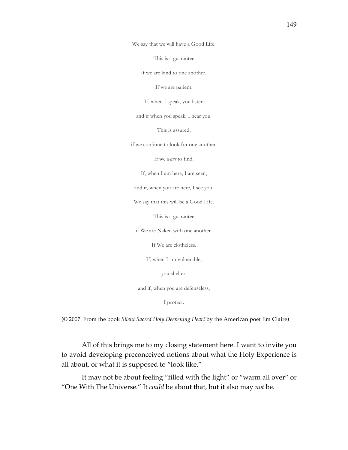We say that we will have a Good Life.

This is a guarantee

if we are kind to one another.

If we are patient.

If, when I speak, you listen

and if when you speak, I hear you.

This is assured,

if we continue to look for one another.

If we *want* to find.

If, when I am here, I am seen,

and if, when you are here, I see you.

We say that this will be a Good Life.

This is a guarantee

if We are Naked with one another.

If We are clotheless.

If, when I am vulnerable,

you shelter,

and if, when you are defenseless,

I protect.

(© 2007. From the book *Silent Sacred Holy Deepening Heart* by the American poet Em Claire)

All of this brings me to my closing statement here. I want to invite you to avoid developing preconceived notions about what the Holy Experience is all about, or what it is supposed to "look like."

It may not be about feeling "filled with the light" or "warm all over" or "One With The Universe." It *could* be about that, but it also may *not* be.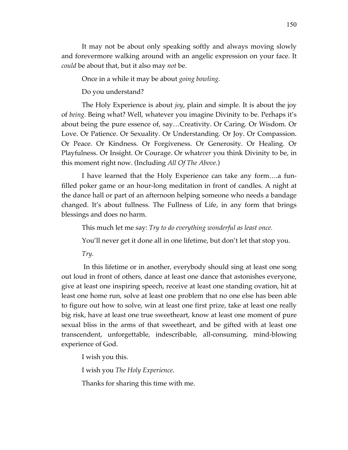It may not be about only speaking softly and always moving slowly and forevermore walking around with an angelic expression on your face. It *could* be about that, but it also may *not* be.

Once in a while it may be about *going bowling.*

Do you understand?

The Holy Experience is about *joy*, plain and simple. It is about the joy of *being.* Being what? Well, whatever you imagine Divinity to be. Perhaps it's about being the pure essence of, say…Creativity. Or Caring. Or Wisdom. Or Love. Or Patience. Or Sexuality. Or Understanding. Or Joy. Or Compassion. Or Peace. Or Kindness. Or Forgiveness. Or Generosity. Or Healing. Or Playfulness. Or Insight. Or Courage. Or what*ever* you think Divinity to be, in this moment right now. (Including *All Of The Above.*)

I have learned that the Holy Experience can take any form….a funfilled poker game or an hour-long meditation in front of candles. A night at the dance hall or part of an afternoon helping someone who needs a bandage changed. It's about fullness. The Fullness of Life, in any form that brings blessings and does no harm.

This much let me say: *Try to do everything wonderful as least once.*

You'll never get it done all in one lifetime, but don't let that stop you.

*Try.*

 In this lifetime or in another, everybody should sing at least one song out loud in front of others, dance at least one dance that astonishes everyone, give at least one inspiring speech, receive at least one standing ovation, hit at least one home run, solve at least one problem that no one else has been able to figure out how to solve, win at least one first prize, take at least one really big risk, have at least one true sweetheart, know at least one moment of pure sexual bliss in the arms of that sweetheart, and be gifted with at least one transcendent, unforgettable, indescribable, all-consuming, mind-blowing experience of God.

I wish you this.

I wish you *The Holy Experience.*

Thanks for sharing this time with me.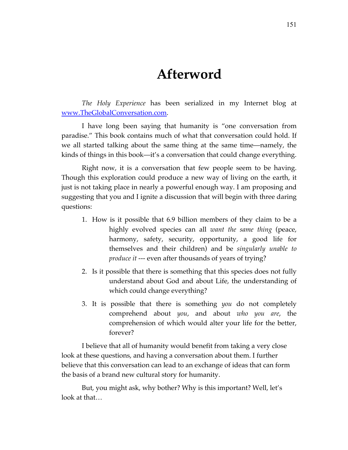## **Afterword**

*The Holy Experience* has been serialized in my Internet blog at www.TheGlobalConversation.com.

I have long been saying that humanity is "one conversation from paradise." This book contains much of what that conversation could hold. If we all started talking about the same thing at the same time—namely, the kinds of things in this book—it's a conversation that could change everything.

Right now, it is a conversation that few people seem to be having. Though this exploration could produce a new way of living on the earth, it just is not taking place in nearly a powerful enough way. I am proposing and suggesting that you and I ignite a discussion that will begin with three daring questions:

- 1. How is it possible that 6.9 billion members of they claim to be a highly evolved species can all *want the same thing* (peace, harmony, safety, security, opportunity, a good life for themselves and their children) and be *singularly unable to produce it* --- even after thousands of years of trying?
- 2. Is it possible that there is something that this species does not fully understand about God and about Life, the understanding of which could change everything?
- 3. It is possible that there is something *you* do not completely comprehend about *you*, and about *who you are*, the comprehension of which would alter your life for the better, forever?

I believe that all of humanity would benefit from taking a very close look at these questions, and having a conversation about them. I further believe that this conversation can lead to an exchange of ideas that can form the basis of a brand new cultural story for humanity.

But, you might ask, why bother? Why is this important? Well, let's look at that…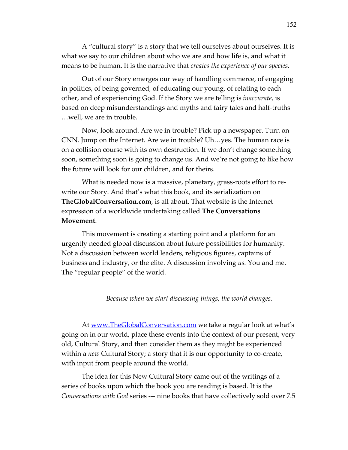A "cultural story" is a story that we tell ourselves about ourselves. It is what we say to our children about who we are and how life is, and what it means to be human. It is the narrative that *creates the experience of our species*.

Out of our Story emerges our way of handling commerce, of engaging in politics, of being governed, of educating our young, of relating to each other, and of experiencing God. If the Story we are telling is *inaccurate*, is based on deep misunderstandings and myths and fairy tales and half-truths …well, we are in trouble.

Now, look around. Are we in trouble? Pick up a newspaper. Turn on CNN. Jump on the Internet. Are we in trouble? Uh…yes. The human race is on a collision course with its own destruction. If we don't change something soon, something soon is going to change us. And we're not going to like how the future will look for our children, and for theirs.

What is needed now is a massive, planetary, grass-roots effort to rewrite our Story. And that's what this book, and its serialization on **TheGlobalConversation.com**, is all about. That website is the Internet expression of a worldwide undertaking called **The Conversations Movement**.

This movement is creating a starting point and a platform for an urgently needed global discussion about future possibilities for humanity. Not a discussion between world leaders, religious figures, captains of business and industry, or the elite. A discussion involving *us.* You and me. The "regular people" of the world.

#### *Because when we start discussing things, the world changes.*

At www.TheGlobalConversation.com we take a regular look at what's going on in our world, place these events into the context of our present, very old, Cultural Story, and then consider them as they might be experienced within a *new* Cultural Story; a story that it is our opportunity to co-create, with input from people around the world.

The idea for this New Cultural Story came out of the writings of a series of books upon which the book you are reading is based. It is the *Conversations with God* series --- nine books that have collectively sold over 7.5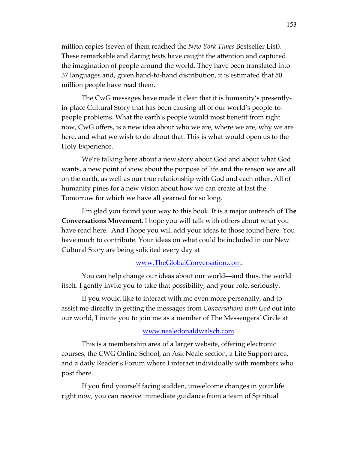million copies (seven of them reached the *New York Times* Bestseller List). These remarkable and daring texts have caught the attention and captured the imagination of people around the world. They have been translated into 37 languages and, given hand-to-hand distribution, it is estimated that 50 million people have read them.

The CwG messages have made it clear that it is humanity's presentlyin-place Cultural Story that has been causing all of our world's people-topeople problems. What the earth's people would most benefit from right now, CwG offers, is a new idea about who we are, where we are, why we are here, and what we wish to do about that. This is what would open us to the Holy Experience.

We're talking here about a new story about God and about what God wants, a new point of view about the purpose of life and the reason we are all on the earth, as well as our true relationship with God and each other. All of humanity pines for a new vision about how we can create at last the Tomorrow for which we have all yearned for so long.

I'm glad you found your way to this book. It is a major outreach of **The Conversations Movement**. I hope you will talk with others about what you have read here. And I hope you will add your ideas to those found here. You have much to contribute. Your ideas on what could be included in our New Cultural Story are being solicited every day at

#### www.TheGlobalConversation.com.

You can help change our ideas about our world—and thus, the world itself. I gently invite you to take that possibility, and your role, seriously.

If you would like to interact with me even more personally, and to assist me directly in getting the messages from *Conversations with God* out into our world, I invite you to join me as a member of The Messengers' Circle at

#### www.nealedonaldwalsch.com.

This is a membership area of a larger website, offering electronic courses, the CWG Online School, an Ask Neale section, a Life Support area, and a daily Reader's Forum where I interact individually with members who post there.

If you find yourself facing sudden, unwelcome changes in your life right now, you can receive immediate guidance from a team of Spiritual